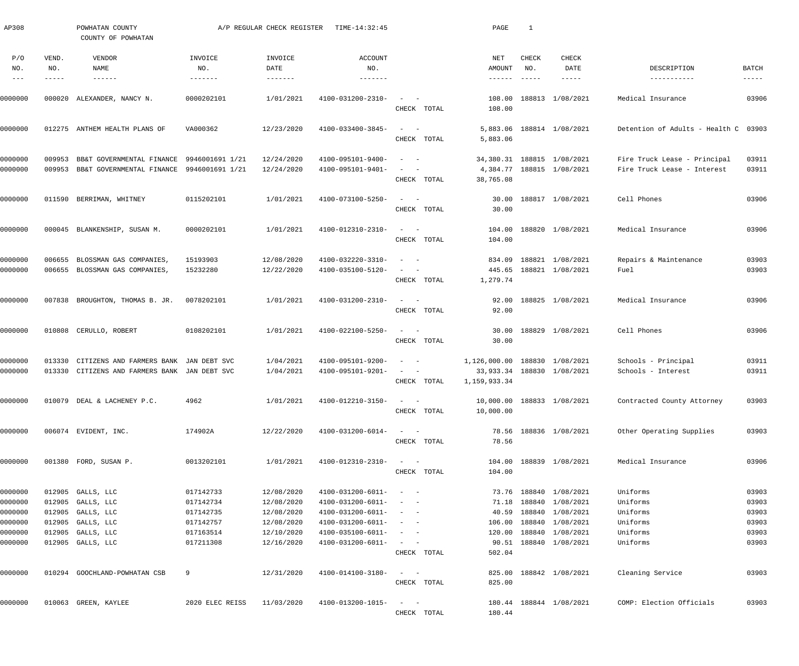| AP308                |                             | POWHATAN COUNTY<br>COUNTY OF POWHATAN                                                          |                                   | A/P REGULAR CHECK REGISTER | TIME-14:32:45                                                |                                                                                                                             | PAGE                                          | 1                      |                                                         |                                                             |                             |
|----------------------|-----------------------------|------------------------------------------------------------------------------------------------|-----------------------------------|----------------------------|--------------------------------------------------------------|-----------------------------------------------------------------------------------------------------------------------------|-----------------------------------------------|------------------------|---------------------------------------------------------|-------------------------------------------------------------|-----------------------------|
| P/O<br>NO.<br>$-- -$ | VEND.<br>NO.<br>$- - - - -$ | VENDOR<br>NAME<br>$- - - - - - -$                                                              | INVOICE<br>NO.<br>$- - - - - - -$ | INVOICE<br>DATE            | ACCOUNT<br>NO.<br>$- - - - - - - -$                          |                                                                                                                             | NET<br>AMOUNT<br>-------                      | CHECK<br>NO.<br>------ | CHECK<br>DATE<br>$- - - - - -$                          | DESCRIPTION<br>-----------                                  | <b>BATCH</b><br>$- - - - -$ |
| 0000000              |                             |                                                                                                | 0000202101                        | 1/01/2021                  | 4100-031200-2310-                                            |                                                                                                                             | 108.00                                        |                        | 188813 1/08/2021                                        | Medical Insurance                                           | 03906                       |
|                      |                             | 000020 ALEXANDER, NANCY N.                                                                     |                                   |                            |                                                              | CHECK TOTAL                                                                                                                 | 108.00                                        |                        |                                                         |                                                             |                             |
| 0000000              |                             | 012275 ANTHEM HEALTH PLANS OF                                                                  | VA000362                          | 12/23/2020                 | 4100-033400-3845-                                            | $\mathcal{L}_{\text{max}}$ and $\mathcal{L}_{\text{max}}$<br>CHECK TOTAL                                                    | 5,883.06                                      |                        | 5,883.06 188814 1/08/2021                               | Detention of Adults - Health C 03903                        |                             |
| 0000000<br>0000000   | 009953                      | BB&T GOVERNMENTAL FINANCE<br>009953 BB&T GOVERNMENTAL FINANCE 9946001691 1/21                  | 9946001691 1/21                   | 12/24/2020<br>12/24/2020   | 4100-095101-9400-<br>4100-095101-9401-                       | $\sim$ $  -$<br>$\sim$ $  -$<br>CHECK TOTAL                                                                                 | 38,765.08                                     |                        | 34,380.31 188815 1/08/2021<br>4,384.77 188815 1/08/2021 | Fire Truck Lease - Principal<br>Fire Truck Lease - Interest | 03911<br>03911              |
| 0000000              |                             | 011590 BERRIMAN, WHITNEY                                                                       | 0115202101                        | 1/01/2021                  | 4100-073100-5250-                                            | $\frac{1}{2}$ and $\frac{1}{2}$ and $\frac{1}{2}$<br>CHECK TOTAL                                                            | 30.00                                         |                        | 30.00 188817 1/08/2021                                  | Cell Phones                                                 | 03906                       |
| 0000000              |                             | 000045 BLANKENSHIP, SUSAN M.                                                                   | 0000202101                        | 1/01/2021                  | 4100-012310-2310-                                            | $\mathcal{L}_{\text{max}}$ and $\mathcal{L}_{\text{max}}$<br>CHECK TOTAL                                                    | 104.00                                        |                        | 104.00 188820 1/08/2021                                 | Medical Insurance                                           | 03906                       |
| 0000000<br>0000000   | 006655                      | BLOSSMAN GAS COMPANIES,<br>006655 BLOSSMAN GAS COMPANIES,                                      | 15193903<br>15232280              | 12/08/2020<br>12/22/2020   | 4100-032220-3310-<br>4100-035100-5120-                       | $\sim$ $  -$<br>$\alpha = 1, \ldots, \alpha$<br>CHECK TOTAL                                                                 | 1,279.74                                      |                        | 834.09 188821 1/08/2021<br>445.65 188821 1/08/2021      | Repairs & Maintenance<br>Fuel                               | 03903<br>03903              |
| 0000000              |                             | 007838 BROUGHTON, THOMAS B. JR.                                                                | 0078202101                        | 1/01/2021                  | 4100-031200-2310-                                            | $\mathcal{L}_{\text{max}}$ , and $\mathcal{L}_{\text{max}}$<br>CHECK TOTAL                                                  | 92.00                                         |                        | 92.00 188825 1/08/2021                                  | Medical Insurance                                           | 03906                       |
| 0000000              |                             | 010808 CERULLO, ROBERT                                                                         | 0108202101                        | 1/01/2021                  | 4100-022100-5250-                                            | $\frac{1}{2} \left( \frac{1}{2} \right) \left( \frac{1}{2} \right) = \frac{1}{2} \left( \frac{1}{2} \right)$<br>CHECK TOTAL | 30.00                                         |                        | 30.00 188829 1/08/2021                                  | Cell Phones                                                 | 03906                       |
| 0000000<br>0000000   |                             | 013330 CITIZENS AND FARMERS BANK JAN DEBT SVC<br>013330 CITIZENS AND FARMERS BANK JAN DEBT SVC |                                   | 1/04/2021<br>1/04/2021     | 4100-095101-9200-<br>4100-095101-9201-                       | $\qquad \qquad -$<br>$\mathcal{L}_{\text{max}}$ , and $\mathcal{L}_{\text{max}}$<br>CHECK TOTAL                             | 1,126,000.00 188830 1/08/2021<br>1,159,933.34 |                        | 33,933.34 188830 1/08/2021                              | Schools - Principal<br>Schools - Interest                   | 03911<br>03911              |
| 0000000              |                             | 010079 DEAL & LACHENEY P.C.                                                                    | 4962                              | 1/01/2021                  | $4100 - 012210 - 3150 - - -$                                 | CHECK TOTAL                                                                                                                 | 10,000.00 188833 1/08/2021<br>10,000.00       |                        |                                                         | Contracted County Attorney                                  | 03903                       |
| 0000000              |                             | 006074 EVIDENT, INC.                                                                           | 174902A                           | 12/22/2020                 | 4100-031200-6014-                                            | $\frac{1}{2}$ and $\frac{1}{2}$ and $\frac{1}{2}$<br>CHECK TOTAL                                                            | 78.56                                         |                        | 78.56 188836 1/08/2021                                  | Other Operating Supplies                                    | 03903                       |
| 0000000              |                             | 001380 FORD, SUSAN P.                                                                          | 0013202101                        | 1/01/2021                  | 4100-012310-2310-                                            | $\sim$ $ \sim$<br>CHECK TOTAL                                                                                               | 104.00                                        |                        | 104.00 188839 1/08/2021                                 | Medical Insurance                                           | 03906                       |
| 0000000<br>0000000   |                             | 012905 GALLS, LLC<br>012905 GALLS, LLC                                                         | 017142733<br>017142734            | 12/08/2020<br>12/08/2020   | $4100 - 031200 - 6011 - - -$<br>$4100 - 031200 - 6011 - - -$ |                                                                                                                             |                                               |                        | 73.76 188840 1/08/2021<br>71.18 188840 1/08/2021        | Uniforms<br>Uniforms                                        | 03903<br>03903              |
| 0000000              |                             | 012905 GALLS, LLC                                                                              | 017142735                         | 12/08/2020                 | $4100 - 031200 - 6011 - - -$                                 |                                                                                                                             |                                               |                        | 40.59 188840 1/08/2021                                  | Uniforms                                                    | 03903                       |
| 0000000              |                             | 012905 GALLS, LLC                                                                              | 017142757                         | 12/08/2020                 | 4100-031200-6011-                                            |                                                                                                                             | 106.00                                        |                        | 188840 1/08/2021                                        | Uniforms                                                    | 03903                       |
| 0000000              |                             | 012905 GALLS, LLC                                                                              | 017163514                         | 12/10/2020                 | 4100-035100-6011-                                            | $\alpha = 1, \ldots, n-1$                                                                                                   | 120.00                                        |                        | 188840 1/08/2021                                        | Uniforms                                                    | 03903                       |
| 0000000              |                             | 012905 GALLS, LLC                                                                              | 017211308                         | 12/16/2020                 | 4100-031200-6011-                                            | $\alpha = 1, \ldots, \alpha$                                                                                                |                                               |                        | 90.51 188840 1/08/2021                                  | Uniforms                                                    | 03903                       |
|                      |                             |                                                                                                |                                   |                            |                                                              | CHECK TOTAL                                                                                                                 | 502.04                                        |                        |                                                         |                                                             |                             |
| 0000000              |                             | 010294 GOOCHLAND-POWHATAN CSB                                                                  | 9                                 | 12/31/2020                 | 4100-014100-3180-                                            | $\mathcal{L}_{\text{max}}$ , and $\mathcal{L}_{\text{max}}$<br>CHECK TOTAL                                                  | 825.00                                        |                        | 825.00 188842 1/08/2021                                 | Cleaning Service                                            | 03903                       |
|                      |                             |                                                                                                |                                   |                            |                                                              |                                                                                                                             |                                               |                        |                                                         |                                                             |                             |
| 0000000              |                             | 010063 GREEN, KAYLEE                                                                           | 2020 ELEC REISS                   | 11/03/2020                 | 4100-013200-1015-                                            | $\mathcal{L} = \{ \mathcal{L} \}$ , and $\mathcal{L} = \{ \mathcal{L} \}$                                                   |                                               |                        | 180.44 188844 1/08/2021                                 | COMP: Election Officials                                    | 03903                       |
|                      |                             |                                                                                                |                                   |                            |                                                              | CHECK TOTAL                                                                                                                 | 180.44                                        |                        |                                                         |                                                             |                             |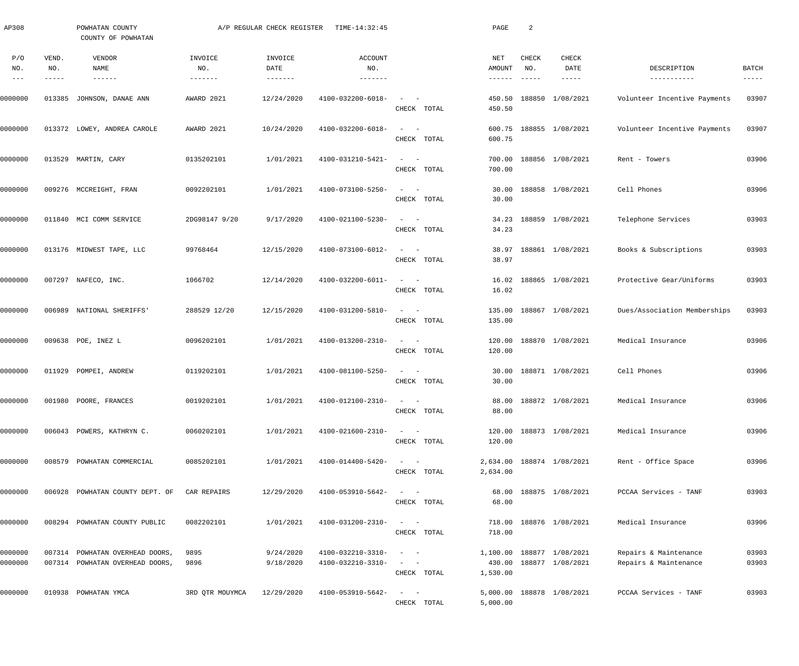| AP308                       |                             | POWHATAN COUNTY<br>COUNTY OF POWHATAN                              |                                   | A/P REGULAR CHECK REGISTER             | TIME-14:32:45                          |                                                                                                                             | PAGE                    | 2                                         |                                                      |                                                |                      |
|-----------------------------|-----------------------------|--------------------------------------------------------------------|-----------------------------------|----------------------------------------|----------------------------------------|-----------------------------------------------------------------------------------------------------------------------------|-------------------------|-------------------------------------------|------------------------------------------------------|------------------------------------------------|----------------------|
| P/O<br>NO.<br>$\frac{1}{2}$ | VEND.<br>NO.<br>$- - - - -$ | VENDOR<br>NAME<br>$- - - - - - -$                                  | INVOICE<br>NO.<br>$- - - - - - -$ | INVOICE<br>DATE<br>$- - - - - - - - -$ | ACCOUNT<br>NO.                         |                                                                                                                             | NET<br>AMOUNT<br>------ | CHECK<br>NO.<br>$\qquad \qquad - - - - -$ | CHECK<br>DATE<br>$- - - - - -$                       | DESCRIPTION<br>-----------                     | BATCH<br>$- - - - -$ |
| 0000000                     | 013385                      | JOHNSON, DANAE ANN                                                 | AWARD 2021                        | 12/24/2020                             | 4100-032200-6018-                      | $\sim$<br>$\sim$ $-$<br>CHECK TOTAL                                                                                         | 450.50<br>450.50        |                                           | 188850 1/08/2021                                     | Volunteer Incentive Payments                   | 03907                |
| 0000000                     |                             | 013372 LOWEY, ANDREA CAROLE                                        | AWARD 2021                        | 10/24/2020                             | 4100-032200-6018-                      | $\frac{1}{2} \left( \frac{1}{2} \right) \left( \frac{1}{2} \right) = \frac{1}{2} \left( \frac{1}{2} \right)$<br>CHECK TOTAL | 600.75                  |                                           | 600.75 188855 1/08/2021                              | Volunteer Incentive Payments                   | 03907                |
| 0000000                     |                             | 013529 MARTIN, CARY                                                | 0135202101                        | 1/01/2021                              | 4100-031210-5421-                      | $\sim$<br>$\sim$ $-$<br>CHECK TOTAL                                                                                         | 700.00<br>700.00        |                                           | 188856 1/08/2021                                     | Rent - Towers                                  | 03906                |
| 0000000                     |                             | 009276 MCCREIGHT, FRAN                                             | 0092202101                        | 1/01/2021                              | 4100-073100-5250-                      | $\sim$<br>$\sim$ $-$<br>CHECK TOTAL                                                                                         | 30.00<br>30.00          |                                           | 188858 1/08/2021                                     | Cell Phones                                    | 03906                |
| 0000000                     |                             | 011840 MCI COMM SERVICE                                            | 2DG98147 9/20                     | 9/17/2020                              | 4100-021100-5230-                      | $\qquad \qquad -$<br>CHECK TOTAL                                                                                            | 34.23<br>34.23          |                                           | 188859 1/08/2021                                     | Telephone Services                             | 03903                |
| 0000000                     |                             | 013176 MIDWEST TAPE, LLC                                           | 99768464                          | 12/15/2020                             | 4100-073100-6012-                      | $\qquad \qquad -$<br>CHECK TOTAL                                                                                            | 38.97<br>38.97          |                                           | 188861 1/08/2021                                     | Books & Subscriptions                          | 03903                |
| 0000000                     |                             | 007297 NAFECO, INC.                                                | 1066702                           | 12/14/2020                             | 4100-032200-6011-                      | $\frac{1}{2}$ and $\frac{1}{2}$ and $\frac{1}{2}$<br>CHECK TOTAL                                                            | 16.02                   |                                           | 16.02 188865 1/08/2021                               | Protective Gear/Uniforms                       | 03903                |
| 0000000                     |                             | 006989 NATIONAL SHERIFFS'                                          | 288529 12/20                      | 12/15/2020                             | 4100-031200-5810-                      | $\frac{1}{2}$ and $\frac{1}{2}$ and $\frac{1}{2}$<br>CHECK TOTAL                                                            | 135.00                  |                                           | 135.00 188867 1/08/2021                              | Dues/Association Memberships                   | 03903                |
| 0000000                     |                             | 009638 POE, INEZ L                                                 | 0096202101                        | 1/01/2021                              | 4100-013200-2310-                      | $\qquad \qquad -$<br>CHECK TOTAL                                                                                            | 120.00                  |                                           | 120.00 188870 1/08/2021                              | Medical Insurance                              | 03906                |
| 0000000                     |                             | 011929 POMPEI, ANDREW                                              | 0119202101                        | 1/01/2021                              | 4100-081100-5250-                      | $\frac{1}{2} \left( \frac{1}{2} \right) \left( \frac{1}{2} \right) = \frac{1}{2} \left( \frac{1}{2} \right)$<br>CHECK TOTAL | 30.00                   |                                           | 30.00 188871 1/08/2021                               | Cell Phones                                    | 03906                |
| 0000000                     |                             | 001980 POORE, FRANCES                                              | 0019202101                        | 1/01/2021                              | $4100 - 012100 - 2310 - - -$           | CHECK TOTAL                                                                                                                 | 88.00                   |                                           | 88.00 188872 1/08/2021                               | Medical Insurance                              | 03906                |
| 0000000                     |                             | 006043 POWERS, KATHRYN C.                                          | 0060202101                        | 1/01/2021                              | 4100-021600-2310-                      | $\qquad \qquad -$<br>CHECK TOTAL                                                                                            | 120.00                  |                                           | 120.00 188873 1/08/2021                              | Medical Insurance                              | 03906                |
| 0000000                     |                             | 008579 POWHATAN COMMERCIAL                                         | 0085202101                        | 1/01/2021                              | 4100-014400-5420-                      | $\qquad \qquad -$<br>CHECK TOTAL                                                                                            | 2,634.00                |                                           | 2,634.00 188874 1/08/2021                            | Rent - Office Space                            | 03906                |
| 0000000                     |                             | 006928 POWHATAN COUNTY DEPT. OF CAR REPAIRS                        |                                   | 12/29/2020                             | 4100-053910-5642-                      | $\qquad \qquad -$<br>CHECK TOTAL                                                                                            | 68.00                   |                                           | 68.00 188875 1/08/2021                               | PCCAA Services - TANF                          | 03903                |
| 0000000                     |                             | 008294 POWHATAN COUNTY PUBLIC                                      | 0082202101                        | 1/01/2021                              | 4100-031200-2310-                      | $\sim$ $  -$<br>CHECK TOTAL                                                                                                 | 718.00                  |                                           | 718.00 188876 1/08/2021                              | Medical Insurance                              | 03906                |
| 0000000<br>0000000          |                             | 007314 POWHATAN OVERHEAD DOORS,<br>007314 POWHATAN OVERHEAD DOORS, | 9895<br>9896                      | 9/24/2020<br>9/18/2020                 | 4100-032210-3310-<br>4100-032210-3310- | $\sim$ $  -$<br>CHECK TOTAL                                                                                                 | 1,530.00                |                                           | 1,100.00 188877 1/08/2021<br>430.00 188877 1/08/2021 | Repairs & Maintenance<br>Repairs & Maintenance | 03903<br>03903       |
| 0000000                     |                             | 010938 POWHATAN YMCA                                               | 3RD QTR MOUYMCA                   | 12/29/2020                             | 4100-053910-5642-                      | $\frac{1}{2}$ and $\frac{1}{2}$ and $\frac{1}{2}$<br>CHECK TOTAL                                                            | 5,000.00                |                                           | 5,000.00 188878 1/08/2021                            | PCCAA Services - TANF                          | 03903                |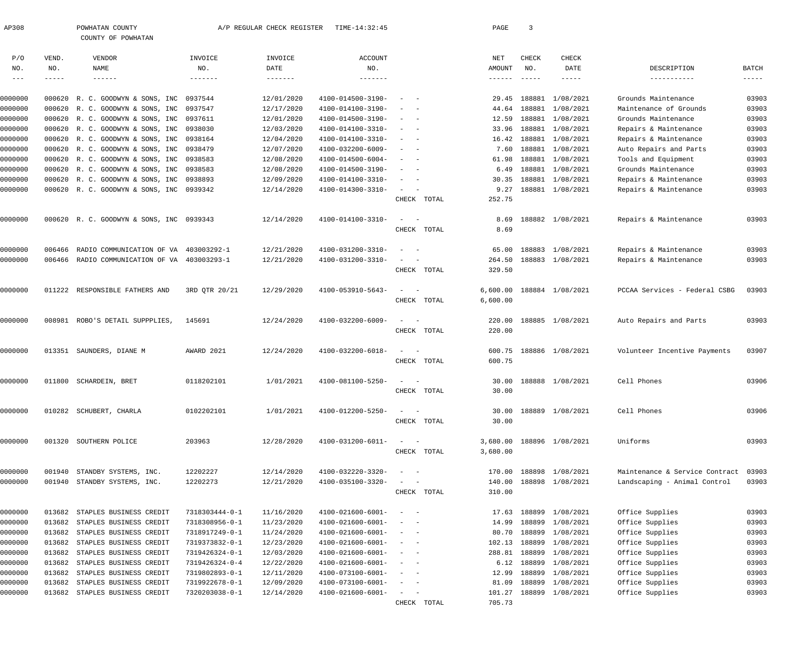| AP308   |             | POWHATAN COUNTY                          |                | A/P REGULAR CHECK REGISTER | TIME-14:32:45            |                                                   | PAGE             | $\overline{3}$ |                  |                                |              |
|---------|-------------|------------------------------------------|----------------|----------------------------|--------------------------|---------------------------------------------------|------------------|----------------|------------------|--------------------------------|--------------|
|         |             | COUNTY OF POWHATAN                       |                |                            |                          |                                                   |                  |                |                  |                                |              |
| P/O     | VEND.       | VENDOR                                   | INVOICE        | INVOICE                    | <b>ACCOUNT</b>           |                                                   | NET              | <b>CHECK</b>   | <b>CHECK</b>     |                                |              |
| NO.     | NO.         | <b>NAME</b>                              | NO.            | DATE                       | NO.                      |                                                   | AMOUNT           | NO.            | DATE             | DESCRIPTION                    | <b>BATCH</b> |
| $- - -$ | $- - - - -$ | $- - - - - - -$                          | -------        | $- - - - - - -$            | -------                  |                                                   | ------           | $- - - - - -$  |                  | -----------                    | $--- - - -$  |
| 0000000 | 000620      | R. C. GOODWYN & SONS, INC                | 0937544        | 12/01/2020                 | 4100-014500-3190-        |                                                   | 29.45            | 188881         | 1/08/2021        | Grounds Maintenance            | 03903        |
| 0000000 | 000620      | R. C. GOODWYN & SONS, INC                | 0937547        | 12/17/2020                 | 4100-014100-3190-        | $\sim$ $-$                                        | 44.64            | 188881         | 1/08/2021        | Maintenance of Grounds         | 03903        |
| 0000000 |             | 000620 R. C. GOODWYN & SONS, INC         | 0937611        | 12/01/2020                 | 4100-014500-3190-        | $\sim$<br>$\sim$ $-$                              | 12.59            | 188881         | 1/08/2021        | Grounds Maintenance            | 03903        |
| 0000000 | 000620      | R. C. GOODWYN & SONS, INC                | 0938030        | 12/03/2020                 | 4100-014100-3310-        | $\sim$                                            | 33.96            |                | 188881 1/08/2021 | Repairs & Maintenance          | 03903        |
| 0000000 | 000620      | R. C. GOODWYN & SONS, INC                | 0938164        | 12/04/2020                 | 4100-014100-3310-        | $\sim$                                            | 16.42            |                | 188881 1/08/2021 | Repairs & Maintenance          | 03903        |
| 0000000 |             | 000620 R. C. GOODWYN & SONS, INC         | 0938479        | 12/07/2020                 | 4100-032200-6009-        |                                                   | 7.60             |                | 188881 1/08/2021 | Auto Repairs and Parts         | 03903        |
| 0000000 |             | 000620 R. C. GOODWYN & SONS, INC         | 0938583        | 12/08/2020                 | 4100-014500-6004-        | $\sim$                                            | 61.98            | 188881         | 1/08/2021        | Tools and Equipment            | 03903        |
| 0000000 | 000620      | R. C. GOODWYN & SONS, INC                | 0938583        | 12/08/2020                 | 4100-014500-3190-        | $\sim$<br>$\sim$                                  | 6.49             |                | 188881 1/08/2021 | Grounds Maintenance            | 03903        |
| 0000000 | 000620      | R. C. GOODWYN & SONS, INC                | 0938893        | 12/09/2020                 | 4100-014100-3310-        | $\sim$<br>$\sim$ $-$                              | 30.35            |                | 188881 1/08/2021 | Repairs & Maintenance          | 03903        |
| 0000000 |             | 000620 R. C. GOODWYN & SONS, INC 0939342 |                | 12/14/2020                 | 4100-014300-3310-        | $\sim$<br>$\sim$                                  | 9.27             |                | 188881 1/08/2021 | Repairs & Maintenance          | 03903        |
|         |             |                                          |                |                            |                          | CHECK TOTAL                                       | 252.75           |                |                  |                                |              |
| 0000000 |             | 000620 R. C. GOODWYN & SONS, INC 0939343 |                | 12/14/2020                 | 4100-014100-3310-        | $\sim$<br>$\sim$                                  | 8.69             |                | 188882 1/08/2021 | Repairs & Maintenance          | 03903        |
|         |             |                                          |                |                            |                          | CHECK TOTAL                                       | 8.69             |                |                  |                                |              |
|         |             |                                          |                |                            |                          |                                                   |                  |                |                  |                                |              |
| 0000000 | 006466      | RADIO COMMUNICATION OF VA                | 403003292-1    | 12/21/2020                 | 4100-031200-3310-        | $\sim$                                            | 65.00            |                | 188883 1/08/2021 | Repairs & Maintenance          | 03903        |
| 0000000 | 006466      | RADIO COMMUNICATION OF VA 403003293-1    |                | 12/21/2020                 | 4100-031200-3310-        | $\overline{\phantom{a}}$<br>CHECK TOTAL           | 264.50<br>329.50 |                | 188883 1/08/2021 | Repairs & Maintenance          | 03903        |
|         |             |                                          |                |                            |                          |                                                   |                  |                |                  |                                |              |
| 0000000 | 011222      | RESPONSIBLE FATHERS AND                  | 3RD OTR 20/21  | 12/29/2020                 | 4100-053910-5643-        | $\sim$<br>$\sim$ $-$                              | 6,600.00         |                | 188884 1/08/2021 | PCCAA Services - Federal CSBG  | 03903        |
|         |             |                                          |                |                            |                          | CHECK TOTAL                                       | 6,600.00         |                |                  |                                |              |
| 0000000 | 008981      | ROBO'S DETAIL SUPPPLIES,                 | 145691         | 12/24/2020                 | 4100-032200-6009-        | $\sim$<br>$\sim$ $-$                              | 220.00           |                | 188885 1/08/2021 | Auto Repairs and Parts         | 03903        |
|         |             |                                          |                |                            |                          | CHECK TOTAL                                       | 220.00           |                |                  |                                |              |
| 0000000 |             | 013351 SAUNDERS, DIANE M                 | AWARD 2021     | 12/24/2020                 | 4100-032200-6018-        | $\sim$<br>$\sim$ $-$                              | 600.75           |                | 188886 1/08/2021 | Volunteer Incentive Payments   | 03907        |
|         |             |                                          |                |                            |                          | CHECK TOTAL                                       | 600.75           |                |                  |                                |              |
| 0000000 | 011800      | SCHARDEIN, BRET                          | 0118202101     | 1/01/2021                  | 4100-081100-5250-        | $\sim$<br>$\sim$ $-$                              | 30.00            |                | 188888 1/08/2021 | Cell Phones                    | 03906        |
|         |             |                                          |                |                            |                          | CHECK TOTAL                                       | 30.00            |                |                  |                                |              |
|         |             |                                          |                |                            |                          |                                                   |                  |                |                  |                                |              |
| 0000000 |             | 010282 SCHUBERT, CHARLA                  | 0102202101     | 1/01/2021                  | 4100-012200-5250-        | $\sim$<br>$\sim$ $-$                              | 30.00            |                | 188889 1/08/2021 | Cell Phones                    | 03906        |
|         |             |                                          |                |                            |                          | CHECK TOTAL                                       | 30.00            |                |                  |                                |              |
| 0000000 |             | 001320 SOUTHERN POLICE                   | 203963         | 12/28/2020                 | 4100-031200-6011-        | $\sim$<br>$\sim$ $-$                              | 3,680.00         |                | 188896 1/08/2021 | Uniforms                       | 03903        |
|         |             |                                          |                |                            |                          | CHECK TOTAL                                       | 3,680.00         |                |                  |                                |              |
| 0000000 | 001940      | STANDBY SYSTEMS, INC.                    | 12202227       | 12/14/2020                 | 4100-032220-3320-        | $\frac{1}{2}$ and $\frac{1}{2}$ and $\frac{1}{2}$ | 170.00           |                | 188898 1/08/2021 | Maintenance & Service Contract | 03903        |
| 0000000 | 001940      | STANDBY SYSTEMS, INC.                    | 12202273       | 12/21/2020                 | 4100-035100-3320-        | $\sim$ .<br>$\sim$ $-$                            | 140.00           |                | 188898 1/08/2021 | Landscaping - Animal Control   | 03903        |
|         |             |                                          |                |                            |                          | CHECK TOTAL                                       | 310.00           |                |                  |                                |              |
| 0000000 | 013682      | STAPLES BUSINESS CREDIT                  | 7318303444-0-1 | 11/16/2020                 | 4100-021600-6001-        | $\sim$<br>$\sim$ $-$                              | 17.63            |                | 188899 1/08/2021 | Office Supplies                | 03903        |
| 0000000 | 013682      | STAPLES BUSINESS CREDIT                  | 7318308956-0-1 | 11/23/2020                 | 4100-021600-6001-        | $\frac{1}{2}$ and $\frac{1}{2}$ and $\frac{1}{2}$ | 14.99            | 188899         | 1/08/2021        | Office Supplies                | 03903        |
| 0000000 | 013682      | STAPLES BUSINESS CREDIT                  | 7318917249-0-1 | 11/24/2020                 | 4100-021600-6001-        | $\sim$ $ -$                                       | 80.70            | 188899         | 1/08/2021        | Office Supplies                | 03903        |
| 0000000 | 013682      | STAPLES BUSINESS CREDIT                  | 7319373832-0-1 | 12/23/2020                 | 4100-021600-6001-        | $\frac{1}{2}$ and $\frac{1}{2}$ and $\frac{1}{2}$ | 102.13           | 188899         | 1/08/2021        | Office Supplies                | 03903        |
| 0000000 | 013682      | STAPLES BUSINESS CREDIT                  | 7319426324-0-1 | 12/03/2020                 | 4100-021600-6001-        | $\frac{1}{2}$ and $\frac{1}{2}$ and $\frac{1}{2}$ | 288.81           | 188899         | 1/08/2021        | Office Supplies                | 03903        |
| 0000000 | 013682      | STAPLES BUSINESS CREDIT                  | 7319426324-0-4 | 12/22/2020                 | 4100-021600-6001-        | $\sim$ $ -$                                       | 6.12             | 188899         | 1/08/2021        | Office Supplies                | 03903        |
| 0000000 | 013682      | STAPLES BUSINESS CREDIT                  | 7319802893-0-1 | 12/11/2020                 | $4100 - 073100 - 6001 -$ | $\sim$ $ -$                                       | 12.99            | 188899         | 1/08/2021        | Office Supplies                | 03903        |
| 0000000 | 013682      | STAPLES BUSINESS CREDIT                  | 7319922678-0-1 | 12/09/2020                 | 4100-073100-6001-        | $\frac{1}{2}$ and $\frac{1}{2}$ and $\frac{1}{2}$ | 81.09            | 188899         | 1/08/2021        | Office Supplies                | 03903        |
| 0000000 | 013682      | STAPLES BUSINESS CREDIT                  | 7320203038-0-1 | 12/14/2020                 | 4100-021600-6001-        | $\sim$<br>$\sim$ $-$                              | 101.27           |                | 188899 1/08/2021 | Office Supplies                | 03903        |
|         |             |                                          |                |                            |                          | CHECK TOTAL                                       | 705.73           |                |                  |                                |              |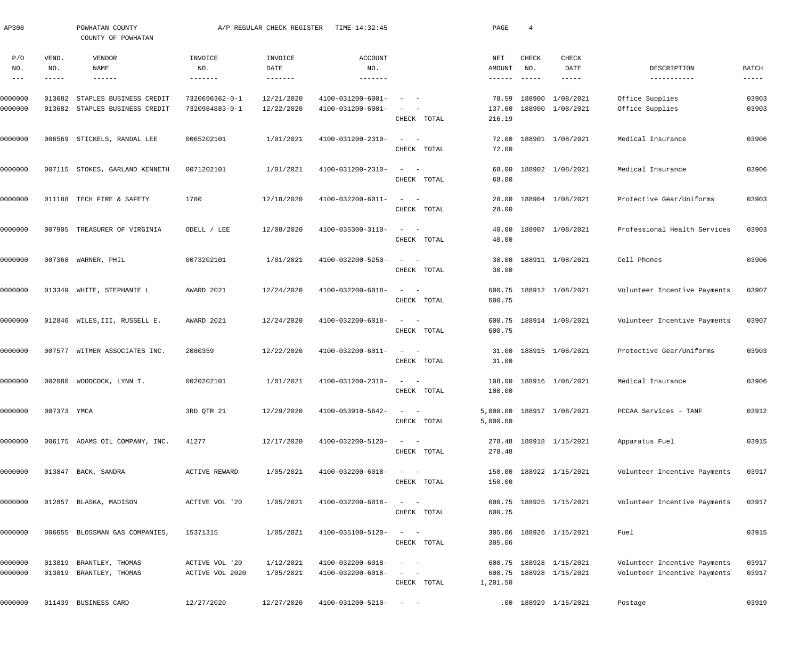| AP308                                    |                       | POWHATAN COUNTY<br>COUNTY OF POWHATAN              |                                   | A/P REGULAR CHECK REGISTER | TIME-14:32:45                          |                                                                                                                                       | PAGE                             | $\overline{4}$                       |                                                    |                                                              |                      |
|------------------------------------------|-----------------------|----------------------------------------------------|-----------------------------------|----------------------------|----------------------------------------|---------------------------------------------------------------------------------------------------------------------------------------|----------------------------------|--------------------------------------|----------------------------------------------------|--------------------------------------------------------------|----------------------|
| P/O<br>NO.<br>$\qquad \qquad - \qquad -$ | VEND.<br>NO.<br>----- | VENDOR<br>NAME<br>$- - - - - - -$                  | INVOICE<br>NO.                    | INVOICE<br>DATE            | ACCOUNT<br>NO.                         |                                                                                                                                       | NET<br>AMOUNT<br>$- - - - - - -$ | <b>CHECK</b><br>NO.<br>$- - - - - -$ | CHECK<br>DATE<br>-----                             | DESCRIPTION<br>-----------                                   | BATCH<br>$- - - - -$ |
| 0000000<br>0000000                       | 013682<br>013682      | STAPLES BUSINESS CREDIT<br>STAPLES BUSINESS CREDIT | 7320696362-0-1<br>7320984883-0-1  | 12/21/2020<br>12/22/2020   | 4100-031200-6001-<br>4100-031200-6001- | $\sim$<br>$\overline{\phantom{a}}$<br>CHECK TOTAL                                                                                     | 78.59<br>137.60<br>216.19        |                                      | 188900 1/08/2021<br>188900 1/08/2021               | Office Supplies<br>Office Supplies                           | 03903<br>03903       |
| 0000000                                  | 006569                | STICKELS, RANDAL LEE                               | 0065202101                        | 1/01/2021                  | 4100-031200-2310-                      | $\sim$ 100 $\sim$ 100 $\sim$<br>CHECK TOTAL                                                                                           | 72.00<br>72.00                   |                                      | 188901 1/08/2021                                   | Medical Insurance                                            | 03906                |
| 0000000                                  |                       | 007115 STOKES, GARLAND KENNETH                     | 0071202101                        | 1/01/2021                  | 4100-031200-2310-                      | $\frac{1}{2}$ and $\frac{1}{2}$ and $\frac{1}{2}$<br>CHECK TOTAL                                                                      | 68.00<br>68.00                   |                                      | 188902 1/08/2021                                   | Medical Insurance                                            | 03906                |
| 0000000                                  |                       | 011188 TECH FIRE & SAFETY                          | 1780                              | 12/18/2020                 | 4100-032200-6011-                      | $\qquad \qquad -$<br>CHECK TOTAL                                                                                                      | 28.00<br>28.00                   |                                      | 188904 1/08/2021                                   | Protective Gear/Uniforms                                     | 03903                |
| 0000000                                  | 007905                | TREASURER OF VIRGINIA                              | ODELL / LEE                       | 12/08/2020                 | 4100-035300-3110-                      | $\qquad \qquad -$<br>CHECK TOTAL                                                                                                      | 40.00<br>40.00                   |                                      | 188907 1/08/2021                                   | Professional Health Services                                 | 03903                |
| 0000000                                  | 007368                | WARNER, PHIL                                       | 0073202101                        | 1/01/2021                  | 4100-032200-5250-                      | $\sim$ $  -$<br>CHECK TOTAL                                                                                                           | 30.00<br>30.00                   |                                      | 188911 1/08/2021                                   | Cell Phones                                                  | 03906                |
| 0000000                                  | 013349                | WHITE, STEPHANIE L                                 | AWARD 2021                        | 12/24/2020                 | 4100-032200-6018-                      | $\omega_{\rm{max}}=1$<br>CHECK TOTAL                                                                                                  | 600.75                           |                                      | 600.75 188912 1/08/2021                            | Volunteer Incentive Payments                                 | 03907                |
| 0000000                                  |                       | 012846 WILES, III, RUSSELL E.                      | AWARD 2021                        | 12/24/2020                 | 4100-032200-6018-                      | $\sim$ 100 $\sim$ 100 $\sim$<br>CHECK TOTAL                                                                                           | 600.75                           |                                      | 600.75 188914 1/08/2021                            | Volunteer Incentive Payments                                 | 03907                |
| 0000000                                  |                       | 007577 WITMER ASSOCIATES INC.                      | 2080359                           | 12/22/2020                 | 4100-032200-6011-                      | $\qquad \qquad -$<br>CHECK TOTAL                                                                                                      | 31.00<br>31.00                   |                                      | 188915 1/08/2021                                   | Protective Gear/Uniforms                                     | 03903                |
| 0000000                                  |                       | 002080 WOODCOCK, LYNN T.                           | 0020202101                        | 1/01/2021                  | 4100-031200-2310-                      | $\begin{array}{cccccccccc} - & & & & & & & - \end{array}$<br>CHECK TOTAL                                                              | 108.00<br>108.00                 |                                      | 188916 1/08/2021                                   | Medical Insurance                                            | 03906                |
| 0000000                                  | 007373 YMCA           |                                                    | 3RD QTR 21                        | 12/29/2020                 | 4100-053910-5642-                      | $\begin{array}{cccccccccc} - & & & & & & & - \end{array}$<br>CHECK TOTAL                                                              | 5,000.00                         |                                      | 5,000.00 188917 1/08/2021                          | PCCAA Services - TANF                                        | 03912                |
| 0000000                                  |                       | 006175 ADAMS OIL COMPANY, INC.                     | 41277                             | 12/17/2020                 | 4100-032200-5120-                      | $\qquad \qquad -$<br>CHECK TOTAL                                                                                                      | 278.48                           |                                      | 278.48 188918 1/15/2021                            | Apparatus Fuel                                               | 03915                |
| 0000000                                  |                       | 013847 BACK, SANDRA                                | ACTIVE REWARD                     | 1/05/2021                  | 4100-032200-6018-                      | $\qquad \qquad -$<br>CHECK TOTAL                                                                                                      | 150.00                           |                                      | 150.00 188922 1/15/2021                            | Volunteer Incentive Payments                                 | 03917                |
| 0000000                                  |                       | 012857 BLASKA, MADISON                             | ACTIVE VOL '20                    | 1/05/2021                  | 4100-032200-6018-                      | $\qquad \qquad -$<br>CHECK TOTAL                                                                                                      | 600.75                           |                                      | 600.75 188925 1/15/2021                            | Volunteer Incentive Payments                                 | 03917                |
| 0000000                                  |                       | 006655 BLOSSMAN GAS COMPANIES,                     | 15371315                          | 1/05/2021                  | 4100-035100-5120-                      | $\qquad \qquad -$<br>CHECK TOTAL                                                                                                      | 305.06                           |                                      | 305.06 188926 1/15/2021                            | Fuel                                                         | 03915                |
| 0000000<br>0000000                       |                       | 013819 BRANTLEY, THOMAS<br>013819 BRANTLEY, THOMAS | ACTIVE VOL '20<br>ACTIVE VOL 2020 | 1/12/2021<br>1/05/2021     | 4100-032200-6018-<br>4100-032200-6018- | $\begin{array}{cccccccccc} - & & & & & & & - \end{array}$<br>$\begin{array}{cccccccccc} - & & & & & & & - \end{array}$<br>CHECK TOTAL | 1,201.50                         |                                      | 600.75 188928 1/15/2021<br>600.75 188928 1/15/2021 | Volunteer Incentive Payments<br>Volunteer Incentive Payments | 03917<br>03917       |
| 0000000                                  |                       | 011439 BUSINESS CARD                               | 12/27/2020                        | 12/27/2020                 | $4100 - 031200 - 5210 - - -$           |                                                                                                                                       |                                  |                                      | .00 188929 1/15/2021                               | Postage                                                      | 03919                |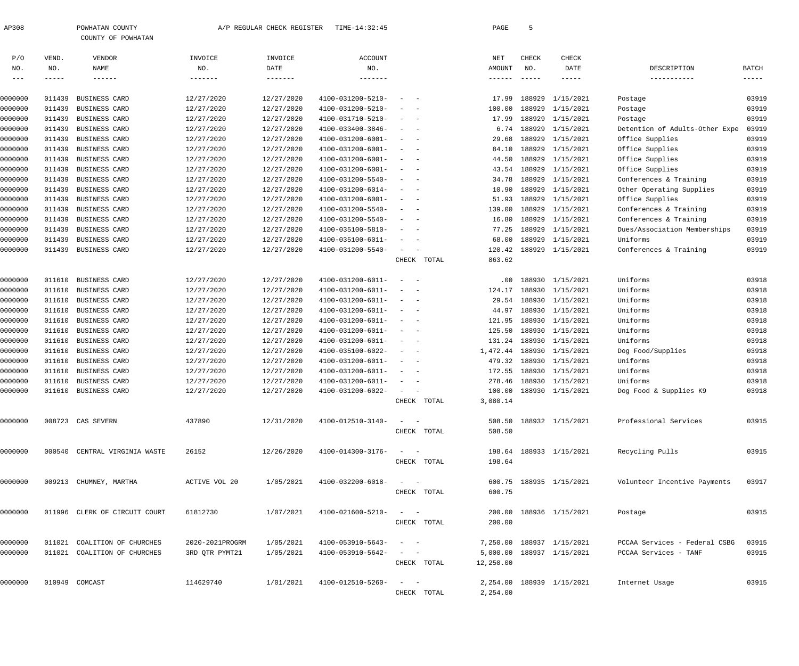|                |                 | COUNTY OF POWHATAN            |                 |                         |                          |                                                                                                               |             |            |        |                            |                                |                             |
|----------------|-----------------|-------------------------------|-----------------|-------------------------|--------------------------|---------------------------------------------------------------------------------------------------------------|-------------|------------|--------|----------------------------|--------------------------------|-----------------------------|
| P/O            | VEND.           | VENDOR                        | INVOICE         | INVOICE                 | <b>ACCOUNT</b>           |                                                                                                               |             | <b>NET</b> | CHECK  | CHECK                      |                                |                             |
| NO.<br>$- - -$ | NO.<br>$------$ | NAME<br>$- - - - - - -$       | NO.<br>-------  | DATE<br>$- - - - - - -$ | $_{\rm NO}$ .<br>------- |                                                                                                               |             | AMOUNT     | NO.    | DATE<br>$- - - - -$        | DESCRIPTION                    | <b>BATCH</b><br>$--- - - -$ |
|                |                 |                               |                 |                         |                          |                                                                                                               |             |            |        |                            |                                |                             |
| 0000000        | 011439          | BUSINESS CARD                 | 12/27/2020      | 12/27/2020              | 4100-031200-5210-        |                                                                                                               |             | 17.99      | 188929 | 1/15/2021                  | Postage                        | 03919                       |
| 0000000        | 011439          | BUSINESS CARD                 | 12/27/2020      | 12/27/2020              | 4100-031200-5210-        |                                                                                                               |             | 100.00     | 188929 | 1/15/2021                  | Postage                        | 03919                       |
| 0000000        | 011439          | BUSINESS CARD                 | 12/27/2020      | 12/27/2020              | 4100-031710-5210-        |                                                                                                               |             | 17.99      | 188929 | 1/15/2021                  | Postage                        | 03919                       |
| 0000000        | 011439          | BUSINESS CARD                 | 12/27/2020      | 12/27/2020              | 4100-033400-3846-        |                                                                                                               |             | 6.74       | 188929 | 1/15/2021                  | Detention of Adults-Other Expe | 03919                       |
| 0000000        | 011439          | BUSINESS CARD                 | 12/27/2020      | 12/27/2020              | 4100-031200-6001-        |                                                                                                               |             | 29.68      | 188929 | 1/15/2021                  | Office Supplies                | 03919                       |
| 0000000        | 011439          | BUSINESS CARD                 | 12/27/2020      | 12/27/2020              | 4100-031200-6001-        |                                                                                                               |             | 84.10      | 188929 | 1/15/2021                  | Office Supplies                | 03919                       |
| 0000000        | 011439          | BUSINESS CARD                 | 12/27/2020      | 12/27/2020              | 4100-031200-6001-        |                                                                                                               |             | 44.50      | 188929 | 1/15/2021                  | Office Supplies                | 03919                       |
| 0000000        | 011439          | BUSINESS CARD                 | 12/27/2020      | 12/27/2020              | 4100-031200-6001-        |                                                                                                               |             | 43.54      | 188929 | 1/15/2021                  | Office Supplies                | 03919                       |
| 0000000        | 011439          | BUSINESS CARD                 | 12/27/2020      | 12/27/2020              | 4100-031200-5540-        |                                                                                                               |             | 34.78      | 188929 | 1/15/2021                  | Conferences & Training         | 03919                       |
| 0000000        | 011439          | BUSINESS CARD                 | 12/27/2020      | 12/27/2020              | 4100-031200-6014-        |                                                                                                               |             | 10.90      | 188929 | 1/15/2021                  | Other Operating Supplies       | 03919                       |
| 0000000        | 011439          | BUSINESS CARD                 | 12/27/2020      | 12/27/2020              | 4100-031200-6001-        |                                                                                                               |             | 51.93      | 188929 | 1/15/2021                  | Office Supplies                | 03919                       |
| 0000000        | 011439          | BUSINESS CARD                 | 12/27/2020      | 12/27/2020              | 4100-031200-5540-        |                                                                                                               |             | 139.00     | 188929 | 1/15/2021                  | Conferences & Training         | 03919                       |
| 0000000        | 011439          | BUSINESS CARD                 | 12/27/2020      | 12/27/2020              | 4100-031200-5540-        |                                                                                                               |             | 16.80      | 188929 | 1/15/2021                  | Conferences & Training         | 03919                       |
| 0000000        | 011439          | BUSINESS CARD                 | 12/27/2020      | 12/27/2020              | 4100-035100-5810-        |                                                                                                               |             | 77.25      | 188929 | 1/15/2021                  | Dues/Association Memberships   | 03919                       |
| 0000000        | 011439          | BUSINESS CARD                 | 12/27/2020      | 12/27/2020              | 4100-035100-6011-        |                                                                                                               |             | 68.00      | 188929 | 1/15/2021                  | Uniforms                       | 03919                       |
| 0000000        | 011439          | BUSINESS CARD                 | 12/27/2020      | 12/27/2020              | 4100-031200-5540-        | $\sim$                                                                                                        |             | 120.42     |        | 188929 1/15/2021           | Conferences & Training         | 03919                       |
|                |                 |                               |                 |                         |                          | CHECK                                                                                                         | TOTAL       | 863.62     |        |                            |                                |                             |
| 0000000        | 011610          | BUSINESS CARD                 | 12/27/2020      | 12/27/2020              | 4100-031200-6011-        |                                                                                                               |             | .00        | 188930 | 1/15/2021                  | Uniforms                       | 03918                       |
| 0000000        | 011610          | BUSINESS CARD                 | 12/27/2020      | 12/27/2020              | 4100-031200-6011-        |                                                                                                               |             | 124.17     | 188930 | 1/15/2021                  | Uniforms                       | 03918                       |
| 0000000        | 011610          | BUSINESS CARD                 | 12/27/2020      | 12/27/2020              | 4100-031200-6011-        |                                                                                                               |             | 29.54      | 188930 | 1/15/2021                  | Uniforms                       | 03918                       |
| 0000000        | 011610          | BUSINESS CARD                 | 12/27/2020      | 12/27/2020              | 4100-031200-6011-        |                                                                                                               |             | 44.97      | 188930 | 1/15/2021                  | Uniforms                       | 03918                       |
| 0000000        | 011610          | BUSINESS CARD                 | 12/27/2020      | 12/27/2020              | 4100-031200-6011-        |                                                                                                               |             | 121.95     | 188930 | 1/15/2021                  | Uniforms                       | 03918                       |
| 0000000        | 011610          | BUSINESS CARD                 | 12/27/2020      | 12/27/2020              | 4100-031200-6011-        |                                                                                                               |             | 125.50     | 188930 | 1/15/2021                  | Uniforms                       | 03918                       |
| 0000000        | 011610          | BUSINESS CARD                 | 12/27/2020      | 12/27/2020              | 4100-031200-6011-        |                                                                                                               |             | 131.24     | 188930 | 1/15/2021                  | Uniforms                       | 03918                       |
| 0000000        | 011610          | BUSINESS CARD                 | 12/27/2020      | 12/27/2020              | 4100-035100-6022-        |                                                                                                               |             | 1,472.44   | 188930 | 1/15/2021                  | Dog Food/Supplies              | 03918                       |
| 0000000        | 011610          | BUSINESS CARD                 | 12/27/2020      | 12/27/2020              | 4100-031200-6011-        |                                                                                                               |             | 479.32     | 188930 | 1/15/2021                  | Uniforms                       | 03918                       |
| 0000000        | 011610          | BUSINESS CARD                 | 12/27/2020      | 12/27/2020              | 4100-031200-6011-        |                                                                                                               |             | 172.55     | 188930 | 1/15/2021                  | Uniforms                       | 03918                       |
| 0000000        | 011610          | <b>BUSINESS CARD</b>          | 12/27/2020      | 12/27/2020              | 4100-031200-6011-        |                                                                                                               |             | 278.46     | 188930 | 1/15/2021                  | Uniforms                       | 03918                       |
| 0000000        | 011610          | BUSINESS CARD                 | 12/27/2020      | 12/27/2020              | 4100-031200-6022-        | $\equiv$                                                                                                      |             | 100.00     |        | 188930 1/15/2021           | Dog Food & Supplies K9         | 03918                       |
|                |                 |                               |                 |                         |                          | CHECK                                                                                                         | TOTAL       | 3,080.14   |        |                            |                                |                             |
| 0000000        |                 | 008723 CAS SEVERN             | 437890          | 12/31/2020              | 4100-012510-3140-        | $\alpha \rightarrow \alpha \rightarrow \beta \rightarrow \gamma \rightarrow \gamma \rightarrow \gamma \gamma$ |             |            |        | 508.50 188932 1/15/2021    | Professional Services          | 03915                       |
|                |                 |                               |                 |                         |                          |                                                                                                               | CHECK TOTAL | 508.50     |        |                            |                                |                             |
| 0000000        |                 | 000540 CENTRAL VIRGINIA WASTE | 26152           | 12/26/2020              | 4100-014300-3176-        | $\alpha = 1, \ldots, n-1$                                                                                     |             |            |        | 198.64 188933 1/15/2021    | Recycling Pulls                | 03915                       |
|                |                 |                               |                 |                         |                          |                                                                                                               | CHECK TOTAL | 198.64     |        |                            |                                |                             |
| 0000000        |                 | 009213 CHUMNEY, MARTHA        | ACTIVE VOL 20   | 1/05/2021               | 4100-032200-6018-        | $\alpha = 1, \ldots, \alpha$                                                                                  |             |            |        | 600.75 188935 1/15/2021    | Volunteer Incentive Payments   | 03917                       |
|                |                 |                               |                 |                         |                          |                                                                                                               | CHECK TOTAL | 600.75     |        |                            |                                |                             |
| 0000000        |                 | 011996 CLERK OF CIRCUIT COURT | 61812730        | 1/07/2021               | 4100-021600-5210-        | $\alpha = 1, \ldots, \alpha$                                                                                  |             |            |        | 200.00 188936 1/15/2021    | Postage                        | 03915                       |
|                |                 |                               |                 |                         |                          |                                                                                                               | CHECK TOTAL | 200.00     |        |                            |                                |                             |
| 0000000        | 011021          | COALITION OF CHURCHES         | 2020-2021PROGRM | 1/05/2021               | 4100-053910-5643-        | $\sim$ $  -$                                                                                                  |             |            |        | 7,250.00 188937 1/15/2021  | PCCAA Services - Federal CSBG  | 03915                       |
| 0000000        |                 | 011021 COALITION OF CHURCHES  | 3RD QTR PYMT21  | 1/05/2021               | 4100-053910-5642-        | $\sigma_{\rm{max}}=0.5$                                                                                       |             |            |        | 5,000.00 188937 1/15/2021  | PCCAA Services - TANF          | 03915                       |
|                |                 |                               |                 |                         |                          |                                                                                                               | CHECK TOTAL | 12,250.00  |        |                            |                                |                             |
|                |                 |                               |                 |                         |                          |                                                                                                               |             |            |        |                            |                                |                             |
| 0000000        |                 | 010949 COMCAST                | 114629740       | 1/01/2021               | 4100-012510-5260-        | $\alpha = 1, \ldots, \alpha$                                                                                  |             |            |        | 2, 254.00 188939 1/15/2021 | Internet Usage                 | 03915                       |
|                |                 |                               |                 |                         |                          |                                                                                                               | CHECK TOTAL | 2,254.00   |        |                            |                                |                             |

AP308 POWHATAN COUNTY A/P REGULAR CHECK REGISTER TIME-14:32:45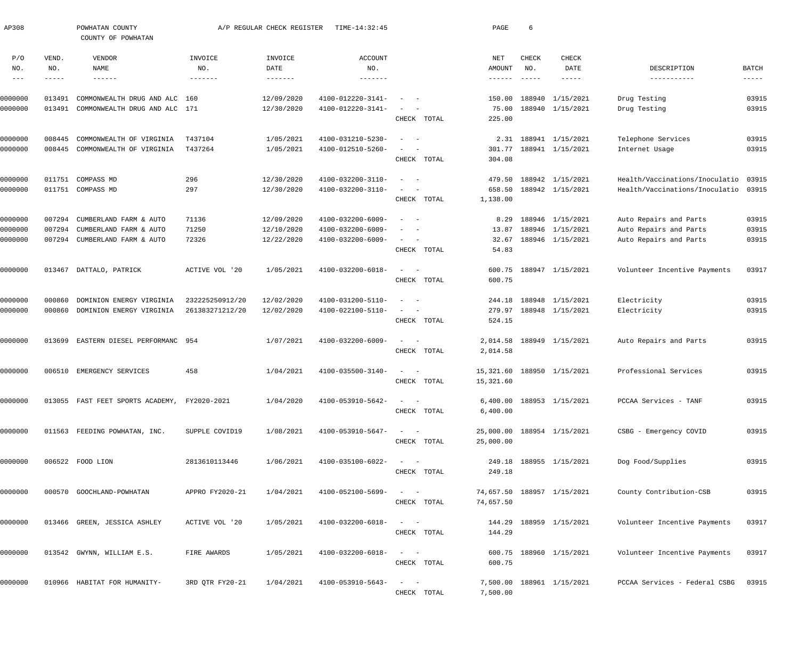| AP308                             |                             | POWHATAN COUNTY<br>COUNTY OF POWHATAN            |                                   | A/P REGULAR CHECK REGISTER | TIME-14:32:45                            |                                                                                                              | PAGE                               | 6                                                                                                                                                                                                                                                                                                                                                                                                            |                                      |                                                  |                               |
|-----------------------------------|-----------------------------|--------------------------------------------------|-----------------------------------|----------------------------|------------------------------------------|--------------------------------------------------------------------------------------------------------------|------------------------------------|--------------------------------------------------------------------------------------------------------------------------------------------------------------------------------------------------------------------------------------------------------------------------------------------------------------------------------------------------------------------------------------------------------------|--------------------------------------|--------------------------------------------------|-------------------------------|
| P/O<br>NO.<br>$\qquad \qquad - -$ | VEND.<br>NO.<br>$- - - - -$ | VENDOR<br>NAME<br>$- - - - - - -$                | INVOICE<br>NO.<br>$- - - - - - -$ | INVOICE<br>DATE            | <b>ACCOUNT</b><br>NO.<br>$- - - - - - -$ |                                                                                                              | NET<br>AMOUNT<br>$- - - - - - - -$ | CHECK<br>NO.<br>$\frac{1}{2} \frac{1}{2} \frac{1}{2} \frac{1}{2} \frac{1}{2} \frac{1}{2} \frac{1}{2} \frac{1}{2} \frac{1}{2} \frac{1}{2} \frac{1}{2} \frac{1}{2} \frac{1}{2} \frac{1}{2} \frac{1}{2} \frac{1}{2} \frac{1}{2} \frac{1}{2} \frac{1}{2} \frac{1}{2} \frac{1}{2} \frac{1}{2} \frac{1}{2} \frac{1}{2} \frac{1}{2} \frac{1}{2} \frac{1}{2} \frac{1}{2} \frac{1}{2} \frac{1}{2} \frac{1}{2} \frac{$ | CHECK<br>DATE<br>$- - - - - -$       | DESCRIPTION<br>-----------                       | <b>BATCH</b><br>$- - - - - -$ |
| 0000000                           | 013491                      | COMMONWEALTH DRUG AND ALC                        | 160                               | 12/09/2020                 | 4100-012220-3141-                        | $\sim$                                                                                                       | 150.00                             |                                                                                                                                                                                                                                                                                                                                                                                                              | 188940 1/15/2021                     | Drug Testing                                     | 03915                         |
| 0000000                           | 013491                      | COMMONWEALTH DRUG AND ALC 171                    |                                   | 12/30/2020                 | 4100-012220-3141-                        | $\sim$<br>CHECK TOTAL                                                                                        | 75.00<br>225.00                    |                                                                                                                                                                                                                                                                                                                                                                                                              | 188940 1/15/2021                     | Drug Testing                                     | 03915                         |
| 0000000                           | 008445                      | COMMONWEALTH OF VIRGINIA                         | T437104                           | 1/05/2021                  | 4100-031210-5230-                        | $\sim$ $-$<br>$\overline{\phantom{a}}$                                                                       |                                    |                                                                                                                                                                                                                                                                                                                                                                                                              | 2.31 188941 1/15/2021                | Telephone Services                               | 03915                         |
| 0000000                           | 008445                      | COMMONWEALTH OF VIRGINIA                         | T437264                           | 1/05/2021                  | 4100-012510-5260-                        | $\overline{\phantom{a}}$<br>CHECK TOTAL                                                                      | 301.77<br>304.08                   |                                                                                                                                                                                                                                                                                                                                                                                                              | 188941 1/15/2021                     | Internet Usage                                   | 03915                         |
| 0000000                           | 011751                      | COMPASS MD                                       | 296                               | 12/30/2020                 | 4100-032200-3110-                        | $\sim$ $-$<br>$\overline{\phantom{a}}$                                                                       | 479.50                             |                                                                                                                                                                                                                                                                                                                                                                                                              | 188942 1/15/2021                     | Health/Vaccinations/Inoculatio                   | 03915                         |
| 0000000                           |                             | 011751 COMPASS MD                                | 297                               | 12/30/2020                 | 4100-032200-3110-                        | $\overline{\phantom{a}}$<br>$\sim$<br>CHECK TOTAL                                                            | 658.50<br>1,138.00                 |                                                                                                                                                                                                                                                                                                                                                                                                              | 188942 1/15/2021                     | Health/Vaccinations/Inoculatio                   | 03915                         |
| 0000000                           | 007294                      | CUMBERLAND FARM & AUTO                           | 71136                             | 12/09/2020                 | 4100-032200-6009-                        | $\sim$ $-$<br>$\overline{\phantom{a}}$                                                                       | 8.29                               |                                                                                                                                                                                                                                                                                                                                                                                                              | 188946 1/15/2021                     | Auto Repairs and Parts                           | 03915                         |
| 0000000<br>0000000                | 007294<br>007294            | CUMBERLAND FARM & AUTO<br>CUMBERLAND FARM & AUTO | 71250<br>72326                    | 12/10/2020<br>12/22/2020   | 4100-032200-6009-<br>4100-032200-6009-   | $\overline{\phantom{a}}$<br>$\sim$<br>$\frac{1}{2}$ and $\frac{1}{2}$ and $\frac{1}{2}$                      | 13.87<br>32.67                     |                                                                                                                                                                                                                                                                                                                                                                                                              | 188946 1/15/2021<br>188946 1/15/2021 | Auto Repairs and Parts<br>Auto Repairs and Parts | 03915<br>03915                |
|                                   |                             |                                                  |                                   |                            |                                          | CHECK TOTAL                                                                                                  | 54.83                              |                                                                                                                                                                                                                                                                                                                                                                                                              |                                      |                                                  |                               |
| 0000000                           | 013467                      | DATTALO, PATRICK                                 | ACTIVE VOL '20                    | 1/05/2021                  | 4100-032200-6018-                        | $\sim$<br>$\sim$ $-$<br>CHECK TOTAL                                                                          | 600.75<br>600.75                   |                                                                                                                                                                                                                                                                                                                                                                                                              | 188947 1/15/2021                     | Volunteer Incentive Payments                     | 03917                         |
| 0000000                           | 000860                      | DOMINION ENERGY VIRGINIA                         | 232225250912/20                   | 12/02/2020                 | 4100-031200-5110-                        | $\sim$ $-$<br>$\overline{\phantom{a}}$                                                                       |                                    |                                                                                                                                                                                                                                                                                                                                                                                                              | 244.18 188948 1/15/2021              | Electricity                                      | 03915                         |
| 0000000                           | 000860                      | DOMINION ENERGY VIRGINIA                         | 261383271212/20                   | 12/02/2020                 | 4100-022100-5110-                        | $\overline{\phantom{a}}$<br>$\sim$<br>CHECK TOTAL                                                            | 279.97<br>524.15                   |                                                                                                                                                                                                                                                                                                                                                                                                              | 188948 1/15/2021                     | Electricity                                      | 03915                         |
| 0000000                           | 013699                      | EASTERN DIESEL PERFORMANC 954                    |                                   | 1/07/2021                  | 4100-032200-6009-                        | $\frac{1}{2} \left( \frac{1}{2} \right) \left( \frac{1}{2} \right) = \frac{1}{2} \left( \frac{1}{2} \right)$ | 2,014.58                           |                                                                                                                                                                                                                                                                                                                                                                                                              | 188949 1/15/2021                     | Auto Repairs and Parts                           | 03915                         |
|                                   |                             |                                                  |                                   |                            |                                          | CHECK TOTAL                                                                                                  | 2,014.58                           |                                                                                                                                                                                                                                                                                                                                                                                                              |                                      |                                                  |                               |
| 0000000                           | 006510                      | EMERGENCY SERVICES                               | 458                               | 1/04/2021                  | 4100-035500-3140-                        | $\sim$<br>$\sim$<br>CHECK TOTAL                                                                              | 15,321.60<br>15,321.60             |                                                                                                                                                                                                                                                                                                                                                                                                              | 188950 1/15/2021                     | Professional Services                            | 03915                         |
| 0000000                           |                             | 013055 FAST FEET SPORTS ACADEMY,                 | FY2020-2021                       | 1/04/2020                  | 4100-053910-5642-                        | CHECK TOTAL                                                                                                  | 6,400.00                           |                                                                                                                                                                                                                                                                                                                                                                                                              | 6,400.00 188953 1/15/2021            | PCCAA Services - TANF                            | 03915                         |
| 0000000                           |                             | 011563 FEEDING POWHATAN, INC.                    | SUPPLE COVID19                    | 1/08/2021                  | 4100-053910-5647-                        | $\frac{1}{2}$ and $\frac{1}{2}$ and $\frac{1}{2}$<br>CHECK TOTAL                                             | 25,000.00                          |                                                                                                                                                                                                                                                                                                                                                                                                              | 25,000.00 188954 1/15/2021           | CSBG - Emergency COVID                           | 03915                         |
| 0000000                           |                             | 006522 FOOD LION                                 | 2813610113446                     | 1/06/2021                  | 4100-035100-6022-                        | $\frac{1}{2}$ and $\frac{1}{2}$ and $\frac{1}{2}$                                                            |                                    |                                                                                                                                                                                                                                                                                                                                                                                                              | 249.18 188955 1/15/2021              | Dog Food/Supplies                                | 03915                         |
| 0000000                           |                             | 000570 GOOCHLAND-POWHATAN                        | APPRO FY2020-21                   | 1/04/2021                  | 4100-052100-5699-                        | CHECK TOTAL<br>$\sim$ $  -$                                                                                  | 249.18                             |                                                                                                                                                                                                                                                                                                                                                                                                              | 74,657.50 188957 1/15/2021           | County Contribution-CSB                          | 03915                         |
|                                   |                             |                                                  |                                   |                            |                                          | CHECK TOTAL                                                                                                  | 74,657.50                          |                                                                                                                                                                                                                                                                                                                                                                                                              |                                      |                                                  |                               |
| 0000000                           |                             | 013466 GREEN, JESSICA ASHLEY                     | ACTIVE VOL '20                    | 1/05/2021                  | 4100-032200-6018-                        | $\sim$ $  -$<br>CHECK TOTAL                                                                                  | 144.29                             |                                                                                                                                                                                                                                                                                                                                                                                                              | 144.29 188959 1/15/2021              | Volunteer Incentive Payments                     | 03917                         |
| 0000000                           |                             | 013542 GWYNN, WILLIAM E.S.                       | FIRE AWARDS                       | 1/05/2021                  | 4100-032200-6018-                        | $\sim$ $  -$<br>CHECK TOTAL                                                                                  | 600.75                             |                                                                                                                                                                                                                                                                                                                                                                                                              | 600.75 188960 1/15/2021              | Volunteer Incentive Payments                     | 03917                         |
| 0000000                           |                             | 010966 HABITAT FOR HUMANITY-                     | 3RD QTR FY20-21                   | 1/04/2021                  | 4100-053910-5643-                        | $\frac{1}{2}$ and $\frac{1}{2}$<br>CHECK TOTAL                                                               | 7,500.00                           |                                                                                                                                                                                                                                                                                                                                                                                                              | 7,500.00 188961 1/15/2021            | PCCAA Services - Federal CSBG                    | 03915                         |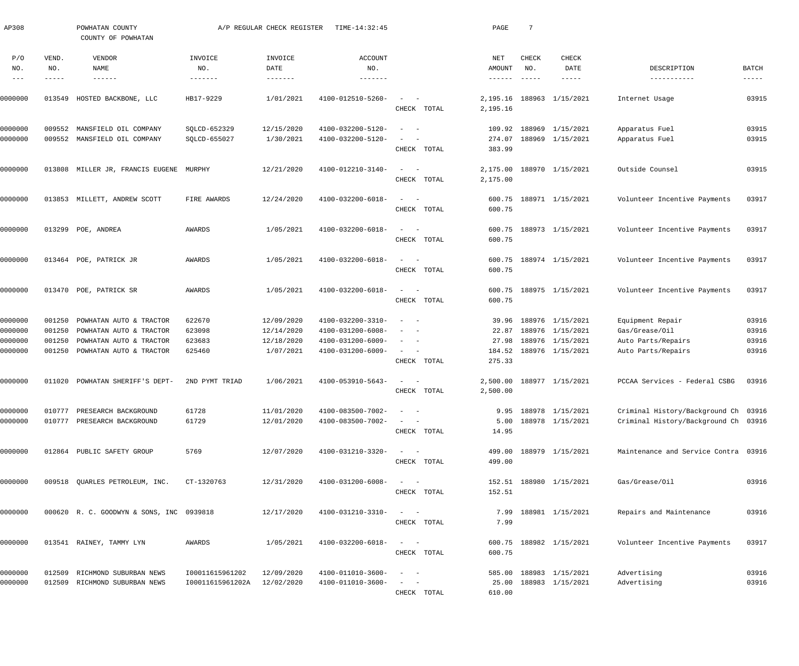| AP308                                    |                                      | POWHATAN COUNTY<br>COUNTY OF POWHATAN                                                                    |                                      | A/P REGULAR CHECK REGISTER                          | TIME-14:32:45                                                                    |                                                                                                                                                                                  | PAGE                                        | -7                                   |                                                                              |                                                                                |                                  |
|------------------------------------------|--------------------------------------|----------------------------------------------------------------------------------------------------------|--------------------------------------|-----------------------------------------------------|----------------------------------------------------------------------------------|----------------------------------------------------------------------------------------------------------------------------------------------------------------------------------|---------------------------------------------|--------------------------------------|------------------------------------------------------------------------------|--------------------------------------------------------------------------------|----------------------------------|
| P/O<br>NO.<br>$\qquad \qquad - -$        | VEND.<br>NO.<br>-----                | VENDOR<br>NAME<br>------                                                                                 | INVOICE<br>NO.<br>$- - - - - - -$    | INVOICE<br>DATE<br>-------                          | <b>ACCOUNT</b><br>NO.<br>$- - - - - - -$                                         |                                                                                                                                                                                  | NET<br>AMOUNT<br>$\cdots\cdots\cdots\cdots$ | <b>CHECK</b><br>NO.<br>$- - - - - -$ | CHECK<br>DATE<br>-----                                                       | DESCRIPTION<br>-----------                                                     | <b>BATCH</b><br>-----            |
| 0000000                                  | 013549                               | HOSTED BACKBONE, LLC                                                                                     | HB17-9229                            | 1/01/2021                                           | 4100-012510-5260-                                                                | CHECK TOTAL                                                                                                                                                                      | 2,195.16<br>2,195.16                        |                                      | 188963 1/15/2021                                                             | Internet Usage                                                                 | 03915                            |
| 0000000<br>0000000                       | 009552                               | MANSFIELD OIL COMPANY<br>009552 MANSFIELD OIL COMPANY                                                    | SQLCD-652329<br>SQLCD-655027         | 12/15/2020<br>1/30/2021                             | 4100-032200-5120-<br>4100-032200-5120-                                           | $\sim$<br>CHECK TOTAL                                                                                                                                                            | 109.92<br>274.07<br>383.99                  |                                      | 188969 1/15/2021<br>188969 1/15/2021                                         | Apparatus Fuel<br>Apparatus Fuel                                               | 03915<br>03915                   |
| 0000000                                  |                                      | 013808 MILLER JR, FRANCIS EUGENE                                                                         | MURPHY                               | 12/21/2020                                          | 4100-012210-3140-                                                                | $\sim$<br>CHECK TOTAL                                                                                                                                                            | 2,175.00<br>2,175.00                        |                                      | 188970 1/15/2021                                                             | Outside Counsel                                                                | 03915                            |
| 0000000                                  |                                      | 013853 MILLETT, ANDREW SCOTT                                                                             | FIRE AWARDS                          | 12/24/2020                                          | 4100-032200-6018-                                                                | $\sim$<br>CHECK TOTAL                                                                                                                                                            | 600.75<br>600.75                            |                                      | 188971 1/15/2021                                                             | Volunteer Incentive Payments                                                   | 03917                            |
| 0000000                                  |                                      | 013299 POE, ANDREA                                                                                       | AWARDS                               | 1/05/2021                                           | 4100-032200-6018-                                                                | $\sim$<br>CHECK TOTAL                                                                                                                                                            | 600.75<br>600.75                            |                                      | 188973 1/15/2021                                                             | Volunteer Incentive Payments                                                   | 03917                            |
| 0000000                                  |                                      | 013464 POE, PATRICK JR                                                                                   | AWARDS                               | 1/05/2021                                           | 4100-032200-6018-                                                                | $\sim$<br>CHECK TOTAL                                                                                                                                                            | 600.75<br>600.75                            |                                      | 188974 1/15/2021                                                             | Volunteer Incentive Payments                                                   | 03917                            |
| 0000000                                  |                                      | 013470 POE, PATRICK SR                                                                                   | AWARDS                               | 1/05/2021                                           | 4100-032200-6018-                                                                | $\sim$<br>CHECK TOTAL                                                                                                                                                            | 600.75<br>600.75                            |                                      | 188975 1/15/2021                                                             | Volunteer Incentive Payments                                                   | 03917                            |
| 0000000<br>0000000<br>0000000<br>0000000 | 001250<br>001250<br>001250<br>001250 | POWHATAN AUTO & TRACTOR<br>POWHATAN AUTO & TRACTOR<br>POWHATAN AUTO & TRACTOR<br>POWHATAN AUTO & TRACTOR | 622670<br>623098<br>623683<br>625460 | 12/09/2020<br>12/14/2020<br>12/18/2020<br>1/07/2021 | 4100-032200-3310-<br>4100-031200-6008-<br>4100-031200-6009-<br>4100-031200-6009- | - -<br>$\sim$<br>$\sim$<br>$\sim$<br>CHECK TOTAL                                                                                                                                 | 39.96<br>22.87<br>27.98<br>184.52<br>275.33 |                                      | 188976 1/15/2021<br>188976 1/15/2021<br>188976 1/15/2021<br>188976 1/15/2021 | Equipment Repair<br>Gas/Grease/Oil<br>Auto Parts/Repairs<br>Auto Parts/Repairs | 03916<br>03916<br>03916<br>03916 |
| 0000000                                  | 011020                               | POWHATAN SHERIFF'S DEPT-                                                                                 | 2ND PYMT TRIAD                       | 1/06/2021                                           | 4100-053910-5643-                                                                | CHECK TOTAL                                                                                                                                                                      | 2,500.00<br>2,500.00                        |                                      | 188977 1/15/2021                                                             | PCCAA Services - Federal CSBG                                                  | 03916                            |
| 0000000<br>0000000                       | 010777<br>010777                     | PRESEARCH BACKGROUND<br>PRESEARCH BACKGROUND                                                             | 61728<br>61729                       | 11/01/2020<br>12/01/2020                            | 4100-083500-7002-<br>4100-083500-7002-                                           | $\sim$ 100 $\sim$ 100 $\sim$<br>CHECK TOTAL                                                                                                                                      | 5.00<br>14.95                               |                                      | 9.95 188978 1/15/2021<br>188978 1/15/2021                                    | Criminal History/Background Ch 03916<br>Criminal History/Background Ch 03916   |                                  |
| 0000000                                  |                                      | 012864 PUBLIC SAFETY GROUP                                                                               | 5769                                 | 12/07/2020                                          | 4100-031210-3320-                                                                | $\qquad \qquad -$<br>CHECK TOTAL                                                                                                                                                 | 499.00                                      |                                      | 499.00 188979 1/15/2021                                                      | Maintenance and Service Contra 03916                                           |                                  |
| 0000000                                  |                                      | 009518 QUARLES PETROLEUM, INC.                                                                           | CT-1320763                           | 12/31/2020                                          | 4100-031200-6008-                                                                | $\qquad \qquad -$<br>CHECK TOTAL                                                                                                                                                 | 152.51                                      |                                      | 152.51 188980 1/15/2021                                                      | Gas/Grease/Oil                                                                 | 03916                            |
| 0000000                                  |                                      | 000620 R. C. GOODWYN & SONS, INC 0939818                                                                 |                                      | 12/17/2020                                          | 4100-031210-3310-                                                                | $\qquad \qquad -$<br>CHECK TOTAL                                                                                                                                                 | 7.99                                        |                                      | 7.99 188981 1/15/2021                                                        | Repairs and Maintenance                                                        | 03916                            |
| 0000000                                  |                                      | 013541 RAINEY, TAMMY LYN                                                                                 | AWARDS                               | 1/05/2021                                           | 4100-032200-6018-                                                                | $\qquad \qquad -$<br>CHECK TOTAL                                                                                                                                                 | 600.75                                      |                                      | 600.75 188982 1/15/2021                                                      | Volunteer Incentive Payments                                                   | 03917                            |
| 0000000<br>0000000                       |                                      | 012509 RICHMOND SUBURBAN NEWS<br>012509 RICHMOND SUBURBAN NEWS                                           | 100011615961202<br>I00011615961202A  | 12/09/2020<br>12/02/2020                            | 4100-011010-3600-<br>4100-011010-3600-                                           | $\frac{1}{2} \left( \frac{1}{2} \right) \left( \frac{1}{2} \right) = \frac{1}{2} \left( \frac{1}{2} \right)$<br>$\frac{1}{2}$ and $\frac{1}{2}$ and $\frac{1}{2}$<br>CHECK TOTAL | 610.00                                      |                                      | 585.00 188983 1/15/2021<br>25.00 188983 1/15/2021                            | Advertising<br>Advertising                                                     | 03916<br>03916                   |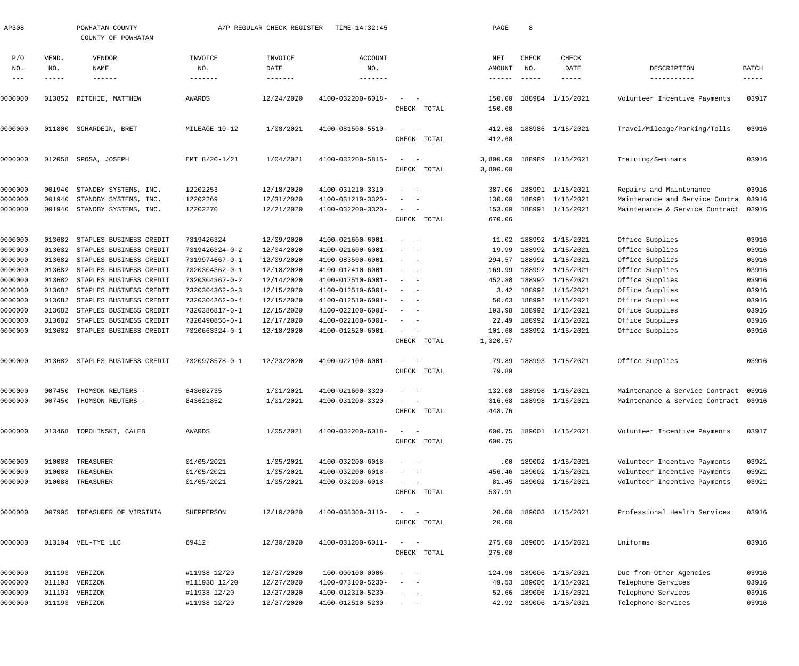| AP308   |        | POWHATAN COUNTY<br>COUNTY OF POWHATAN |                   | A/P REGULAR CHECK REGISTER | TIME-14:32:45                |                                    | PAGE            | 8             |                         |                                      |                      |
|---------|--------|---------------------------------------|-------------------|----------------------------|------------------------------|------------------------------------|-----------------|---------------|-------------------------|--------------------------------------|----------------------|
| P/O     | VEND.  | VENDOR                                | INVOICE           | INVOICE                    | ACCOUNT                      |                                    | NET             | CHECK         | CHECK                   |                                      |                      |
| NO.     | NO.    | NAME                                  | NO.               | DATE                       | NO.                          |                                    | AMOUNT          | NO.           | DATE                    | DESCRIPTION                          | BATCH                |
| $---$   | -----  | $\cdots\cdots\cdots\cdots$            | $- - - - - - - -$ | -------                    | -------                      |                                    | $- - - - - - -$ | $- - - - - -$ | -----                   | -----------                          | $\cdots\cdots\cdots$ |
| 0000000 | 013852 | RITCHIE, MATTHEW                      | AWARDS            | 12/24/2020                 | 4100-032200-6018-            |                                    | 150.00          |               | 188984 1/15/2021        | Volunteer Incentive Payments         | 03917                |
|         |        |                                       |                   |                            |                              | CHECK TOTAL                        | 150.00          |               |                         |                                      |                      |
| 0000000 | 011800 | SCHARDEIN, BRET                       | MILEAGE 10-12     | 1/08/2021                  | 4100-081500-5510-            | $\sim$                             | 412.68          |               | 188986 1/15/2021        | Travel/Mileage/Parking/Tolls         | 03916                |
|         |        |                                       |                   |                            |                              | CHECK TOTAL                        | 412.68          |               |                         |                                      |                      |
| 0000000 | 012058 | SPOSA, JOSEPH                         | EMT 8/20-1/21     | 1/04/2021                  | 4100-032200-5815-            | $\sim$                             | 3,800.00        |               | 188989 1/15/2021        | Training/Seminars                    | 03916                |
|         |        |                                       |                   |                            |                              | CHECK TOTAL                        | 3,800.00        |               |                         |                                      |                      |
| 0000000 | 001940 | STANDBY SYSTEMS, INC.                 | 12202253          | 12/18/2020                 | 4100-031210-3310-            | $\overline{\phantom{a}}$           | 387.06          |               | 188991 1/15/2021        | Repairs and Maintenance              | 03916                |
| 0000000 | 001940 | STANDBY SYSTEMS, INC.                 | 12202269          | 12/31/2020                 | 4100-031210-3320-            |                                    | 130.00          |               | 188991 1/15/2021        | Maintenance and Service Contra       | 03916                |
| 0000000 | 001940 | STANDBY SYSTEMS, INC.                 | 12202270          | 12/21/2020                 | 4100-032200-3320-            | $\sim$                             | 153.00          |               | 188991 1/15/2021        | Maintenance & Service Contract       | 03916                |
|         |        |                                       |                   |                            |                              | CHECK TOTAL                        | 670.06          |               |                         |                                      |                      |
| 0000000 | 013682 | STAPLES BUSINESS CREDIT               | 7319426324        | 12/09/2020                 | 4100-021600-6001-            | $\overline{\phantom{0}}$           | 11.02           |               | 188992 1/15/2021        | Office Supplies                      | 03916                |
| 0000000 | 013682 | STAPLES BUSINESS CREDIT               | 7319426324-0-2    | 12/04/2020                 | 4100-021600-6001-            |                                    | 19.99           |               | 188992 1/15/2021        | Office Supplies                      | 03916                |
| 0000000 | 013682 | STAPLES BUSINESS CREDIT               | 7319974667-0-1    | 12/09/2020                 | 4100-083500-6001-            | $\sim$                             | 294.57          |               | 188992 1/15/2021        | Office Supplies                      | 03916                |
| 0000000 | 013682 | STAPLES BUSINESS CREDIT               | 7320304362-0-1    | 12/18/2020                 | 4100-012410-6001-            | $\overline{\phantom{m}}$<br>- -    | 169.99          |               | 188992 1/15/2021        | Office Supplies                      | 03916                |
| 0000000 | 013682 | STAPLES BUSINESS CREDIT               | 7320304362-0-2    | 12/14/2020                 | 4100-012510-6001-            | $\sim$                             | 452.88          |               | 188992 1/15/2021        | Office Supplies                      | 03916                |
| 0000000 | 013682 | STAPLES BUSINESS CREDIT               | 7320304362-0-3    | 12/15/2020                 | 4100-012510-6001-            | $\overline{\phantom{m}}$<br>- -    | 3.42            |               | 188992 1/15/2021        | Office Supplies                      | 03916                |
| 0000000 | 013682 | STAPLES BUSINESS CREDIT               | 7320304362-0-4    | 12/15/2020                 | 4100-012510-6001-            | $\overline{\phantom{m}}$<br>- -    | 50.63           |               | 188992 1/15/2021        | Office Supplies                      | 03916                |
| 0000000 | 013682 | STAPLES BUSINESS CREDIT               | 7320386817-0-1    | 12/15/2020                 | 4100-022100-6001-            | - -                                | 193.98          |               | 188992 1/15/2021        | Office Supplies                      | 03916                |
| 0000000 | 013682 | STAPLES BUSINESS CREDIT               | 7320490856-0-1    | 12/17/2020                 | 4100-022100-6001-            | $\overline{\phantom{m}}$<br>$\sim$ | 22.49           |               | 188992 1/15/2021        | Office Supplies                      | 03916                |
| 0000000 | 013682 | STAPLES BUSINESS CREDIT               | 7320663324-0-1    | 12/18/2020                 | 4100-012520-6001-            | $\sim$                             | 101.60          |               | 188992 1/15/2021        | Office Supplies                      | 03916                |
|         |        |                                       |                   |                            |                              | CHECK TOTAL                        | 1,320.57        |               |                         |                                      |                      |
| 0000000 | 013682 | STAPLES BUSINESS CREDIT               | 7320978578-0-1    | 12/23/2020                 | 4100-022100-6001-            | $\sim$<br>$\overline{\phantom{a}}$ | 79.89           |               | 188993 1/15/2021        | Office Supplies                      | 03916                |
|         |        |                                       |                   |                            |                              | CHECK TOTAL                        | 79.89           |               |                         |                                      |                      |
| 0000000 | 007450 | THOMSON REUTERS -                     | 843602735         | 1/01/2021                  | 4100-021600-3320-            |                                    |                 |               | 132.08 188998 1/15/2021 | Maintenance & Service Contract 03916 |                      |
| 0000000 |        | 007450 THOMSON REUTERS -              | 843621852         | 1/01/2021                  | $4100 - 031200 - 3320 - - -$ |                                    |                 |               | 316.68 188998 1/15/2021 | Maintenance & Service Contract 03916 |                      |
|         |        |                                       |                   |                            |                              | CHECK TOTAL                        | 448.76          |               |                         |                                      |                      |
| 0000000 |        | 013468 TOPOLINSKI, CALEB              | AWARDS            | 1/05/2021                  | 4100-032200-6018-            | $\sim$ 100 $\sim$ 100 $\sim$       |                 |               | 600.75 189001 1/15/2021 | Volunteer Incentive Payments         | 03917                |
|         |        |                                       |                   |                            |                              | CHECK TOTAL                        | 600.75          |               |                         |                                      |                      |
| 0000000 |        | 010088 TREASURER                      | 01/05/2021        | 1/05/2021                  | 4100-032200-6018-            | $\sim$ $-$                         | $.00 \,$        |               | 189002 1/15/2021        | Volunteer Incentive Payments         | 03921                |
| 0000000 | 010088 | TREASURER                             | 01/05/2021        | 1/05/2021                  | 4100-032200-6018-            |                                    | 456.46          |               | 189002 1/15/2021        | Volunteer Incentive Payments         | 03921                |
| 0000000 |        | 010088 TREASURER                      | 01/05/2021        | 1/05/2021                  | 4100-032200-6018-            |                                    | 81.45           |               | 189002 1/15/2021        | Volunteer Incentive Payments         | 03921                |
|         |        |                                       |                   |                            |                              | CHECK TOTAL                        | 537.91          |               |                         |                                      |                      |
| 0000000 |        | 007905 TREASURER OF VIRGINIA          | SHEPPERSON        | 12/10/2020                 | 4100-035300-3110-            | $\sim$ .                           |                 |               | 20.00 189003 1/15/2021  | Professional Health Services         | 03916                |
|         |        |                                       |                   |                            |                              | CHECK TOTAL                        | 20.00           |               |                         |                                      |                      |
| 0000000 |        | 013104 VEL-TYE LLC                    | 69412             | 12/30/2020                 | 4100-031200-6011-            |                                    |                 |               | 275.00 189005 1/15/2021 | Uniforms                             | 03916                |
|         |        |                                       |                   |                            |                              | CHECK TOTAL                        | 275.00          |               |                         |                                      |                      |
| 0000000 |        | 011193 VERIZON                        | #11938 12/20      | 12/27/2020                 | 100-000100-0006-             | $\sim$                             | 124.90          |               | 189006 1/15/2021        | Due from Other Agencies              | 03916                |
| 0000000 |        | 011193 VERIZON                        | #111938 12/20     | 12/27/2020                 | 4100-073100-5230-            |                                    | 49.53           |               | 189006 1/15/2021        | Telephone Services                   | 03916                |
| 0000000 |        | 011193 VERIZON                        | #11938 12/20      | 12/27/2020                 | 4100-012310-5230-            |                                    | 52.66           |               | 189006 1/15/2021        | Telephone Services                   | 03916                |
| 0000000 |        | 011193 VERIZON                        | #11938 12/20      | 12/27/2020                 | 4100-012510-5230-            | $\sim$ $ -$                        |                 |               | 42.92 189006 1/15/2021  | Telephone Services                   | 03916                |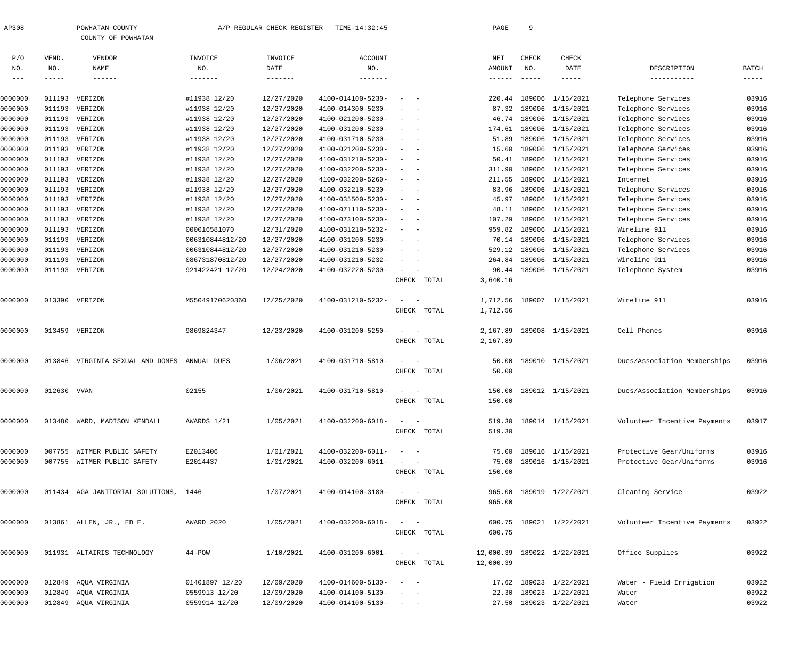| AP308 | POWHATAN COUNTY |                    | A/P REGULAR CHECK REGISTI |  |
|-------|-----------------|--------------------|---------------------------|--|
|       |                 | COUNTY OF POWHATAN |                           |  |

 $\texttt{STER}$  TIME-14:32:45 PAGE 9

| P/O     | VEND.         | VENDOR                                | INVOICE         | INVOICE           | ACCOUNT                    |                                                           |             | NET             | CHECK         | CHECK                   |                              |                      |
|---------|---------------|---------------------------------------|-----------------|-------------------|----------------------------|-----------------------------------------------------------|-------------|-----------------|---------------|-------------------------|------------------------------|----------------------|
| NO.     | NO.           | NAME                                  | NO.             | DATE              | NO.                        |                                                           |             | AMOUNT          | NO.           | DATE                    | DESCRIPTION                  | BATCH                |
| $--\,-$ | $- - - - - -$ | $- - - - - - -$                       | $- - - - - - -$ | $- - - - - - - -$ | $\cdots\cdots\cdots\cdots$ |                                                           |             | $- - - - - - -$ | $- - - - - -$ | $- - - - - -$           | -----------                  | $\cdots\cdots\cdots$ |
|         |               |                                       |                 |                   |                            | $\sim$                                                    |             |                 |               |                         |                              |                      |
| 0000000 | 011193        | VERIZON                               | #11938 12/20    | 12/27/2020        | 4100-014100-5230-          |                                                           |             | 220.44          | 189006        | 1/15/2021               | Telephone Services           | 03916                |
| 0000000 | 011193        | VERIZON                               | #11938 12/20    | 12/27/2020        | 4100-014300-5230-          |                                                           |             | 87.32           | 189006        | 1/15/2021               | Telephone Services           | 03916                |
| 0000000 | 011193        | VERIZON                               | #11938 12/20    | 12/27/2020        | 4100-021200-5230-          | $\overline{\phantom{a}}$                                  |             | 46.74           | 189006        | 1/15/2021               | Telephone Services           | 03916                |
| 0000000 | 011193        | VERIZON                               | #11938 12/20    | 12/27/2020        | 4100-031200-5230-          | $\overline{\phantom{a}}$                                  |             | 174.61          | 189006        | 1/15/2021               | Telephone Services           | 03916                |
| 0000000 | 011193        | VERIZON                               | #11938 12/20    | 12/27/2020        | 4100-031710-5230-          | $\sim$                                                    |             | 51.89           | 189006        | 1/15/2021               | Telephone Services           | 03916                |
| 0000000 | 011193        | VERIZON                               | #11938 12/20    | 12/27/2020        | 4100-021200-5230-          | $\overline{\phantom{a}}$                                  |             | 15.60           | 189006        | 1/15/2021               | Telephone Services           | 03916                |
| 0000000 | 011193        | VERIZON                               | #11938 12/20    | 12/27/2020        | 4100-031210-5230-          | $\overline{\phantom{a}}$                                  |             | 50.41           | 189006        | 1/15/2021               | Telephone Services           | 03916                |
| 0000000 | 011193        | VERIZON                               | #11938 12/20    | 12/27/2020        | 4100-032200-5230-          | $\overline{\phantom{a}}$                                  |             | 311.90          | 189006        | 1/15/2021               | Telephone Services           | 03916                |
| 0000000 | 011193        | VERIZON                               | #11938 12/20    | 12/27/2020        | 4100-032200-5260-          | $\sim$                                                    |             | 211.55          | 189006        | 1/15/2021               | Internet                     | 03916                |
| 0000000 | 011193        | VERIZON                               | #11938 12/20    | 12/27/2020        | 4100-032210-5230-          | $\sim$                                                    |             | 83.96           | 189006        | 1/15/2021               | Telephone Services           | 03916                |
| 0000000 | 011193        | VERIZON                               | #11938 12/20    | 12/27/2020        | 4100-035500-5230-          | $\overline{\phantom{a}}$                                  |             | 45.97           | 189006        | 1/15/2021               | Telephone Services           | 03916                |
| 0000000 | 011193        | VERIZON                               | #11938 12/20    | 12/27/2020        | 4100-071110-5230-          | $\overline{\phantom{a}}$                                  |             | 48.11           | 189006        | 1/15/2021               | Telephone Services           | 03916                |
| 0000000 | 011193        | VERIZON                               | #11938 12/20    | 12/27/2020        | 4100-073100-5230-          | $\sim$                                                    |             | 107.29          | 189006        | 1/15/2021               | Telephone Services           | 03916                |
| 0000000 | 011193        | VERIZON                               | 000016581070    | 12/31/2020        | 4100-031210-5232-          | $\sim$                                                    |             | 959.82          | 189006        | 1/15/2021               | Wireline 911                 | 03916                |
| 0000000 | 011193        | VERIZON                               | 006310844812/20 | 12/27/2020        | 4100-031200-5230-          | $\overline{\phantom{a}}$                                  |             | 70.14           | 189006        | 1/15/2021               | Telephone Services           | 03916                |
| 0000000 | 011193        | VERIZON                               | 006310844812/20 | 12/27/2020        | 4100-031210-5230-          | $\overline{\phantom{a}}$                                  |             | 529.12          | 189006        | 1/15/2021               | Telephone Services           | 03916                |
| 0000000 | 011193        | VERIZON                               | 086731870812/20 | 12/27/2020        | 4100-031210-5232-          | $\overline{\phantom{a}}$                                  |             | 264.84          |               | 189006 1/15/2021        | Wireline 911                 | 03916                |
| 0000000 | 011193        | VERIZON                               | 921422421 12/20 | 12/24/2020        | 4100-032220-5230-          | $\sim$                                                    |             | 90.44           |               | 189006 1/15/2021        | Telephone System             | 03916                |
|         |               |                                       |                 |                   |                            | CHECK                                                     | TOTAL       | 3,640.16        |               |                         |                              |                      |
| 0000000 | 013390        | VERIZON                               | M55049170620360 | 12/25/2020        | 4100-031210-5232-          |                                                           |             | 1,712.56        |               | 189007 1/15/2021        | Wireline 911                 | 03916                |
|         |               |                                       |                 |                   |                            | CHECK                                                     | TOTAL       | 1,712.56        |               |                         |                              |                      |
| 0000000 | 013459        | VERIZON                               | 9869824347      | 12/23/2020        | 4100-031200-5250-          |                                                           |             | 2,167.89        |               | 189008 1/15/2021        | Cell Phones                  | 03916                |
|         |               |                                       |                 |                   |                            | CHECK                                                     | TOTAL       | 2,167.89        |               |                         |                              |                      |
|         |               |                                       |                 |                   |                            |                                                           |             |                 |               |                         |                              |                      |
| 0000000 | 013846        | VIRGINIA SEXUAL AND DOMES             | ANNUAL DUES     | 1/06/2021         | 4100-031710-5810-          |                                                           |             | 50.00           |               | 189010 1/15/2021        | Dues/Association Memberships | 03916                |
|         |               |                                       |                 |                   |                            | CHECK                                                     | TOTAL       | 50.00           |               |                         |                              |                      |
|         | 012630        | VVAN                                  | 02155           | 1/06/2021         | 4100-031710-5810-          |                                                           |             | 150.00          |               | 189012 1/15/2021        | Dues/Association Memberships | 03916                |
| 0000000 |               |                                       |                 |                   |                            |                                                           |             |                 |               |                         |                              |                      |
|         |               |                                       |                 |                   |                            |                                                           | CHECK TOTAL | 150.00          |               |                         |                              |                      |
| 0000000 | 013480        | WARD, MADISON KENDALL                 | AWARDS 1/21     | 1/05/2021         | 4100-032200-6018-          | $\overline{\phantom{a}}$                                  |             |                 |               | 519.30 189014 1/15/2021 | Volunteer Incentive Payments | 03917                |
|         |               |                                       |                 |                   |                            |                                                           | CHECK TOTAL | 519.30          |               |                         |                              |                      |
| 0000000 | 007755        | WITMER PUBLIC SAFETY                  | E2013406        | 1/01/2021         | 4100-032200-6011-          | $\sim$                                                    |             | 75.00           |               | 189016 1/15/2021        | Protective Gear/Uniforms     | 03916                |
| 0000000 |               | 007755 WITMER PUBLIC SAFETY           | E2014437        | 1/01/2021         | 4100-032200-6011-          | $\begin{array}{cccccccccc} - & & & & & & & - \end{array}$ |             | 75.00           |               | 189016 1/15/2021        | Protective Gear/Uniforms     | 03916                |
|         |               |                                       |                 |                   |                            |                                                           | CHECK TOTAL | 150.00          |               |                         |                              |                      |
|         |               |                                       |                 |                   |                            |                                                           |             |                 |               |                         |                              |                      |
| 0000000 |               | 011434 AGA JANITORIAL SOLUTIONS, 1446 |                 | 1/07/2021         | 4100-014100-3180-          | $\frac{1}{2}$ and $\frac{1}{2}$ and $\frac{1}{2}$         |             | 965.00          |               | 189019 1/22/2021        | Cleaning Service             | 03922                |
|         |               |                                       |                 |                   |                            |                                                           | CHECK TOTAL | 965.00          |               |                         |                              |                      |
|         |               |                                       |                 |                   |                            |                                                           |             |                 |               |                         |                              |                      |
| 0000000 |               | 013861 ALLEN, JR., ED E.              | AWARD 2020      | 1/05/2021         | 4100-032200-6018-          | $\qquad \qquad -$                                         |             | 600.75          |               | 189021 1/22/2021        | Volunteer Incentive Payments | 03922                |
|         |               |                                       |                 |                   |                            |                                                           | CHECK TOTAL | 600.75          |               |                         |                              |                      |
|         |               |                                       |                 |                   |                            |                                                           |             | 12,000.39       |               |                         |                              |                      |
| 0000000 |               | 011931 ALTAIRIS TECHNOLOGY            | $44 - POW$      | 1/10/2021         | 4100-031200-6001-          | $\sim$ 100 $\sim$                                         |             |                 |               | 189022 1/22/2021        | Office Supplies              | 03922                |
|         |               |                                       |                 |                   |                            |                                                           | CHECK TOTAL | 12,000.39       |               |                         |                              |                      |
| 0000000 | 012849        | AQUA VIRGINIA                         | 01401897 12/20  | 12/09/2020        | 4100-014600-5130-          | $\sim$                                                    |             |                 |               | 17.62 189023 1/22/2021  | Water - Field Irrigation     | 03922                |
| 0000000 | 012849        | AQUA VIRGINIA                         | 0559913 12/20   | 12/09/2020        | 4100-014100-5130-          |                                                           |             |                 |               | 22.30 189023 1/22/2021  | Water                        | 03922                |
| 0000000 |               | 012849 AQUA VIRGINIA                  | 0559914 12/20   | 12/09/2020        | 4100-014100-5130-          | $\alpha = 1, \ldots, n-1$                                 |             |                 |               | 27.50 189023 1/22/2021  | Water                        | 03922                |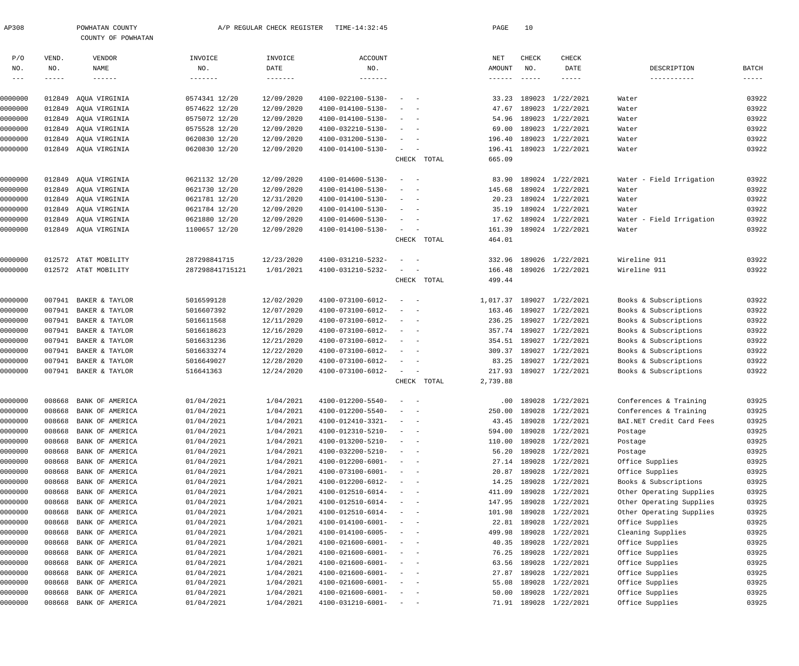| AP308              |                  | POWHATAN COUNTY<br>COUNTY OF POWHATAN |                          | A/P REGULAR CHECK REGISTER | TIME-14:32:45                          |                                                                                                                |             | PAGE            | 10            |                                      |                                      |                           |
|--------------------|------------------|---------------------------------------|--------------------------|----------------------------|----------------------------------------|----------------------------------------------------------------------------------------------------------------|-------------|-----------------|---------------|--------------------------------------|--------------------------------------|---------------------------|
| P/O                | VEND.            | VENDOR                                | INVOICE                  | INVOICE                    | <b>ACCOUNT</b>                         |                                                                                                                |             | NET             | CHECK         | CHECK                                |                                      |                           |
| NO.                | NO.              | NAME                                  | NO.                      | DATE                       | NO.                                    |                                                                                                                |             | AMOUNT          | NO.           | DATE                                 | DESCRIPTION                          | BATCH                     |
| $--\,$ $-$         | $- - - - -$      | $\qquad \qquad - - - - - -$           | -------                  | $- - - - - - - -$          | -------                                |                                                                                                                |             | $- - - - - - -$ | $- - - - - -$ | $- - - - - -$                        | -----------                          | $\qquad \qquad - - - - -$ |
| 0000000            | 012849           | AQUA VIRGINIA                         | 0574341 12/20            | 12/09/2020                 | 4100-022100-5130-                      | $\sim$ $-$                                                                                                     |             | 33.23           |               | 189023 1/22/2021                     | Water                                | 03922                     |
| 0000000            | 012849           | AQUA VIRGINIA                         | 0574622 12/20            | 12/09/2020                 | 4100-014100-5130-                      | $\sim$<br>$\sim$ $-$                                                                                           |             | 47.67           |               | 189023 1/22/2021                     | Water                                | 03922                     |
| 0000000            | 012849           | AOUA VIRGINIA                         | 0575072 12/20            | 12/09/2020                 | 4100-014100-5130-                      | $\sim$<br>$\sim$ $-$                                                                                           |             | 54.96           |               | 189023 1/22/2021                     | Water                                | 03922                     |
| 0000000            | 012849           | AQUA VIRGINIA                         | 0575528 12/20            | 12/09/2020                 | 4100-032210-5130-                      | $\sim$<br>$\sim$ $-$                                                                                           |             | 69.00           |               | 189023 1/22/2021                     | Water                                | 03922                     |
| 0000000            | 012849           | AQUA VIRGINIA                         | 0620830 12/20            | 12/09/2020                 | 4100-031200-5130-                      | $\sim$<br>$\sim$ $-$                                                                                           |             | 196.40          |               | 189023 1/22/2021                     | Water                                | 03922                     |
| 0000000            |                  | 012849 AQUA VIRGINIA                  | 0620830 12/20            | 12/09/2020                 | 4100-014100-5130-                      | $\sim$<br>$\sim$ $-$                                                                                           |             | 196.41          |               | 189023 1/22/2021                     | Water                                | 03922                     |
|                    |                  |                                       |                          |                            |                                        |                                                                                                                | CHECK TOTAL | 665.09          |               |                                      |                                      |                           |
| 0000000            | 012849           | AQUA VIRGINIA                         | 0621132 12/20            | 12/09/2020                 | 4100-014600-5130-                      | $\sim$ $-$                                                                                                     |             | 83.90           |               | 189024 1/22/2021                     | Water - Field Irrigation             | 03922                     |
| 0000000            | 012849           | AQUA VIRGINIA                         | 0621730 12/20            | 12/09/2020                 | 4100-014100-5130-                      | $\sim$<br>$\sim$ $-$                                                                                           |             | 145.68          |               | 189024 1/22/2021                     | Water                                | 03922                     |
| 0000000            | 012849           | AQUA VIRGINIA                         | 0621781 12/20            | 12/31/2020                 | 4100-014100-5130-                      | $\sim$<br>$\sim$ $-$                                                                                           |             | 20.23           |               | 189024 1/22/2021                     | Water                                | 03922                     |
| 0000000            | 012849           | AQUA VIRGINIA                         | 0621784 12/20            | 12/09/2020                 | 4100-014100-5130-                      | $\sim$<br>$\sim$ $-$                                                                                           |             | 35.19           |               | 189024 1/22/2021                     | Water                                | 03922                     |
| 0000000            | 012849           | AQUA VIRGINIA                         | 0621880 12/20            | 12/09/2020                 | 4100-014600-5130-                      | $\sim$<br>$\sim$ $-$                                                                                           |             | 17.62           |               | 189024 1/22/2021                     | Water - Field Irrigation             | 03922                     |
| 0000000            |                  | 012849 AQUA VIRGINIA                  | 1100657 12/20            | 12/09/2020                 | 4100-014100-5130-                      | $\sim$<br>$\sim$ $-$                                                                                           |             | 161.39          |               | 189024 1/22/2021                     | Water                                | 03922                     |
|                    |                  |                                       |                          |                            |                                        |                                                                                                                | CHECK TOTAL | 464.01          |               |                                      |                                      |                           |
| 0000000            | 012572           | AT&T MOBILITY                         | 287298841715             | 12/23/2020                 | 4100-031210-5232-                      | $\sim$ $-$                                                                                                     |             | 332.96          |               | 189026 1/22/2021                     | Wireline 911                         | 03922                     |
| 0000000            |                  | 012572 AT&T MOBILITY                  | 287298841715121          | 1/01/2021                  | 4100-031210-5232-                      | $\sim$                                                                                                         |             | 166.48          |               | 189026 1/22/2021                     | Wireline 911                         | 03922                     |
|                    |                  |                                       |                          |                            |                                        |                                                                                                                | CHECK TOTAL | 499.44          |               |                                      |                                      |                           |
| 0000000            | 007941           | BAKER & TAYLOR                        | 5016599128               | 12/02/2020                 | 4100-073100-6012-                      | $\sim$ $-$                                                                                                     |             | 1,017.37        |               | 189027 1/22/2021                     | Books & Subscriptions                | 03922                     |
| 0000000            | 007941           | BAKER & TAYLOR                        | 5016607392               | 12/07/2020                 | 4100-073100-6012-                      | $\sim$ $-$                                                                                                     |             | 163.46          |               | 189027 1/22/2021                     | Books & Subscriptions                | 03922                     |
| 0000000            | 007941           | BAKER & TAYLOR                        | 5016611568               | 12/11/2020                 | 4100-073100-6012-                      | $\sim$<br>$\sim$ $-$                                                                                           |             | 236.25          |               | 189027 1/22/2021                     | Books & Subscriptions                | 03922                     |
| 0000000            | 007941           | BAKER & TAYLOR                        | 5016618623               | 12/16/2020                 | 4100-073100-6012-                      | $\sim$<br>$\sim$ $-$                                                                                           |             | 357.74          |               | 189027 1/22/2021                     | Books & Subscriptions                | 03922                     |
| 0000000            | 007941           | BAKER & TAYLOR                        | 5016631236               | 12/21/2020                 | 4100-073100-6012-                      | $\sim$<br>$\sim$ $-$                                                                                           |             | 354.51          |               | 189027 1/22/2021                     | Books & Subscriptions                | 03922                     |
| 0000000            | 007941           | BAKER & TAYLOR                        | 5016633274               | 12/22/2020                 | 4100-073100-6012-                      | $\sim$<br>$\sim$ $-$                                                                                           |             | 309.37          |               | 189027 1/22/2021                     | Books & Subscriptions                | 03922                     |
| 0000000            | 007941           | BAKER & TAYLOR                        | 5016649027               | 12/28/2020                 | 4100-073100-6012-                      | $\sim$<br>$\sim$ $-$                                                                                           |             | 83.25           |               | 189027 1/22/2021                     | Books & Subscriptions                | 03922                     |
| 0000000            |                  | 007941 BAKER & TAYLOR                 | 516641363                | 12/24/2020                 | 4100-073100-6012-                      | $\sim$<br>$\sim$ $-$                                                                                           |             | 217.93          |               | 189027 1/22/2021                     | Books & Subscriptions                | 03922                     |
|                    |                  |                                       |                          |                            |                                        |                                                                                                                | CHECK TOTAL | 2,739.88        |               |                                      |                                      |                           |
| 0000000            | 008668           | BANK OF AMERICA                       | 01/04/2021               | 1/04/2021                  | 4100-012200-5540-                      |                                                                                                                |             | .00             |               | 189028 1/22/2021                     | Conferences & Training               | 03925                     |
| 0000000            | 008668           | BANK OF AMERICA                       | 01/04/2021               | 1/04/2021                  | 4100-012200-5540-                      |                                                                                                                |             | 250.00          |               | 189028 1/22/2021                     | Conferences & Training               | 03925                     |
| 0000000            | 008668           | BANK OF AMERICA                       | 01/04/2021               | 1/04/2021                  | 4100-012410-3321-                      | $\overline{\phantom{a}}$<br>$\sim$                                                                             |             | 43.45           |               | 189028 1/22/2021                     | BAI.NET Credit Card Fees             | 03925                     |
| 0000000            | 008668           | BANK OF AMERICA                       | 01/04/2021               | 1/04/2021                  | 4100-012310-5210-                      | $\sim$ $-$                                                                                                     |             | 594.00          |               | 189028 1/22/2021                     | Postage                              | 03925                     |
| 0000000            | 008668           | BANK OF AMERICA                       | 01/04/2021               | 1/04/2021                  | 4100-013200-5210-                      | $\sim$                                                                                                         |             | 110.00          |               | 189028 1/22/2021                     | Postage                              | 03925                     |
| 0000000            | 008668           | BANK OF AMERICA                       | 01/04/2021               | 1/04/2021                  | 4100-032200-5210-                      | $\overline{\phantom{a}}$                                                                                       |             | 56.20           |               | 189028 1/22/2021                     | Postage                              | 03925                     |
| 0000000            | 008668           | BANK OF AMERICA                       | 01/04/2021               | 1/04/2021                  | 4100-012200-6001-                      | $\sim$ $-$                                                                                                     |             | 27.14           |               | 189028 1/22/2021                     | Office Supplies                      | 03925                     |
| 0000000            | 008668           | BANK OF AMERICA                       | 01/04/2021               | 1/04/2021                  | 4100-073100-6001-                      |                                                                                                                |             | 20.87           |               | 189028 1/22/2021                     | Office Supplies                      | 03925                     |
| 0000000            | 008668           | BANK OF AMERICA                       | 01/04/2021               | 1/04/2021                  | 4100-012200-6012-                      |                                                                                                                |             | 14.25           |               | 189028 1/22/2021                     | Books & Subscriptions                | 03925                     |
| 0000000            | 008668           | BANK OF AMERICA                       | 01/04/2021               | 1/04/2021                  | 4100-012510-6014-                      |                                                                                                                |             | 411.09          |               | 189028 1/22/2021                     | Other Operating Supplies             | 03925                     |
| 0000000            | 008668           | BANK OF AMERICA                       | 01/04/2021               | 1/04/2021                  | 4100-012510-6014-                      | $\overline{\phantom{a}}$                                                                                       |             | 147.95          |               | 189028 1/22/2021                     | Other Operating Supplies             | 03925                     |
| 0000000            | 008668           | BANK OF AMERICA                       | 01/04/2021               | 1/04/2021                  | 4100-012510-6014-                      | $\overline{\phantom{a}}$                                                                                       |             | 101.98          |               | 189028 1/22/2021                     | Other Operating Supplies             | 03925                     |
| 0000000            | 008668           | BANK OF AMERICA                       | 01/04/2021               | 1/04/2021<br>1/04/2021     | 4100-014100-6001-                      | $\sim$                                                                                                         |             | 22.81           |               | 189028 1/22/2021                     | Office Supplies                      | 03925<br>03925            |
| 0000000<br>0000000 | 008668<br>008668 | BANK OF AMERICA<br>BANK OF AMERICA    | 01/04/2021<br>01/04/2021 | 1/04/2021                  | 4100-014100-6005-<br>4100-021600-6001- | $\sim$                                                                                                         |             | 499.98<br>40.35 |               | 189028 1/22/2021<br>189028 1/22/2021 | Cleaning Supplies<br>Office Supplies | 03925                     |
| 0000000            | 008668           | BANK OF AMERICA                       | 01/04/2021               | 1/04/2021                  | 4100-021600-6001-                      | $\equiv$<br>$\sim$ $-$                                                                                         |             | 76.25           |               | 189028 1/22/2021                     | Office Supplies                      | 03925                     |
| 0000000            | 008668           | BANK OF AMERICA                       | 01/04/2021               | 1/04/2021                  | 4100-021600-6001-                      | $\sim$                                                                                                         |             | 63.56           |               | 189028 1/22/2021                     | Office Supplies                      | 03925                     |
| 0000000            | 008668           | BANK OF AMERICA                       | 01/04/2021               | 1/04/2021                  | 4100-021600-6001-                      | $\equiv$<br>$\sim$ $-$                                                                                         |             | 27.87           |               | 189028 1/22/2021                     | Office Supplies                      | 03925                     |
| 0000000            | 008668           | BANK OF AMERICA                       | 01/04/2021               | 1/04/2021                  | 4100-021600-6001-                      | $\sim$<br>$\sim$ $-$                                                                                           |             | 55.08           |               | 189028 1/22/2021                     | Office Supplies                      | 03925                     |
| 0000000            | 008668           | BANK OF AMERICA                       | 01/04/2021               | 1/04/2021                  | 4100-021600-6001-                      | $\sim$                                                                                                         |             | 50.00           |               | 189028 1/22/2021                     | Office Supplies                      | 03925                     |
| 0000000            |                  | 008668 BANK OF AMERICA                | 01/04/2021               | 1/04/2021                  | 4100-031210-6001-                      | $\label{eq:1} \begin{array}{cccccccccc} \bullet & \bullet & \bullet & \bullet & \bullet & \bullet \end{array}$ |             |                 |               | 71.91 189028 1/22/2021               | Office Supplies                      | 03925                     |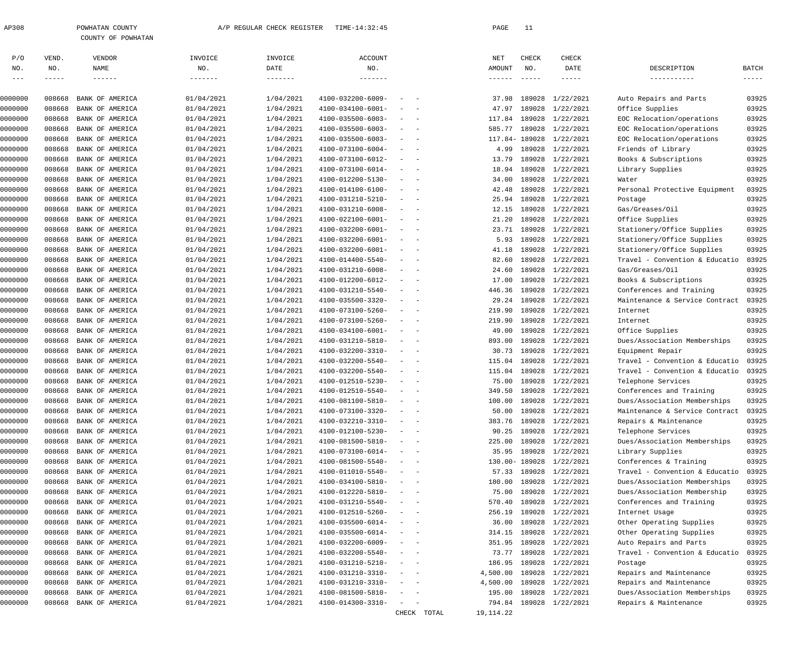| 2308 | POWHATAN COUNTY |                    |
|------|-----------------|--------------------|
|      |                 | COUNTY OF POWHATAN |

| P/O            | VEND.        | VENDOR                 | INVOICE    | INVOICE   | <b>ACCOUNT</b>           |                                                      |             | NET                       | CHECK                                                                                                                                                                                                                                                                                                                                                                                               | CHECK                        |                                |                      |
|----------------|--------------|------------------------|------------|-----------|--------------------------|------------------------------------------------------|-------------|---------------------------|-----------------------------------------------------------------------------------------------------------------------------------------------------------------------------------------------------------------------------------------------------------------------------------------------------------------------------------------------------------------------------------------------------|------------------------------|--------------------------------|----------------------|
| NO.<br>$- - -$ | NO.<br>----- | NAME                   | NO.        | DATE      | NO.                      |                                                      |             | AMOUNT<br>$- - - - - - -$ | NO.<br>$\frac{1}{2} \frac{1}{2} \frac{1}{2} \frac{1}{2} \frac{1}{2} \frac{1}{2} \frac{1}{2} \frac{1}{2} \frac{1}{2} \frac{1}{2} \frac{1}{2} \frac{1}{2} \frac{1}{2} \frac{1}{2} \frac{1}{2} \frac{1}{2} \frac{1}{2} \frac{1}{2} \frac{1}{2} \frac{1}{2} \frac{1}{2} \frac{1}{2} \frac{1}{2} \frac{1}{2} \frac{1}{2} \frac{1}{2} \frac{1}{2} \frac{1}{2} \frac{1}{2} \frac{1}{2} \frac{1}{2} \frac{$ | DATE<br>$\cdots\cdots\cdots$ | DESCRIPTION<br>------------    | BATCH<br>$- - - - -$ |
|                |              |                        |            |           |                          |                                                      |             |                           |                                                                                                                                                                                                                                                                                                                                                                                                     |                              |                                |                      |
| 0000000        | 008668       | BANK OF AMERICA        | 01/04/2021 | 1/04/2021 | 4100-032200-6009-        | $\sim$                                               |             | 37.98                     | 189028                                                                                                                                                                                                                                                                                                                                                                                              | 1/22/2021                    | Auto Repairs and Parts         | 03925                |
| 0000000        | 008668       | BANK OF AMERICA        | 01/04/2021 | 1/04/2021 | 4100-034100-6001-        | $\overline{\phantom{a}}$<br>$\overline{\phantom{a}}$ |             | 47.97                     | 189028                                                                                                                                                                                                                                                                                                                                                                                              | 1/22/2021                    | Office Supplies                | 03925                |
| 0000000        | 008668       | BANK OF AMERICA        | 01/04/2021 | 1/04/2021 | 4100-035500-6003-        | $\sim$<br>$\sim$ $-$                                 |             | 117.84                    |                                                                                                                                                                                                                                                                                                                                                                                                     | 189028 1/22/2021             | EOC Relocation/operations      | 03925                |
| 0000000        | 008668       | BANK OF AMERICA        | 01/04/2021 | 1/04/2021 | 4100-035500-6003-        | $\sim$<br>$\sim$ $-$                                 |             | 585.77                    |                                                                                                                                                                                                                                                                                                                                                                                                     | 189028 1/22/2021             | EOC Relocation/operations      | 03925                |
| 0000000        | 008668       | BANK OF AMERICA        | 01/04/2021 | 1/04/2021 | 4100-035500-6003-        | $\sim$<br>$\sim$ $-$                                 |             |                           |                                                                                                                                                                                                                                                                                                                                                                                                     | 117.84-189028 1/22/2021      | EOC Relocation/operations      | 03925                |
| 0000000        | 008668       | BANK OF AMERICA        | 01/04/2021 | 1/04/2021 | 4100-073100-6004-        | $\sim$<br>$\sim$ $-$                                 |             | 4.99                      |                                                                                                                                                                                                                                                                                                                                                                                                     | 189028 1/22/2021             | Friends of Library             | 03925                |
| 0000000        | 008668       | BANK OF AMERICA        | 01/04/2021 | 1/04/2021 | 4100-073100-6012-        | $\sim$<br>$\sim$ $-$                                 |             | 13.79                     |                                                                                                                                                                                                                                                                                                                                                                                                     | 189028 1/22/2021             | Books & Subscriptions          | 03925                |
| 0000000        | 008668       | BANK OF AMERICA        | 01/04/2021 | 1/04/2021 | 4100-073100-6014-        | $\sim$<br>$\sim$ $-$                                 |             | 18.94                     |                                                                                                                                                                                                                                                                                                                                                                                                     | 189028 1/22/2021             | Library Supplies               | 03925                |
| 0000000        | 008668       | BANK OF AMERICA        | 01/04/2021 | 1/04/2021 | 4100-012200-5130-        | $\sim$<br>$\sim$ $-$                                 |             | 34.00                     |                                                                                                                                                                                                                                                                                                                                                                                                     | 189028 1/22/2021             | Water                          | 03925                |
| 0000000        | 008668       | BANK OF AMERICA        | 01/04/2021 | 1/04/2021 | 4100-014100-6100-        | $\sim$<br>$\sim$ $-$                                 |             | 42.48                     |                                                                                                                                                                                                                                                                                                                                                                                                     | 189028 1/22/2021             | Personal Protective Equipment  | 03925                |
| 0000000        | 008668       | BANK OF AMERICA        | 01/04/2021 | 1/04/2021 | 4100-031210-5210-        | $\sim$<br>$\sim$ $-$                                 |             | 25.94                     |                                                                                                                                                                                                                                                                                                                                                                                                     | 189028 1/22/2021             | Postage                        | 03925                |
| 0000000        | 008668       | BANK OF AMERICA        | 01/04/2021 | 1/04/2021 | 4100-031210-6008-        | $\sim$<br>$\sim$ $-$                                 |             | 12.15                     |                                                                                                                                                                                                                                                                                                                                                                                                     | 189028 1/22/2021             | Gas/Greases/Oil                | 03925                |
| 0000000        | 008668       | BANK OF AMERICA        | 01/04/2021 | 1/04/2021 | 4100-022100-6001-        | $\sim$<br>$\sim$ $-$                                 |             | 21.20                     |                                                                                                                                                                                                                                                                                                                                                                                                     | 189028 1/22/2021             | Office Supplies                | 03925                |
| 0000000        | 008668       | BANK OF AMERICA        | 01/04/2021 | 1/04/2021 | 4100-032200-6001-        | $\sim$<br>$\sim$ $-$                                 |             | 23.71                     |                                                                                                                                                                                                                                                                                                                                                                                                     | 189028 1/22/2021             | Stationery/Office Supplies     | 03925                |
| 0000000        | 008668       | BANK OF AMERICA        | 01/04/2021 | 1/04/2021 | 4100-032200-6001-        | $\sim$<br>$\sim$ $-$                                 |             | 5.93                      |                                                                                                                                                                                                                                                                                                                                                                                                     | 189028 1/22/2021             | Stationery/Office Supplies     | 03925                |
| 0000000        | 008668       | BANK OF AMERICA        | 01/04/2021 | 1/04/2021 | 4100-032200-6001-        | $\sim$<br>$\sim$ $-$                                 |             | 41.18                     |                                                                                                                                                                                                                                                                                                                                                                                                     | 189028 1/22/2021             | Stationery/Office Supplies     | 03925                |
| 0000000        | 008668       | BANK OF AMERICA        | 01/04/2021 | 1/04/2021 | 4100-014400-5540-        | $\sim$<br>$\sim$ $-$                                 |             | 82.60                     |                                                                                                                                                                                                                                                                                                                                                                                                     | 189028 1/22/2021             | Travel - Convention & Educatio | 03925                |
| 0000000        | 008668       | BANK OF AMERICA        | 01/04/2021 | 1/04/2021 | 4100-031210-6008-        | $\sim$<br>$\sim$ $-$                                 |             | 24.60                     |                                                                                                                                                                                                                                                                                                                                                                                                     | 189028 1/22/2021             | Gas/Greases/Oil                | 03925                |
| 0000000        | 008668       | BANK OF AMERICA        | 01/04/2021 | 1/04/2021 | 4100-012200-6012-        | $\sim$<br>$\overline{\phantom{0}}$                   |             | 17.00                     |                                                                                                                                                                                                                                                                                                                                                                                                     | 189028 1/22/2021             | Books & Subscriptions          | 03925                |
| 0000000        | 008668       | BANK OF AMERICA        | 01/04/2021 | 1/04/2021 | 4100-031210-5540-        | $\sim$<br>$\sim$ $-$                                 |             | 446.36                    |                                                                                                                                                                                                                                                                                                                                                                                                     | 189028 1/22/2021             | Conferences and Training       | 03925                |
| 0000000        | 008668       | BANK OF AMERICA        | 01/04/2021 | 1/04/2021 | 4100-035500-3320-        | $\sim$<br>$\sim$ $-$                                 |             | 29.24                     |                                                                                                                                                                                                                                                                                                                                                                                                     | 189028 1/22/2021             | Maintenance & Service Contract | 03925                |
| 0000000        | 008668       | BANK OF AMERICA        | 01/04/2021 | 1/04/2021 | 4100-073100-5260-        | $\sim$<br>$\sim$ $-$                                 |             | 219.90                    |                                                                                                                                                                                                                                                                                                                                                                                                     | 189028 1/22/2021             | Internet                       | 03925                |
| 0000000        | 008668       | BANK OF AMERICA        | 01/04/2021 | 1/04/2021 | 4100-073100-5260-        | $\sim$<br>$\sim$ $-$                                 |             | 219.90                    |                                                                                                                                                                                                                                                                                                                                                                                                     | 189028 1/22/2021             | Internet                       | 03925                |
| 0000000        | 008668       | BANK OF AMERICA        | 01/04/2021 | 1/04/2021 | 4100-034100-6001-        | $\sim$<br>$\sim$ $-$                                 |             | 49.00                     |                                                                                                                                                                                                                                                                                                                                                                                                     | 189028 1/22/2021             | Office Supplies                | 03925                |
| 0000000        | 008668       | BANK OF AMERICA        | 01/04/2021 | 1/04/2021 | 4100-031210-5810-        | $\sim$<br>$\sim$ $-$                                 |             | 893.00                    |                                                                                                                                                                                                                                                                                                                                                                                                     | 189028 1/22/2021             | Dues/Association Memberships   | 03925                |
| 0000000        | 008668       | BANK OF AMERICA        | 01/04/2021 | 1/04/2021 | 4100-032200-3310-        | $\sim$<br>$\sim$ $-$                                 |             | 30.73                     |                                                                                                                                                                                                                                                                                                                                                                                                     | 189028 1/22/2021             | Equipment Repair               | 03925                |
| 0000000        | 008668       | BANK OF AMERICA        | 01/04/2021 | 1/04/2021 | 4100-032200-5540-        | $\sim$<br>$\sim$ $-$                                 |             | 115.04                    |                                                                                                                                                                                                                                                                                                                                                                                                     | 189028 1/22/2021             | Travel - Convention & Educatio | 03925                |
| 0000000        | 008668       | BANK OF AMERICA        | 01/04/2021 | 1/04/2021 | 4100-032200-5540-        | $\sim$<br>$\sim$ $-$                                 |             | 115.04                    |                                                                                                                                                                                                                                                                                                                                                                                                     | 189028 1/22/2021             | Travel - Convention & Educatio | 03925                |
| 0000000        | 008668       | BANK OF AMERICA        | 01/04/2021 | 1/04/2021 | 4100-012510-5230-        | $\sim$<br>$\sim$ $-$                                 |             | 75.00                     |                                                                                                                                                                                                                                                                                                                                                                                                     | 189028 1/22/2021             | Telephone Services             | 03925                |
| 0000000        | 008668       | BANK OF AMERICA        | 01/04/2021 | 1/04/2021 | 4100-012510-5540-        | $\sim$<br>$\sim$ $-$                                 |             | 349.50                    |                                                                                                                                                                                                                                                                                                                                                                                                     | 189028 1/22/2021             | Conferences and Training       | 03925                |
| 0000000        | 008668       | BANK OF AMERICA        | 01/04/2021 | 1/04/2021 | 4100-081100-5810-        | $\sim$<br>$\sim$ $-$                                 |             | 100.00                    |                                                                                                                                                                                                                                                                                                                                                                                                     | 189028 1/22/2021             | Dues/Association Memberships   | 03925                |
| 0000000        | 008668       | BANK OF AMERICA        | 01/04/2021 | 1/04/2021 | 4100-073100-3320-        | $\frac{1}{2}$ and $\frac{1}{2}$ and $\frac{1}{2}$    |             | 50.00                     |                                                                                                                                                                                                                                                                                                                                                                                                     | 189028 1/22/2021             | Maintenance & Service Contract | 03925                |
| 0000000        | 008668       | BANK OF AMERICA        | 01/04/2021 | 1/04/2021 | 4100-032210-3310-        | $\alpha = 1, \ldots, \alpha$ .                       |             | 383.76                    |                                                                                                                                                                                                                                                                                                                                                                                                     | 189028 1/22/2021             | Repairs & Maintenance          | 03925                |
| 0000000        |              | 008668 BANK OF AMERICA | 01/04/2021 | 1/04/2021 | 4100-012100-5230-        |                                                      |             |                           |                                                                                                                                                                                                                                                                                                                                                                                                     | 90.25 189028 1/22/2021       | Telephone Services             | 03925                |
| 0000000        | 008668       | BANK OF AMERICA        | 01/04/2021 | 1/04/2021 | 4100-081500-5810-        | $\sim$<br>$\overline{\phantom{0}}$                   |             | 225.00                    |                                                                                                                                                                                                                                                                                                                                                                                                     | 189028 1/22/2021             | Dues/Association Memberships   | 03925                |
| 0000000        | 008668       | BANK OF AMERICA        | 01/04/2021 | 1/04/2021 | 4100-073100-6014-        | $\sim$<br>$\sim$ $-$                                 |             | 35.95                     |                                                                                                                                                                                                                                                                                                                                                                                                     | 189028 1/22/2021             | Library Supplies               | 03925                |
| 0000000        | 008668       | BANK OF AMERICA        | 01/04/2021 | 1/04/2021 | 4100-081500-5540-        | $\sim$<br>$\sim$ $-$                                 |             |                           |                                                                                                                                                                                                                                                                                                                                                                                                     | 130.00-189028 1/22/2021      | Conferences & Training         | 03925                |
| 0000000        | 008668       | BANK OF AMERICA        | 01/04/2021 | 1/04/2021 | 4100-011010-5540-        | $\sim$<br>$\sim$ $-$                                 |             | 57.33                     |                                                                                                                                                                                                                                                                                                                                                                                                     | 189028 1/22/2021             | Travel - Convention & Educatio | 03925                |
| 0000000        | 008668       | BANK OF AMERICA        | 01/04/2021 | 1/04/2021 | 4100-034100-5810-        | $\sim$<br>$\sim$ $-$                                 |             | 180.00                    |                                                                                                                                                                                                                                                                                                                                                                                                     | 189028 1/22/2021             | Dues/Association Memberships   | 03925                |
| 0000000        | 008668       | BANK OF AMERICA        | 01/04/2021 | 1/04/2021 | 4100-012220-5810-        | $\sim$<br>$\sim$ $-$                                 |             | 75.00                     |                                                                                                                                                                                                                                                                                                                                                                                                     | 189028 1/22/2021             | Dues/Association Membership    | 03925                |
| 0000000        | 008668       | BANK OF AMERICA        | 01/04/2021 | 1/04/2021 | 4100-031210-5540-        | $\sim$<br>$\sim$ $-$                                 |             | 570.40                    |                                                                                                                                                                                                                                                                                                                                                                                                     | 189028 1/22/2021             | Conferences and Training       | 03925                |
|                |              | BANK OF AMERICA        |            |           | 4100-012510-5260-        |                                                      |             |                           |                                                                                                                                                                                                                                                                                                                                                                                                     |                              |                                |                      |
| 0000000        | 008668       |                        | 01/04/2021 | 1/04/2021 |                          | $\sim$<br>$\sim$ $-$                                 |             | 256.19                    |                                                                                                                                                                                                                                                                                                                                                                                                     | 189028 1/22/2021             | Internet Usage                 | 03925                |
| 0000000        | 008668       | BANK OF AMERICA        | 01/04/2021 | 1/04/2021 | $4100 - 035500 - 6014 -$ | $\sim$<br>$\sim$ $-$                                 |             | 36.00                     |                                                                                                                                                                                                                                                                                                                                                                                                     | 189028 1/22/2021             | Other Operating Supplies       | 03925                |
| 0000000        | 008668       | BANK OF AMERICA        | 01/04/2021 | 1/04/2021 | $4100 - 035500 - 6014 -$ | $\sim$<br>$\overline{\phantom{0}}$                   |             | 314.15                    |                                                                                                                                                                                                                                                                                                                                                                                                     | 189028 1/22/2021             | Other Operating Supplies       | 03925                |
| 0000000        | 008668       | BANK OF AMERICA        | 01/04/2021 | 1/04/2021 | 4100-032200-6009-        | $\overline{\phantom{a}}$<br>$\sim$                   |             | 351.95                    |                                                                                                                                                                                                                                                                                                                                                                                                     | 189028 1/22/2021             | Auto Repairs and Parts         | 03925                |
| 0000000        | 008668       | BANK OF AMERICA        | 01/04/2021 | 1/04/2021 | 4100-032200-5540-        | $\sim$<br>$\sim$                                     |             | 73.77                     |                                                                                                                                                                                                                                                                                                                                                                                                     | 189028 1/22/2021             | Travel - Convention & Educatio | 03925                |
| 0000000        | 008668       | BANK OF AMERICA        | 01/04/2021 | 1/04/2021 | 4100-031210-5210-        | $\overline{\phantom{a}}$<br>$\sim$ $-$               |             | 186.95                    |                                                                                                                                                                                                                                                                                                                                                                                                     | 189028 1/22/2021             | Postage                        | 03925                |
| 0000000        | 008668       | BANK OF AMERICA        | 01/04/2021 | 1/04/2021 | 4100-031210-3310-        | $\sim$<br>$\sim$                                     |             | 4,500.00                  |                                                                                                                                                                                                                                                                                                                                                                                                     | 189028 1/22/2021             | Repairs and Maintenance        | 03925                |
| 0000000        | 008668       | BANK OF AMERICA        | 01/04/2021 | 1/04/2021 | 4100-031210-3310-        | $\sim$<br>$\sim$ $-$                                 |             | 4,500.00                  |                                                                                                                                                                                                                                                                                                                                                                                                     | 189028 1/22/2021             | Repairs and Maintenance        | 03925                |
| 0000000        | 008668       | BANK OF AMERICA        | 01/04/2021 | 1/04/2021 | 4100-081500-5810-        | $\sim$<br>$\sim$                                     |             | 195.00                    |                                                                                                                                                                                                                                                                                                                                                                                                     | 189028 1/22/2021             | Dues/Association Memberships   | 03925                |
| 0000000        | 008668       | BANK OF AMERICA        | 01/04/2021 | 1/04/2021 | 4100-014300-3310-        | $\sim$<br>$\sim$ $-$                                 |             |                           |                                                                                                                                                                                                                                                                                                                                                                                                     | 794.84 189028 1/22/2021      | Repairs & Maintenance          | 03925                |
|                |              |                        |            |           |                          |                                                      | CHECK TOTAL | 19,114.22                 |                                                                                                                                                                                                                                                                                                                                                                                                     |                              |                                |                      |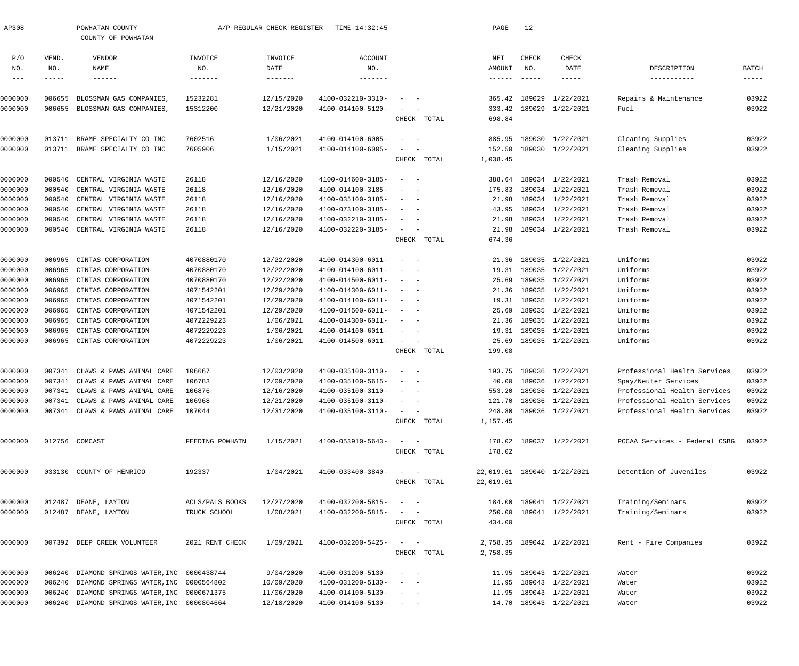| AP308      |             | POWHATAN COUNTY<br>COUNTY OF POWHATAN        |                                 | A/P REGULAR CHECK REGISTER    | TIME-14:32:45                |                                                           | PAGE      | 12            |                            |                               |             |
|------------|-------------|----------------------------------------------|---------------------------------|-------------------------------|------------------------------|-----------------------------------------------------------|-----------|---------------|----------------------------|-------------------------------|-------------|
| P/O        | VEND.       | VENDOR                                       | INVOICE                         | INVOICE                       | <b>ACCOUNT</b>               |                                                           | NET       | CHECK         | <b>CHECK</b>               |                               |             |
| NO.        | NO.         | NAME                                         | NO.                             | DATE                          | NO.                          |                                                           | AMOUNT    | NO.           | DATE                       | DESCRIPTION                   | BATCH       |
| $--\,$ $-$ | $- - - - -$ | $- - - - - - -$                              | -------                         | $- - - - - - - - \end{array}$ | $- - - - - - - -$            |                                                           |           | $- - - - - -$ | $- - - - - -$              | -----------                   | $- - - - -$ |
| 0000000    | 006655      | BLOSSMAN GAS COMPANIES,                      | 15232281                        | 12/15/2020                    | 4100-032210-3310-            |                                                           |           |               | 365.42 189029 1/22/2021    | Repairs & Maintenance         | 03922       |
| 0000000    |             | 006655 BLOSSMAN GAS COMPANIES,               | 15312200                        | 12/21/2020                    | 4100-014100-5120-            |                                                           | 333.42    |               | 189029 1/22/2021           | Fuel                          | 03922       |
|            |             |                                              |                                 |                               |                              | CHECK TOTAL                                               | 698.84    |               |                            |                               |             |
|            |             |                                              |                                 |                               |                              |                                                           |           |               |                            |                               |             |
| 0000000    | 013711      | BRAME SPECIALTY CO INC                       | 7602516                         | 1/06/2021                     | 4100-014100-6005-            |                                                           | 885.95    |               | 189030 1/22/2021           | Cleaning Supplies             | 03922       |
| 0000000    |             | 013711 BRAME SPECIALTY CO INC                | 7605906                         | 1/15/2021                     | 4100-014100-6005-            |                                                           | 152.50    |               | 189030 1/22/2021           | Cleaning Supplies             | 03922       |
|            |             |                                              |                                 |                               |                              | CHECK TOTAL                                               | 1,038.45  |               |                            |                               |             |
| 0000000    | 000540      | CENTRAL VIRGINIA WASTE                       | 26118                           | 12/16/2020                    | 4100-014600-3185-            | $\sim$<br>$\sim$ $-$                                      | 388.64    |               | 189034 1/22/2021           | Trash Removal                 | 03922       |
| 0000000    | 000540      | CENTRAL VIRGINIA WASTE                       | 26118                           | 12/16/2020                    | 4100-014100-3185-            |                                                           | 175.83    |               | 189034 1/22/2021           | Trash Removal                 | 03922       |
| 0000000    | 000540      | CENTRAL VIRGINIA WASTE                       | 26118                           | 12/16/2020                    | 4100-035100-3185-            | $\sim$                                                    | 21.98     |               | 189034 1/22/2021           | Trash Removal                 | 03922       |
| 0000000    | 000540      | CENTRAL VIRGINIA WASTE                       | 26118                           | 12/16/2020                    | 4100-073100-3185-            |                                                           | 43.95     |               | 189034 1/22/2021           | Trash Removal                 | 03922       |
| 0000000    | 000540      | CENTRAL VIRGINIA WASTE                       | 26118                           | 12/16/2020                    | 4100-032210-3185-            | $\sim$                                                    | 21.98     |               | 189034 1/22/2021           | Trash Removal                 | 03922       |
| 0000000    |             | 000540 CENTRAL VIRGINIA WASTE                | 26118                           | 12/16/2020                    | 4100-032220-3185-            | $\sim$                                                    | 21.98     |               | 189034 1/22/2021           | Trash Removal                 | 03922       |
|            |             |                                              |                                 |                               |                              | CHECK TOTAL                                               | 674.36    |               |                            |                               |             |
| 0000000    | 006965      | CINTAS CORPORATION                           | 4070880170                      | 12/22/2020                    | 4100-014300-6011-            | $\sim$                                                    | 21.36     |               | 189035 1/22/2021           | Uniforms                      | 03922       |
| 0000000    | 006965      | CINTAS CORPORATION                           | 4070880170                      | 12/22/2020                    | 4100-014100-6011-            | $\sim$                                                    | 19.31     |               | 189035 1/22/2021           | Uniforms                      | 03922       |
| 0000000    | 006965      | CINTAS CORPORATION                           | 4070880170                      | 12/22/2020                    | 4100-014500-6011-            | $-$                                                       | 25.69     |               | 189035 1/22/2021           | Uniforms                      | 03922       |
| 0000000    | 006965      | CINTAS CORPORATION                           | 4071542201                      | 12/29/2020                    | 4100-014300-6011-            | $\sim$                                                    | 21.36     |               | 189035 1/22/2021           | Uniforms                      | 03922       |
| 0000000    | 006965      | CINTAS CORPORATION                           | 4071542201                      | 12/29/2020                    | 4100-014100-6011-            | $\sim$                                                    | 19.31     |               | 189035 1/22/2021           | Uniforms                      | 03922       |
| 0000000    | 006965      | CINTAS CORPORATION                           | 4071542201                      | 12/29/2020                    | 4100-014500-6011-            |                                                           | 25.69     |               | 189035 1/22/2021           | Uniforms                      | 03922       |
| 0000000    | 006965      | CINTAS CORPORATION                           | 4072229223                      | 1/06/2021                     | 4100-014300-6011-            | $\sim$                                                    | 21.36     |               | 189035 1/22/2021           | Uniforms                      | 03922       |
| 0000000    | 006965      | CINTAS CORPORATION                           | 4072229223                      | 1/06/2021                     | 4100-014100-6011-            | $\sim$                                                    | 19.31     |               | 189035 1/22/2021           | Uniforms                      | 03922       |
| 0000000    |             | 006965 CINTAS CORPORATION                    | 4072229223                      | 1/06/2021                     | 4100-014500-6011-            | $\sim$                                                    | 25.69     |               | 189035 1/22/2021           | Uniforms                      | 03922       |
|            |             |                                              |                                 |                               |                              | CHECK TOTAL                                               | 199.08    |               |                            |                               |             |
| 0000000    | 007341      | CLAWS & PAWS ANIMAL CARE                     | 106667                          | 12/03/2020                    | 4100-035100-3110-            | $\sim$ $-$                                                | 193.75    |               | 189036 1/22/2021           | Professional Health Services  | 03922       |
| 0000000    | 007341      | CLAWS & PAWS ANIMAL CARE                     | 106783                          | 12/09/2020                    | 4100-035100-5615-            |                                                           | 40.00     |               | 189036 1/22/2021           | Spay/Neuter Services          | 03922       |
| 0000000    |             | 007341 CLAWS & PAWS ANIMAL CARE              | 106876                          | 12/16/2020                    | 4100-035100-3110-            | $\sim$ $ \sim$ $ -$                                       |           |               | 553.20 189036 1/22/2021    | Professional Health Services  | 03922       |
| 0000000    | 007341      | CLAWS & PAWS ANIMAL CARE                     | 106968                          | 12/21/2020                    | 4100-035100-3110-            |                                                           |           |               | 121.70 189036 1/22/2021    | Professional Health Services  | 03922       |
| 0000000    |             | 007341 CLAWS & PAWS ANIMAL CARE              | 107044                          | 12/31/2020                    | 4100-035100-3110-            | $\alpha = 1, \ldots, \alpha$                              | 248.80    |               | 189036 1/22/2021           | Professional Health Services  | 03922       |
|            |             |                                              |                                 |                               |                              | CHECK TOTAL                                               | 1,157.45  |               |                            |                               |             |
|            |             |                                              |                                 |                               |                              |                                                           |           |               |                            |                               |             |
| 0000000    |             | 012756 COMCAST                               | FEEDING POWHATN                 | 1/15/2021                     | 4100-053910-5643-            | $\sim$ $  -$                                              |           |               | 178.02 189037 1/22/2021    | PCCAA Services - Federal CSBG | 03922       |
|            |             |                                              |                                 |                               |                              | CHECK TOTAL                                               | 178.02    |               |                            |                               |             |
| 0000000    |             | 033130 COUNTY OF HENRICO                     | 192337                          | 1/04/2021                     | 4100-033400-3840-            | $\sim$ $  -$                                              |           |               | 22,019.61 189040 1/22/2021 | Detention of Juveniles        | 03922       |
|            |             |                                              |                                 |                               |                              | CHECK TOTAL                                               | 22,019.61 |               |                            |                               |             |
| 0000000    |             |                                              |                                 | 12/27/2020                    | 4100-032200-5815-            |                                                           |           |               | 184.00 189041 1/22/2021    | Training/Seminars             | 03922       |
| 0000000    | 012487      | DEANE, LAYTON<br>012487 DEANE, LAYTON        | ACLS/PALS BOOKS<br>TRUCK SCHOOL | 1/08/2021                     | 4100-032200-5815-            | $\sim$ 100 $\sim$ 100 $\sim$<br>$\alpha = 1, \ldots, n-1$ |           |               | 250.00 189041 1/22/2021    | Training/Seminars             | 03922       |
|            |             |                                              |                                 |                               |                              | CHECK TOTAL                                               | 434.00    |               |                            |                               |             |
|            |             |                                              |                                 |                               |                              |                                                           |           |               |                            |                               |             |
| 0000000    |             | 007392 DEEP CREEK VOLUNTEER                  | 2021 RENT CHECK                 | 1/09/2021                     | 4100-032200-5425-            | $\sim$ $ -$                                               |           |               | 2,758.35 189042 1/22/2021  | Rent - Fire Companies         | 03922       |
|            |             |                                              |                                 |                               |                              | CHECK TOTAL                                               | 2,758.35  |               |                            |                               |             |
| 0000000    | 006240      | DIAMOND SPRINGS WATER, INC 0000438744        |                                 | 9/04/2020                     | 4100-031200-5130-            | $\sim$ 100 $\sim$ 100 $\sim$                              |           |               | 11.95 189043 1/22/2021     | Water                         | 03922       |
| 0000000    | 006240      | DIAMOND SPRINGS WATER, INC 0000564802        |                                 | 10/09/2020                    | 4100-031200-5130-            | $\sim$ $  -$                                              |           |               | 11.95 189043 1/22/2021     | Water                         | 03922       |
| 0000000    | 006240      | DIAMOND SPRINGS WATER, INC 0000671375        |                                 | 11/06/2020                    | 4100-014100-5130-            | $\alpha = 1$ , $\alpha = 1$                               |           |               | 11.95 189043 1/22/2021     | Water                         | 03922       |
| 0000000    |             | 006240 DIAMOND SPRINGS WATER, INC 0000804664 |                                 | 12/18/2020                    | $4100 - 014100 - 5130 - - -$ |                                                           |           |               | 14.70 189043 1/22/2021     | Water                         | 03922       |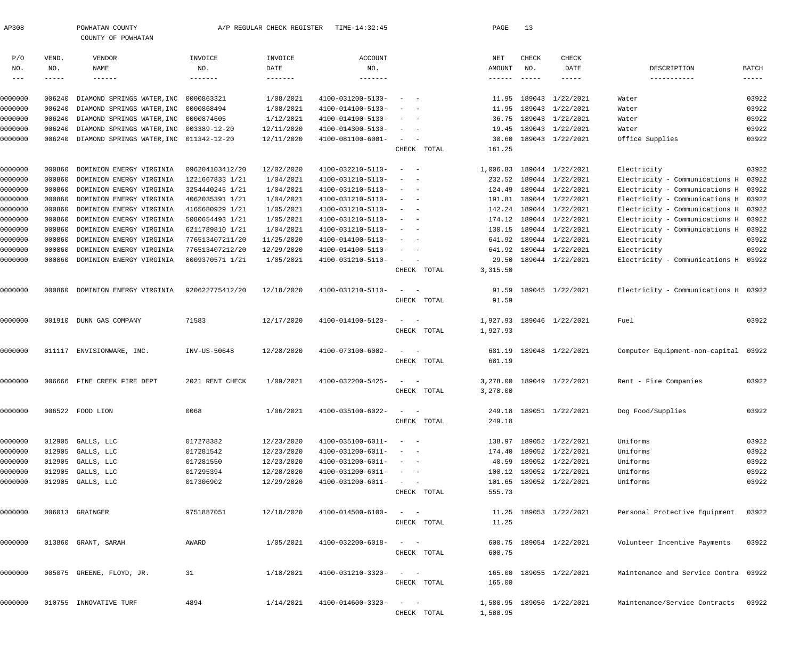| AP308   |               | POWHATAN COUNTY<br>COUNTY OF POWHATAN   |                 | A/P REGULAR CHECK REGISTER | TIME-14:32:45     |                                                   |             | PAGE            | 13            |                           |                                      |               |
|---------|---------------|-----------------------------------------|-----------------|----------------------------|-------------------|---------------------------------------------------|-------------|-----------------|---------------|---------------------------|--------------------------------------|---------------|
|         |               |                                         |                 |                            |                   |                                                   |             |                 |               |                           |                                      |               |
| P/O     | VEND.         | VENDOR                                  | INVOICE         | INVOICE                    | <b>ACCOUNT</b>    |                                                   |             | NET             | CHECK         | CHECK                     |                                      |               |
| NO.     | NO.           | NAME                                    | NO.             | DATE                       | NO.               |                                                   |             | AMOUNT          | NO.           | DATE                      | DESCRIPTION                          | BATCH         |
| $---$   | $- - - - - -$ | $- - - - - - -$                         | -------         |                            |                   |                                                   |             | $- - - - - - -$ | $- - - - - -$ | $- - - - -$               | -----------                          | $- - - - - -$ |
| 0000000 | 006240        | DIAMOND SPRINGS WATER, INC              | 0000863321      | 1/08/2021                  | 4100-031200-5130- |                                                   |             | 11.95           | 189043        | 1/22/2021                 | Water                                | 03922         |
| 0000000 | 006240        | DIAMOND SPRINGS WATER, INC 0000868494   |                 | 1/08/2021                  | 4100-014100-5130- |                                                   |             | 11.95           |               | 189043 1/22/2021          | Water                                | 03922         |
| 0000000 | 006240        | DIAMOND SPRINGS WATER, INC 0000874605   |                 | 1/12/2021                  | 4100-014100-5130- | $\sim$<br>$\overline{\phantom{a}}$                |             | 36.75           |               | 189043 1/22/2021          | Water                                | 03922         |
| 0000000 | 006240        | DIAMOND SPRINGS WATER, INC 003389-12-20 |                 | 12/11/2020                 | 4100-014300-5130- | $\sim$                                            |             | 19.45           |               | 189043 1/22/2021          | Water                                | 03922         |
| 0000000 | 006240        | DIAMOND SPRINGS WATER, INC 011342-12-20 |                 | 12/11/2020                 | 4100-081100-6001- | $\sim$                                            |             | 30.60           |               | 189043 1/22/2021          | Office Supplies                      | 03922         |
|         |               |                                         |                 |                            |                   |                                                   | CHECK TOTAL | 161.25          |               |                           |                                      |               |
| 0000000 | 000860        | DOMINION ENERGY VIRGINIA                | 096204103412/20 | 12/02/2020                 | 4100-032210-5110- | $\sim$ $-$<br>$\sim$                              |             | 1,006.83        |               | 189044 1/22/2021          | Electricity                          | 03922         |
| 0000000 | 000860        | DOMINION ENERGY VIRGINIA                | 1221667833 1/21 | 1/04/2021                  | 4100-031210-5110- | $\sim$                                            |             |                 |               | 232.52 189044 1/22/2021   | Electricity - Communications H 03922 |               |
| 0000000 | 000860        | DOMINION ENERGY VIRGINIA                | 3254440245 1/21 | 1/04/2021                  | 4100-031210-5110- | $\sim$                                            |             | 124.49          |               | 189044 1/22/2021          | Electricity - Communications H       | 03922         |
| 0000000 | 000860        | DOMINION ENERGY VIRGINIA                | 4062035391 1/21 | 1/04/2021                  | 4100-031210-5110- | $\sim$                                            |             |                 |               | 191.81 189044 1/22/2021   | Electricity - Communications H 03922 |               |
| 0000000 | 000860        | DOMINION ENERGY VIRGINIA                | 4165680929 1/21 | 1/05/2021                  | 4100-031210-5110- | $\sim$                                            |             |                 |               | 142.24 189044 1/22/2021   | Electricity - Communications H       | 03922         |
| 0000000 | 000860        | DOMINION ENERGY VIRGINIA                | 5080654493 1/21 | 1/05/2021                  | 4100-031210-5110- | $\sim$                                            |             |                 |               | 174.12 189044 1/22/2021   | Electricity - Communications H       | 03922         |
| 0000000 | 000860        | DOMINION ENERGY VIRGINIA                | 6211789810 1/21 | 1/04/2021                  | 4100-031210-5110- | $\sim$                                            |             |                 |               | 130.15 189044 1/22/2021   | Electricity - Communications H 03922 |               |
| 0000000 | 000860        | DOMINION ENERGY VIRGINIA                | 776513407211/20 | 11/25/2020                 | 4100-014100-5110- | $\sim$                                            |             | 641.92          |               | 189044 1/22/2021          | Electricity                          | 03922         |
| 0000000 | 000860        | DOMINION ENERGY VIRGINIA                | 776513407212/20 | 12/29/2020                 | 4100-014100-5110- | $\sim$                                            |             | 641.92          |               | 189044 1/22/2021          | Electricity                          | 03922         |
| 0000000 | 000860        | DOMINION ENERGY VIRGINIA                | 8009370571 1/21 | 1/05/2021                  | 4100-031210-5110- | $\sim$                                            |             | 29.50           |               | 189044 1/22/2021          | Electricity - Communications H 03922 |               |
|         |               |                                         |                 |                            |                   |                                                   | CHECK TOTAL | 3,315.50        |               |                           |                                      |               |
| 0000000 | 000860        | DOMINION ENERGY VIRGINIA                | 920622775412/20 | 12/18/2020                 | 4100-031210-5110- | $\sim$                                            |             | 91.59           |               | 189045 1/22/2021          | Electricity - Communications H 03922 |               |
|         |               |                                         |                 |                            |                   |                                                   | CHECK TOTAL | 91.59           |               |                           |                                      |               |
|         |               |                                         |                 |                            |                   |                                                   |             |                 |               |                           |                                      |               |
| 0000000 |               | 001910 DUNN GAS COMPANY                 | 71583           | 12/17/2020                 | 4100-014100-5120- | $\sim$<br>$\overline{\phantom{a}}$                |             |                 |               | 1,927.93 189046 1/22/2021 | Fuel                                 | 03922         |
|         |               |                                         |                 |                            |                   |                                                   | CHECK TOTAL | 1,927.93        |               |                           |                                      |               |
|         |               |                                         |                 |                            |                   |                                                   |             |                 |               |                           |                                      |               |
| 0000000 |               | 011117 ENVISIONWARE, INC.               | INV-US-50648    | 12/28/2020                 | 4100-073100-6002- |                                                   |             | 681.19          |               | 189048 1/22/2021          | Computer Equipment-non-capital 03922 |               |
|         |               |                                         |                 |                            |                   |                                                   | CHECK TOTAL | 681.19          |               |                           |                                      |               |
| 0000000 |               | 006666 FINE CREEK FIRE DEPT             | 2021 RENT CHECK | 1/09/2021                  | 4100-032200-5425- |                                                   |             |                 |               | 3,278.00 189049 1/22/2021 | Rent - Fire Companies                | 03922         |
|         |               |                                         |                 |                            |                   |                                                   | CHECK TOTAL | 3,278.00        |               |                           |                                      |               |
|         |               |                                         |                 |                            |                   |                                                   |             |                 |               |                           |                                      |               |
| 0000000 |               | 006522 FOOD LION                        | 0068            | 1/06/2021                  | 4100-035100-6022- | $\alpha = 1, \ldots, n-1$                         |             |                 |               | 249.18 189051 1/22/2021   | Dog Food/Supplies                    | 03922         |
|         |               |                                         |                 |                            |                   |                                                   | CHECK TOTAL | 249.18          |               |                           |                                      |               |
|         |               |                                         |                 |                            |                   |                                                   |             |                 |               |                           |                                      |               |
| 0000000 |               | 012905 GALLS, LLC                       | 017278382       | 12/23/2020                 | 4100-035100-6011- | $\alpha = 1$ , $\alpha = 1$                       |             |                 |               | 138.97 189052 1/22/2021   | Uniforms                             | 03922         |
| 0000000 |               | 012905 GALLS, LLC                       | 017281542       | 12/23/2020                 | 4100-031200-6011- | $\sim$ $  -$                                      |             |                 |               | 174.40 189052 1/22/2021   | Uniforms                             | 03922         |
| 0000000 |               | 012905 GALLS, LLC                       | 017281550       | 12/23/2020                 | 4100-031200-6011- | $\alpha = 1, \ldots, n-1$                         |             |                 |               | 40.59 189052 1/22/2021    | Uniforms                             | 03922         |
| 0000000 |               | 012905 GALLS, LLC                       | 017295394       | 12/28/2020                 | 4100-031200-6011- | $\alpha = 1, \ldots, n-1$                         |             |                 |               | 100.12 189052 1/22/2021   | Uniforms                             | 03922         |
| 0000000 |               | 012905 GALLS, LLC                       | 017306902       | 12/29/2020                 | 4100-031200-6011- | $\sim$ $  -$                                      |             |                 |               | 101.65 189052 1/22/2021   | Uniforms                             | 03922         |
|         |               |                                         |                 |                            |                   |                                                   | CHECK TOTAL | 555.73          |               |                           |                                      |               |
| 0000000 |               | 006013 GRAINGER                         | 9751887051      | 12/18/2020                 | 4100-014500-6100- | $\frac{1}{2}$ and $\frac{1}{2}$ and $\frac{1}{2}$ |             |                 |               | 11.25 189053 1/22/2021    | Personal Protective Equipment        | 03922         |
|         |               |                                         |                 |                            |                   |                                                   | CHECK TOTAL | 11.25           |               |                           |                                      |               |
| 0000000 |               | 013860 GRANT, SARAH                     | AWARD           | 1/05/2021                  | 4100-032200-6018- | $\sim$ $-$                                        |             |                 |               | 600.75 189054 1/22/2021   | Volunteer Incentive Payments         | 03922         |
|         |               |                                         |                 |                            |                   |                                                   | CHECK TOTAL | 600.75          |               |                           |                                      |               |
|         |               |                                         |                 |                            |                   |                                                   |             |                 |               |                           |                                      |               |
| 0000000 |               | 005075 GREENE, FLOYD, JR.               | 31              | 1/18/2021                  | 4100-031210-3320- |                                                   |             |                 |               | 165.00 189055 1/22/2021   | Maintenance and Service Contra 03922 |               |
|         |               |                                         |                 |                            |                   |                                                   | CHECK TOTAL | 165.00          |               |                           |                                      |               |
| 0000000 |               | 010755 INNOVATIVE TURF                  | 4894            | 1/14/2021                  | 4100-014600-3320- | $\sim$ $-$                                        |             |                 |               | 1,580.95 189056 1/22/2021 | Maintenance/Service Contracts        | 03922         |
|         |               |                                         |                 |                            |                   |                                                   | CHECK TOTAL | 1,580.95        |               |                           |                                      |               |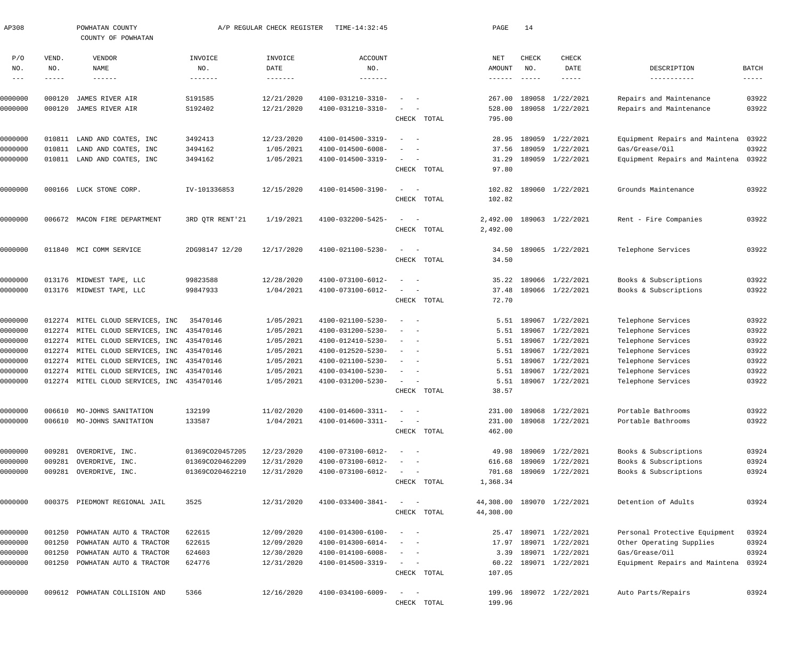| AP308         |             | POWHATAN COUNTY<br>COUNTY OF POWHATAN      |                 | A/P REGULAR CHECK REGISTER | TIME-14:32:45     |                                                                                                                           | PAGE            | 14            |                            |                                |               |
|---------------|-------------|--------------------------------------------|-----------------|----------------------------|-------------------|---------------------------------------------------------------------------------------------------------------------------|-----------------|---------------|----------------------------|--------------------------------|---------------|
| P/O           | VEND.       | VENDOR                                     | INVOICE         | INVOICE                    | <b>ACCOUNT</b>    |                                                                                                                           | NET             | CHECK         | <b>CHECK</b>               |                                |               |
| NO.           | NO.         | NAME                                       | NO.             | DATE                       | NO.               |                                                                                                                           | AMOUNT          | NO.           | DATE                       | DESCRIPTION                    | BATCH         |
| $\frac{1}{2}$ | $- - - - -$ | $- - - - - - -$                            | -------         |                            |                   |                                                                                                                           | $- - - - - - -$ | $\frac{1}{2}$ | $- - - - -$                | -----------                    | $- - - - - -$ |
| 0000000       | 000120      | JAMES RIVER AIR                            | S191585         | 12/21/2020                 | 4100-031210-3310- |                                                                                                                           | 267.00          | 189058        | 1/22/2021                  | Repairs and Maintenance        | 03922         |
| 0000000       | 000120      | JAMES RIVER AIR                            | S192402         | 12/21/2020                 | 4100-031210-3310- |                                                                                                                           | 528.00          | 189058        | 1/22/2021                  | Repairs and Maintenance        | 03922         |
|               |             |                                            |                 |                            |                   | CHECK TOTAL                                                                                                               | 795.00          |               |                            |                                |               |
| 0000000       | 010811      | LAND AND COATES, INC                       | 3492413         | 12/23/2020                 | 4100-014500-3319- | $\overline{\phantom{0}}$                                                                                                  | 28.95           | 189059        | 1/22/2021                  | Equipment Repairs and Maintena | 03922         |
| 0000000       | 010811      | LAND AND COATES, INC                       | 3494162         | 1/05/2021                  | 4100-014500-6008- |                                                                                                                           | 37.56           | 189059        | 1/22/2021                  | Gas/Grease/Oil                 | 03922         |
| 0000000       |             | 010811 LAND AND COATES, INC                | 3494162         | 1/05/2021                  | 4100-014500-3319- | $\sim$<br>$\hspace{0.1mm}$                                                                                                | 31.29           |               | 189059 1/22/2021           | Equipment Repairs and Maintena | 03922         |
|               |             |                                            |                 |                            |                   | CHECK TOTAL                                                                                                               | 97.80           |               |                            |                                |               |
| 0000000       |             | 000166 LUCK STONE CORP.                    | IV-101336853    | 12/15/2020                 | 4100-014500-3190- | $\equiv$                                                                                                                  | 102.82          |               | 189060 1/22/2021           | Grounds Maintenance            | 03922         |
|               |             |                                            |                 |                            |                   | CHECK TOTAL                                                                                                               | 102.82          |               |                            |                                |               |
| 0000000       |             | 006672 MACON FIRE DEPARTMENT               | 3RD QTR RENT'21 | 1/19/2021                  | 4100-032200-5425- | $\sim$                                                                                                                    | 2,492.00        |               | 189063 1/22/2021           | Rent - Fire Companies          | 03922         |
|               |             |                                            |                 |                            |                   | CHECK TOTAL                                                                                                               | 2,492.00        |               |                            |                                |               |
|               |             |                                            |                 |                            |                   |                                                                                                                           |                 |               |                            |                                |               |
| 0000000       |             | 011840 MCI COMM SERVICE                    | 2DG98147 12/20  | 12/17/2020                 | 4100-021100-5230- | $\sim$                                                                                                                    | 34.50           |               | 189065 1/22/2021           | Telephone Services             | 03922         |
|               |             |                                            |                 |                            |                   | CHECK TOTAL                                                                                                               | 34.50           |               |                            |                                |               |
| 0000000       |             | 013176 MIDWEST TAPE, LLC                   | 99823588        | 12/28/2020                 | 4100-073100-6012- | $\overline{\phantom{a}}$                                                                                                  | 35.22           |               | 189066 1/22/2021           | Books & Subscriptions          | 03922         |
| 0000000       |             | 013176 MIDWEST TAPE, LLC                   | 99847933        | 1/04/2021                  | 4100-073100-6012- | $\sim$                                                                                                                    | 37.48           |               | 189066 1/22/2021           | Books & Subscriptions          | 03922         |
|               |             |                                            |                 |                            |                   | CHECK TOTAL                                                                                                               | 72.70           |               |                            |                                |               |
| 0000000       |             | 012274 MITEL CLOUD SERVICES, INC           | 35470146        | 1/05/2021                  | 4100-021100-5230- | $\sim$                                                                                                                    | 5.51            | 189067        | 1/22/2021                  | Telephone Services             | 03922         |
| 0000000       |             | 012274 MITEL CLOUD SERVICES, INC           | 435470146       | 1/05/2021                  | 4100-031200-5230- | $\sim$ $-$                                                                                                                | 5.51            | 189067        | 1/22/2021                  | Telephone Services             | 03922         |
| 0000000       |             | 012274 MITEL CLOUD SERVICES, INC 435470146 |                 | 1/05/2021                  | 4100-012410-5230- | $\overline{\phantom{a}}$                                                                                                  | 5.51            | 189067        | 1/22/2021                  | Telephone Services             | 03922         |
| 0000000       |             | 012274 MITEL CLOUD SERVICES, INC 435470146 |                 | 1/05/2021                  | 4100-012520-5230- | $\overline{\phantom{a}}$                                                                                                  | 5.51            | 189067        | 1/22/2021                  | Telephone Services             | 03922         |
| 0000000       |             | 012274 MITEL CLOUD SERVICES, INC 435470146 |                 | 1/05/2021                  | 4100-021100-5230- | $\sim$                                                                                                                    | 5.51            | 189067        | 1/22/2021                  | Telephone Services             | 03922         |
| 0000000       |             | 012274 MITEL CLOUD SERVICES, INC 435470146 |                 | 1/05/2021                  | 4100-034100-5230- | $\overline{\phantom{a}}$                                                                                                  | 5.51            | 189067        | 1/22/2021                  | Telephone Services             | 03922         |
| 0000000       |             | 012274 MITEL CLOUD SERVICES, INC 435470146 |                 | 1/05/2021                  | 4100-031200-5230- | $\sim$                                                                                                                    |                 |               | 5.51 189067 1/22/2021      | Telephone Services             | 03922         |
|               |             |                                            |                 |                            |                   | CHECK TOTAL                                                                                                               | 38.57           |               |                            |                                |               |
| 0000000       |             | 006610 MO-JOHNS SANITATION                 | 132199          | 11/02/2020                 | 4100-014600-3311- | $\sim$ $  -$                                                                                                              |                 |               | 231.00 189068 1/22/2021    | Portable Bathrooms             | 03922         |
| 0000000       |             | 006610 MO-JOHNS SANITATION                 | 133587          | 1/04/2021                  | 4100-014600-3311- | $\frac{1}{2} \left( \frac{1}{2} \right) \left( \frac{1}{2} \right) \left( \frac{1}{2} \right) \left( \frac{1}{2} \right)$ | 231.00          |               | 189068 1/22/2021           | Portable Bathrooms             | 03922         |
|               |             |                                            |                 |                            |                   | CHECK TOTAL                                                                                                               | 462.00          |               |                            |                                |               |
| 0000000       | 009281      | OVERDRIVE, INC.                            | 01369CO20457205 | 12/23/2020                 | 4100-073100-6012- | $\frac{1}{2}$ and $\frac{1}{2}$ and $\frac{1}{2}$                                                                         | 49.98           |               | 189069 1/22/2021           | Books & Subscriptions          | 03924         |
| 0000000       | 009281      | OVERDRIVE, INC.                            | 01369CO20462209 | 12/31/2020                 | 4100-073100-6012- | $\sim$                                                                                                                    | 616.68          | 189069        | 1/22/2021                  | Books & Subscriptions          | 03924         |
| 0000000       |             | 009281 OVERDRIVE, INC.                     | 01369CO20462210 | 12/31/2020                 | 4100-073100-6012- | $\begin{array}{cccccccccc} - & & & & & & & - \end{array}$                                                                 | 701.68          |               | 189069 1/22/2021           | Books & Subscriptions          | 03924         |
|               |             |                                            |                 |                            |                   | CHECK TOTAL                                                                                                               | 1,368.34        |               |                            |                                |               |
| 0000000       |             | 000375 PIEDMONT REGIONAL JAIL              | 3525            | 12/31/2020                 | 4100-033400-3841- | $\qquad \qquad -$                                                                                                         |                 |               | 44,308.00 189070 1/22/2021 | Detention of Adults            | 03924         |
|               |             |                                            |                 |                            |                   | CHECK TOTAL                                                                                                               | 44,308.00       |               |                            |                                |               |
| 0000000       | 001250      | POWHATAN AUTO & TRACTOR                    | 622615          | 12/09/2020                 | 4100-014300-6100- | $\begin{array}{cccccccccc} - & & & & & & & - \end{array}$                                                                 |                 |               | 25.47 189071 1/22/2021     | Personal Protective Equipment  | 03924         |
| 0000000       | 001250      | POWHATAN AUTO & TRACTOR                    | 622615          | 12/09/2020                 | 4100-014300-6014- | $\frac{1}{2} \left( \frac{1}{2} \right) \left( \frac{1}{2} \right) = \frac{1}{2} \left( \frac{1}{2} \right)$              | 17.97           |               | 189071 1/22/2021           | Other Operating Supplies       | 03924         |
| 0000000       | 001250      | POWHATAN AUTO & TRACTOR                    | 624603          | 12/30/2020                 | 4100-014100-6008- | $\begin{array}{cccccccccc} - & & & & & & & - \end{array}$                                                                 | 3.39            |               | 189071 1/22/2021           | Gas/Grease/Oil                 | 03924         |
| 0000000       |             | 001250 POWHATAN AUTO & TRACTOR             | 624776          | 12/31/2020                 | 4100-014500-3319- | $\frac{1}{2}$ and $\frac{1}{2}$ and $\frac{1}{2}$                                                                         | 60.22           |               | 189071 1/22/2021           | Equipment Repairs and Maintena | 03924         |
|               |             |                                            |                 |                            |                   | CHECK TOTAL                                                                                                               | 107.05          |               |                            |                                |               |
| 0000000       |             | 009612 POWHATAN COLLISION AND              | 5366            | 12/16/2020                 | 4100-034100-6009- | $\frac{1}{2}$ and $\frac{1}{2}$ and $\frac{1}{2}$                                                                         |                 |               | 199.96 189072 1/22/2021    | Auto Parts/Repairs             | 03924         |
|               |             |                                            |                 |                            |                   | CHECK TOTAL                                                                                                               | 199.96          |               |                            |                                |               |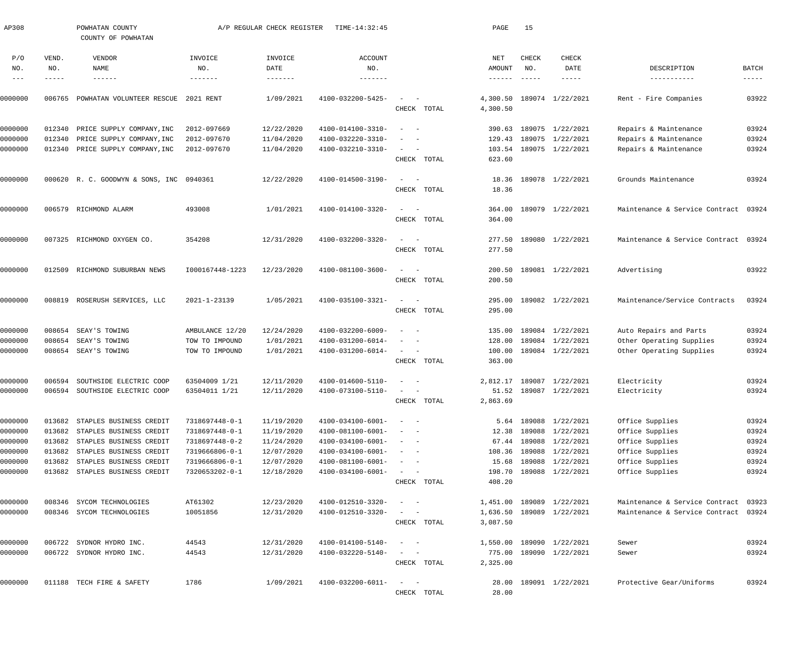| AP308              |                  | POWHATAN COUNTY<br>COUNTY OF POWHATAN              |                                  | A/P REGULAR CHECK REGISTER | TIME-14:32:45                          |                                                                                                              |             | PAGE            | 15            |                                      |                                      |                |
|--------------------|------------------|----------------------------------------------------|----------------------------------|----------------------------|----------------------------------------|--------------------------------------------------------------------------------------------------------------|-------------|-----------------|---------------|--------------------------------------|--------------------------------------|----------------|
| P/O<br>NO.         | VEND.<br>NO.     | VENDOR<br>NAME                                     | INVOICE<br>NO.                   | INVOICE<br>DATE            | <b>ACCOUNT</b><br>NO.                  |                                                                                                              |             | NET<br>AMOUNT   | CHECK<br>NO.  | CHECK<br>DATE                        | DESCRIPTION                          | <b>BATCH</b>   |
| $\qquad \qquad -$  | -----            | $- - - - - - -$                                    | -------                          | -------                    | -------                                |                                                                                                              |             | $- - - - - - -$ | $- - - - - -$ | -----                                | -----------                          | -----          |
| 0000000            | 006765           | POWHATAN VOLUNTEER RESCUE                          | 2021 RENT                        | 1/09/2021                  | 4100-032200-5425-                      | $\overline{\phantom{a}}$                                                                                     |             | 4,300.50        |               | 189074 1/22/2021                     | - Fire Companies<br>Rent             | 03922          |
|                    |                  |                                                    |                                  |                            |                                        |                                                                                                              | CHECK TOTAL | 4,300.50        |               |                                      |                                      |                |
| 0000000            | 012340           | PRICE SUPPLY COMPANY, INC                          | 2012-097669                      | 12/22/2020                 | 4100-014100-3310-                      | $\sim$                                                                                                       |             |                 |               | 390.63 189075 1/22/2021              | Repairs & Maintenance                | 03924          |
| 0000000            | 012340           | PRICE SUPPLY COMPANY, INC                          | 2012-097670                      | 11/04/2020                 | 4100-032220-3310-                      |                                                                                                              |             | 129.43          |               | 189075 1/22/2021                     | Repairs & Maintenance                | 03924          |
| 0000000            | 012340           | PRICE SUPPLY COMPANY, INC                          | 2012-097670                      | 11/04/2020                 | 4100-032210-3310-                      | $\overline{\phantom{a}}$                                                                                     |             | 103.54          |               | 189075 1/22/2021                     | Repairs & Maintenance                | 03924          |
|                    |                  |                                                    |                                  |                            |                                        |                                                                                                              | CHECK TOTAL | 623.60          |               |                                      |                                      |                |
| 0000000            |                  | 000620 R. C. GOODWYN & SONS, INC 0940361           |                                  | 12/22/2020                 | 4100-014500-3190-                      | $\sim$                                                                                                       |             | 18.36           |               | 189078 1/22/2021                     | Grounds Maintenance                  | 03924          |
|                    |                  |                                                    |                                  |                            |                                        |                                                                                                              | CHECK TOTAL | 18.36           |               |                                      |                                      |                |
| 0000000            | 006579           | RICHMOND ALARM                                     | 493008                           | 1/01/2021                  | 4100-014100-3320-                      | $\sim$<br>$\overline{\phantom{0}}$                                                                           |             | 364.00          |               | 189079 1/22/2021                     | Maintenance & Service Contract 03924 |                |
|                    |                  |                                                    |                                  |                            |                                        |                                                                                                              | CHECK TOTAL | 364.00          |               |                                      |                                      |                |
| 0000000            |                  | 007325 RICHMOND OXYGEN CO.                         | 354208                           | 12/31/2020                 | 4100-032200-3320-                      | $\sim$<br>- -                                                                                                |             | 277.50          |               | 189080 1/22/2021                     | Maintenance & Service Contract 03924 |                |
|                    |                  |                                                    |                                  |                            |                                        |                                                                                                              | CHECK TOTAL | 277.50          |               |                                      |                                      |                |
| 0000000            | 012509           | RICHMOND SUBURBAN NEWS                             | I000167448-1223                  | 12/23/2020                 | 4100-081100-3600-                      | $\sim$<br>$\sim$                                                                                             |             | 200.50          |               | 189081 1/22/2021                     | Advertising                          | 03922          |
|                    |                  |                                                    |                                  |                            |                                        |                                                                                                              | CHECK TOTAL | 200.50          |               |                                      |                                      |                |
| 0000000            | 008819           | ROSERUSH SERVICES, LLC                             | 2021-1-23139                     | 1/05/2021                  | 4100-035100-3321-                      | $\sim$                                                                                                       |             | 295.00          |               | 189082 1/22/2021                     | Maintenance/Service Contracts        | 03924          |
|                    |                  |                                                    |                                  |                            |                                        |                                                                                                              | CHECK TOTAL | 295.00          |               |                                      |                                      |                |
| 0000000            | 008654           | SEAY'S TOWING                                      | AMBULANCE 12/20                  | 12/24/2020                 | 4100-032200-6009-                      | - -                                                                                                          |             | 135.00          |               | 189084 1/22/2021                     | Auto Repairs and Parts               | 03924          |
| 0000000            | 008654           | SEAY'S TOWING                                      | TOW TO IMPOUND                   | 1/01/2021                  | 4100-031200-6014-                      |                                                                                                              |             | 128.00          |               | 189084 1/22/2021                     | Other Operating Supplies             | 03924          |
| 0000000            | 008654           | SEAY'S TOWING                                      | TOW TO IMPOUND                   | 1/01/2021                  | 4100-031200-6014-                      |                                                                                                              |             | 100.00          |               | 189084 1/22/2021                     | Other Operating Supplies             | 03924          |
|                    |                  |                                                    |                                  |                            |                                        |                                                                                                              | CHECK TOTAL | 363.00          |               |                                      |                                      |                |
| 0000000            | 006594           | SOUTHSIDE ELECTRIC COOP                            | 63504009 1/21                    | 12/11/2020                 | 4100-014600-5110-                      | $\sim$                                                                                                       |             |                 |               | 2,812.17 189087 1/22/2021            | Electricity                          | 03924          |
| 0000000            | 006594           | SOUTHSIDE ELECTRIC COOP                            | 63504011 1/21                    | 12/11/2020                 | 4100-073100-5110-                      |                                                                                                              |             |                 |               | 51.52 189087 1/22/2021               | Electricity                          | 03924          |
|                    |                  |                                                    |                                  |                            |                                        |                                                                                                              | CHECK TOTAL | 2,863.69        |               |                                      |                                      |                |
| 0000000            | 013682           | STAPLES BUSINESS CREDIT                            | 7318697448-0-1                   | 11/19/2020                 | 4100-034100-6001-                      |                                                                                                              |             |                 |               | 5.64 189088 1/22/2021                | Office Supplies                      | 03924          |
| 0000000            | 013682           | STAPLES BUSINESS CREDIT                            | 7318697448-0-1                   | 11/19/2020                 | 4100-081100-6001-                      |                                                                                                              |             | 12.38           |               | 189088 1/22/2021                     | Office Supplies                      | 03924          |
| 0000000            | 013682           | STAPLES BUSINESS CREDIT                            | 7318697448-0-2                   | 11/24/2020                 | 4100-034100-6001-                      | $\sim$                                                                                                       |             |                 |               | 67.44 189088 1/22/2021               | Office Supplies                      | 03924          |
| 0000000<br>0000000 | 013682<br>013682 | STAPLES BUSINESS CREDIT<br>STAPLES BUSINESS CREDIT | 7319666806-0-1<br>7319666806-0-1 | 12/07/2020<br>12/07/2020   | 4100-034100-6001-<br>4100-081100-6001- | $\sim$<br>$\sim$ $-$<br>$\sim$<br>$\sim$ $-$                                                                 |             | 108.36<br>15.68 |               | 189088 1/22/2021<br>189088 1/22/2021 | Office Supplies<br>Office Supplies   | 03924<br>03924 |
| 0000000            | 013682           | STAPLES BUSINESS CREDIT                            | 7320653202-0-1                   | 12/18/2020                 | 4100-034100-6001-                      | $\sim$ $ -$                                                                                                  |             | 198.70          |               | 189088 1/22/2021                     | Office Supplies                      | 03924          |
|                    |                  |                                                    |                                  |                            |                                        |                                                                                                              | CHECK TOTAL | 408.20          |               |                                      |                                      |                |
| 0000000            | 008346           | SYCOM TECHNOLOGIES                                 | AT61302                          | 12/23/2020                 | 4100-012510-3320-                      | $\sim$ 100 $\sim$ 100 $\sim$                                                                                 |             |                 |               | 1,451.00 189089 1/22/2021            | Maintenance & Service Contract 03923 |                |
| 0000000            | 008346           | SYCOM TECHNOLOGIES                                 | 10051856                         | 12/31/2020                 | 4100-012510-3320-                      | $\sim$                                                                                                       |             | 1,636.50        |               | 189089 1/22/2021                     | Maintenance & Service Contract       | 03924          |
|                    |                  |                                                    |                                  |                            |                                        |                                                                                                              | CHECK TOTAL | 3,087.50        |               |                                      |                                      |                |
| 0000000            | 006722           | SYDNOR HYDRO INC.                                  | 44543                            | 12/31/2020                 | 4100-014100-5140-                      | $\overline{\phantom{m}}$<br>$\sim$ $-$                                                                       |             |                 |               | 1,550.00 189090 1/22/2021            | Sewer                                | 03924          |
| 0000000            | 006722           | SYDNOR HYDRO INC.                                  | 44543                            | 12/31/2020                 | 4100-032220-5140-                      | $\overline{\phantom{m}}$<br>$\sim$ $-$                                                                       |             | 775.00          |               | 189090 1/22/2021                     | Sewer                                | 03924          |
|                    |                  |                                                    |                                  |                            |                                        |                                                                                                              | CHECK TOTAL | 2,325.00        |               |                                      |                                      |                |
| 0000000            |                  | 011188 TECH FIRE & SAFETY                          | 1786                             | 1/09/2021                  | 4100-032200-6011-                      | $\frac{1}{2} \left( \frac{1}{2} \right) \left( \frac{1}{2} \right) = \frac{1}{2} \left( \frac{1}{2} \right)$ |             | 28.00           |               | 189091 1/22/2021                     | Protective Gear/Uniforms             | 03924          |
|                    |                  |                                                    |                                  |                            |                                        |                                                                                                              | CHECK TOTAL | 28.00           |               |                                      |                                      |                |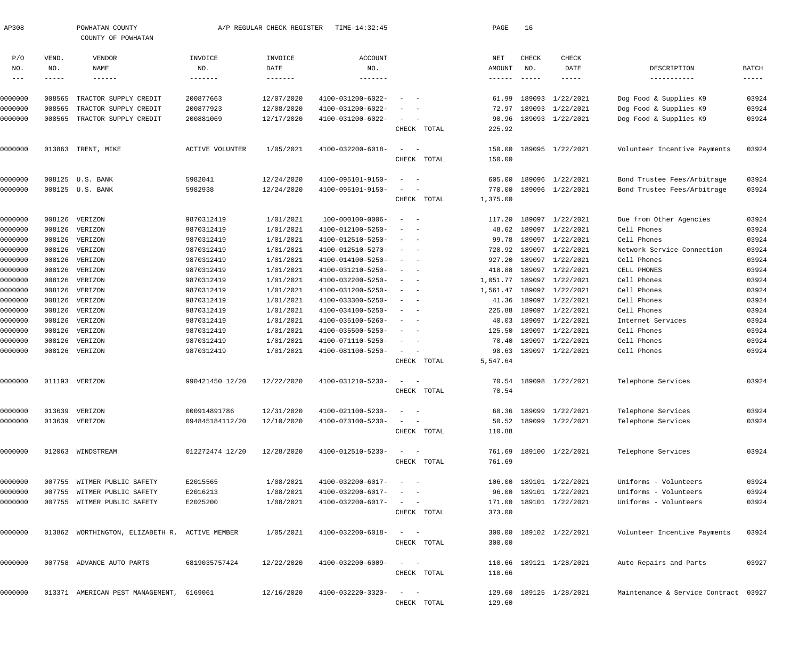| AP308         |              | POWHATAN COUNTY<br>COUNTY OF POWHATAN          |                        | A/P REGULAR CHECK REGISTER | TIME-14:32:45     |                                                             |             | PAGE             | 16            |                         |                                      |                      |
|---------------|--------------|------------------------------------------------|------------------------|----------------------------|-------------------|-------------------------------------------------------------|-------------|------------------|---------------|-------------------------|--------------------------------------|----------------------|
| P/O<br>NO.    | VEND.<br>NO. | VENDOR<br>NAME                                 | INVOICE<br>NO.         | INVOICE<br>DATE            | ACCOUNT<br>NO.    |                                                             |             | NET<br>AMOUNT    | CHECK<br>NO.  | CHECK<br>DATE           | DESCRIPTION                          | BATCH                |
| $\frac{1}{2}$ | $- - - - -$  | $- - - - - - -$                                | $- - - - - - -$        | -------                    | --------          |                                                             |             | $- - - - - -$    | $- - - - - -$ | $- - - - - -$           | -----------                          | $\cdots\cdots\cdots$ |
|               |              |                                                |                        |                            |                   |                                                             |             |                  |               |                         |                                      |                      |
| 0000000       | 008565       | TRACTOR SUPPLY CREDIT                          | 200877663              | 12/07/2020                 | 4100-031200-6022- |                                                             |             | 61.99            | 189093        | 1/22/2021               | Dog Food & Supplies K9               | 03924                |
| 0000000       | 008565       | TRACTOR SUPPLY CREDIT                          | 200877923              | 12/08/2020                 | 4100-031200-6022- |                                                             |             | 72.97            | 189093        | 1/22/2021               | Dog Food & Supplies K9               | 03924                |
| 0000000       | 008565       | TRACTOR SUPPLY CREDIT                          | 200881069              | 12/17/2020                 | 4100-031200-6022- | $\sim$<br>$\sim$ $-$                                        |             | 90.96            |               | 189093 1/22/2021        | Dog Food & Supplies K9               | 03924                |
|               |              |                                                |                        |                            |                   |                                                             | CHECK TOTAL | 225.92           |               |                         |                                      |                      |
| 0000000       |              | 013863 TRENT, MIKE                             | <b>ACTIVE VOLUNTER</b> | 1/05/2021                  | 4100-032200-6018- | $\sim$<br>$\sim$ $-$                                        |             | 150.00           |               | 189095 1/22/2021        | Volunteer Incentive Payments         | 03924                |
|               |              |                                                |                        |                            |                   |                                                             | CHECK TOTAL | 150.00           |               |                         |                                      |                      |
| 0000000       |              | 008125 U.S. BANK                               | 5982041                | 12/24/2020                 | 4100-095101-9150- |                                                             |             | 605.00           |               | 189096 1/22/2021        | Bond Trustee Fees/Arbitrage          | 03924                |
| 0000000       |              | 008125 U.S. BANK                               | 5982938                | 12/24/2020                 | 4100-095101-9150- |                                                             |             | 770.00           |               | 189096 1/22/2021        | Bond Trustee Fees/Arbitrage          | 03924                |
|               |              |                                                |                        |                            |                   |                                                             | CHECK TOTAL | 1,375.00         |               |                         |                                      |                      |
|               |              |                                                |                        |                            |                   | $\sim$ $-$<br>$\overline{\phantom{a}}$                      |             |                  | 189097        |                         | Due from Other Agencies              | 03924                |
| 0000000       | 008126       | VERIZON                                        | 9870312419             | 1/01/2021                  | 100-000100-0006-  |                                                             |             | 117.20           |               | 1/22/2021               | Cell Phones                          |                      |
| 0000000       | 008126       | VERIZON                                        | 9870312419             | 1/01/2021                  | 4100-012100-5250- |                                                             |             | 48.62            | 189097        | 1/22/2021               |                                      | 03924                |
| 0000000       | 008126       | VERIZON                                        | 9870312419             | 1/01/2021                  | 4100-012510-5250- | $\overline{\phantom{a}}$<br>$\sim$                          |             | 99.78            | 189097        | 1/22/2021               | Cell Phones                          | 03924                |
| 0000000       | 008126       | VERIZON                                        | 9870312419             | 1/01/2021                  | 4100-012510-5270- | $\hspace{0.1mm}-\hspace{0.1mm}$<br>$\sim$                   |             | 720.92           | 189097        | 1/22/2021               | Network Service Connection           | 03924                |
| 0000000       | 008126       | VERIZON                                        | 9870312419             | 1/01/2021                  | 4100-014100-5250- | $\overline{\phantom{a}}$<br>$\sim$                          |             | 927.20           | 189097        | 1/22/2021               | Cell Phones                          | 03924                |
| 0000000       | 008126       | VERIZON                                        | 9870312419             | 1/01/2021                  | 4100-031210-5250- | $\overline{\phantom{a}}$<br>$\sim$                          |             | 418.88           | 189097        | 1/22/2021               | CELL PHONES                          | 03924                |
| 0000000       | 008126       | VERIZON                                        | 9870312419             | 1/01/2021                  | 4100-032200-5250- | $\overline{\phantom{a}}$<br>$\sim$                          |             | 1,051.77         | 189097        | 1/22/2021               | Cell Phones                          | 03924                |
| 0000000       | 008126       | VERIZON                                        | 9870312419             | 1/01/2021                  | 4100-031200-5250- | $\hspace{0.1mm}-\hspace{0.1mm}$<br>- -                      |             | 1,561.47         | 189097        | 1/22/2021               | Cell Phones                          | 03924                |
| 0000000       | 008126       | VERIZON                                        | 9870312419             | 1/01/2021                  | 4100-033300-5250- | $\overline{\phantom{a}}$<br>$\sim$                          |             | 41.36            | 189097        | 1/22/2021               | Cell Phones                          | 03924                |
| 0000000       | 008126       | VERIZON                                        | 9870312419             | 1/01/2021                  | 4100-034100-5250- | $\overline{\phantom{a}}$<br>$\sim$                          |             | 225.88           | 189097        | 1/22/2021               | Cell Phones                          | 03924                |
| 0000000       | 008126       | VERIZON                                        | 9870312419             | 1/01/2021                  | 4100-035100-5260- | $\hspace{0.1mm}-\hspace{0.1mm}$<br>$\sim$                   |             | 40.03            | 189097        | 1/22/2021               | Internet Services                    | 03924                |
| 0000000       | 008126       | VERIZON                                        | 9870312419             | 1/01/2021                  | 4100-035500-5250- | $\overline{\phantom{a}}$<br>$\sim$                          |             | 125.50           | 189097        | 1/22/2021               | Cell Phones                          | 03924                |
| 0000000       | 008126       | VERIZON                                        | 9870312419             | 1/01/2021                  | 4100-071110-5250- | $\overline{\phantom{a}}$<br>$\sim$                          |             | 70.40            |               | 189097 1/22/2021        | Cell Phones                          | 03924                |
| 0000000       | 008126       | VERIZON                                        | 9870312419             | 1/01/2021                  | 4100-081100-5250- | $\sim$<br>$\sim$ $-$                                        |             | 98.63            |               | 189097 1/22/2021        | Cell Phones                          | 03924                |
|               |              |                                                |                        |                            |                   |                                                             | CHECK TOTAL | 5,547.64         |               |                         |                                      |                      |
| 0000000       |              | 011193 VERIZON                                 | 990421450 12/20        | 12/22/2020                 | 4100-031210-5230- | $\sim$<br>$\overline{\phantom{a}}$                          |             |                  |               | 70.54 189098 1/22/2021  | Telephone Services                   | 03924                |
|               |              |                                                |                        |                            |                   |                                                             | CHECK TOTAL | 70.54            |               |                         |                                      |                      |
| 0000000       |              | 013639 VERIZON                                 | 000914891786           | 12/31/2020                 | 4100-021100-5230- | $\sim$                                                      |             |                  |               | 60.36 189099 1/22/2021  | Telephone Services                   | 03924                |
| 0000000       |              | 013639 VERIZON                                 | 094845184112/20        | 12/10/2020                 | 4100-073100-5230- | $\hspace{0.1mm}-\hspace{0.1mm}$                             |             |                  |               | 50.52 189099 1/22/2021  | Telephone Services                   | 03924                |
|               |              |                                                |                        |                            |                   |                                                             | CHECK TOTAL | 110.88           |               |                         |                                      |                      |
| 0000000       |              | 012063 WINDSTREAM                              | 012272474 12/20        | 12/28/2020                 | 4100-012510-5230- | $\sim$ $  -$                                                |             |                  |               | 761.69 189100 1/22/2021 | Telephone Services                   | 03924                |
|               |              |                                                |                        |                            |                   |                                                             | CHECK TOTAL | 761.69           |               |                         |                                      |                      |
| 0000000       |              | 007755 WITMER PUBLIC SAFETY                    | E2015565               | 1/08/2021                  | 4100-032200-6017- | $\sim$ $ -$                                                 |             | 106.00           |               | 189101 1/22/2021        | Uniforms - Volunteers                | 03924                |
| 0000000       |              | 007755 WITMER PUBLIC SAFETY                    | E2016213               | 1/08/2021                  | 4100-032200-6017- | $\sim$ $  -$                                                |             | 96.00            |               | 189101 1/22/2021        | Uniforms - Volunteers                | 03924                |
| 0000000       |              | 007755 WITMER PUBLIC SAFETY                    | E2025200               | 1/08/2021                  | 4100-032200-6017- | $\mathcal{L}_{\text{max}}$ , and $\mathcal{L}_{\text{max}}$ |             | 171.00           |               | 189101 1/22/2021        | Uniforms - Volunteers                | 03924                |
|               |              |                                                |                        |                            |                   |                                                             | CHECK TOTAL | 373.00           |               |                         |                                      |                      |
|               |              |                                                |                        |                            |                   |                                                             |             |                  |               |                         |                                      |                      |
| 0000000       |              | 013862 WORTHINGTON, ELIZABETH R. ACTIVE MEMBER |                        | 1/05/2021                  | 4100-032200-6018- | $\frac{1}{2}$ and $\frac{1}{2}$ and $\frac{1}{2}$           | CHECK TOTAL | 300.00<br>300.00 |               | 189102 1/22/2021        | Volunteer Incentive Payments         | 03924                |
|               |              |                                                |                        |                            |                   |                                                             |             |                  |               |                         |                                      |                      |
| 0000000       |              | 007758 ADVANCE AUTO PARTS                      | 6819035757424          | 12/22/2020                 | 4100-032200-6009- | $\sim$<br>$\sim$ $-$                                        |             |                  |               | 110.66 189121 1/28/2021 | Auto Repairs and Parts               | 03927                |
|               |              |                                                |                        |                            |                   |                                                             | CHECK TOTAL | 110.66           |               |                         |                                      |                      |
| 0000000       |              | 013371 AMERICAN PEST MANAGEMENT, 6169061       |                        | 12/16/2020                 | 4100-032220-3320- | $\sim$<br>$\sim$ $-$                                        |             |                  |               | 129.60 189125 1/28/2021 | Maintenance & Service Contract 03927 |                      |
|               |              |                                                |                        |                            |                   |                                                             | CHECK TOTAL | 129.60           |               |                         |                                      |                      |
|               |              |                                                |                        |                            |                   |                                                             |             |                  |               |                         |                                      |                      |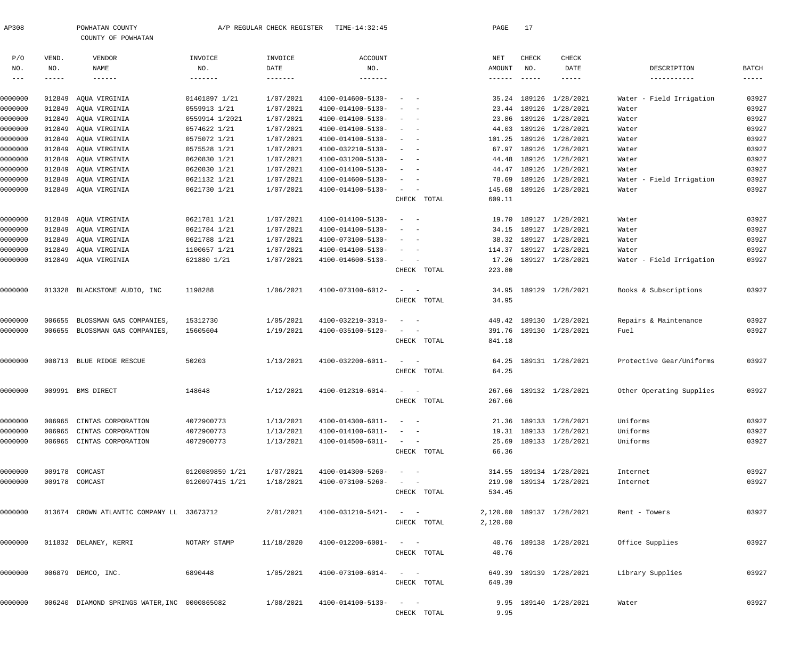| AP308                    |                          | POWHATAN COUNTY<br>COUNTY OF POWHATAN        |                                   | A/P REGULAR CHECK REGISTER           | TIME-14:32:45                              |                                                                                                                          |             | PAGE                                        | 17                            |                           |                             |                                    |
|--------------------------|--------------------------|----------------------------------------------|-----------------------------------|--------------------------------------|--------------------------------------------|--------------------------------------------------------------------------------------------------------------------------|-------------|---------------------------------------------|-------------------------------|---------------------------|-----------------------------|------------------------------------|
|                          |                          |                                              |                                   |                                      |                                            |                                                                                                                          |             |                                             |                               |                           |                             |                                    |
| P/O<br>NO.<br>$--\,$ $-$ | VEND.<br>NO.<br>$------$ | VENDOR<br>NAME<br>$- - - - - - -$            | INVOICE<br>NO.<br>$- - - - - - -$ | INVOICE<br>DATE<br>$- - - - - - - -$ | <b>ACCOUNT</b><br>NO.<br>$- - - - - - - -$ |                                                                                                                          |             | NET<br>AMOUNT<br>$\cdots\cdots\cdots\cdots$ | CHECK<br>NO.<br>$- - - - - -$ | CHECK<br>DATE             | DESCRIPTION<br>-----------  | BATCH<br>$\qquad \qquad - - - - -$ |
| 0000000                  | 012849                   | AQUA VIRGINIA                                | 01401897 1/21                     | 1/07/2021                            | 4100-014600-5130-                          |                                                                                                                          |             | 35.24                                       | 189126                        | 1/28/2021                 | - Field Irrigation<br>Water | 03927                              |
| 0000000                  | 012849                   | AQUA VIRGINIA                                | 0559913 1/21                      | 1/07/2021                            | 4100-014100-5130-                          | $\sim$<br>$\sim$ $-$                                                                                                     |             | 23.44                                       | 189126                        | 1/28/2021                 | Water                       | 03927                              |
| 0000000                  | 012849                   | AQUA VIRGINIA                                | 0559914 1/2021                    | 1/07/2021                            | 4100-014100-5130-                          | $\sim$<br>$\sim$ $-$                                                                                                     |             | 23.86                                       | 189126                        | 1/28/2021                 | Water                       | 03927                              |
| 0000000                  | 012849                   | AQUA VIRGINIA                                | 0574622 1/21                      | 1/07/2021                            | 4100-014100-5130-                          | $\sim$<br>$\sim$ $-$                                                                                                     |             | 44.03                                       |                               | 189126 1/28/2021          | Water                       | 03927                              |
| 0000000                  | 012849                   | AQUA VIRGINIA                                | 0575072 1/21                      | 1/07/2021                            | 4100-014100-5130-                          | $\sim$<br>$\sim$ $-$                                                                                                     |             | 101.25                                      |                               | 189126 1/28/2021          | Water                       | 03927                              |
| 0000000                  | 012849                   | AQUA VIRGINIA                                | 0575528 1/21                      | 1/07/2021                            | 4100-032210-5130-                          | $\sim$<br>$\sim$ $-$                                                                                                     |             | 67.97                                       |                               | 189126 1/28/2021          | Water                       | 03927                              |
| 0000000                  | 012849                   | AQUA VIRGINIA                                | 0620830 1/21                      | 1/07/2021                            | 4100-031200-5130-                          | $\sim$<br>$\sim$ $-$                                                                                                     |             | 44.48                                       |                               | 189126 1/28/2021          | Water                       | 03927                              |
| 0000000                  | 012849                   | AQUA VIRGINIA                                | 0620830 1/21                      | 1/07/2021                            | 4100-014100-5130-                          | $\sim$<br>$\sim$ $-$                                                                                                     |             | 44.47                                       |                               | 189126 1/28/2021          | Water                       | 03927                              |
| 0000000                  | 012849                   | AQUA VIRGINIA                                | 0621132 1/21                      | 1/07/2021                            | 4100-014600-5130-                          | $\sim$<br>$\sim$ $-$                                                                                                     |             | 78.69                                       |                               | 189126 1/28/2021          | - Field Irrigation<br>Water | 03927                              |
| 0000000                  |                          | 012849 AQUA VIRGINIA                         | 0621730 1/21                      | 1/07/2021                            | 4100-014100-5130-                          | $\sim$<br>$\sim$ $-$                                                                                                     |             | 145.68                                      |                               | 189126 1/28/2021          | Water                       | 03927                              |
|                          |                          |                                              |                                   |                                      |                                            |                                                                                                                          | CHECK TOTAL | 609.11                                      |                               |                           |                             |                                    |
| 0000000                  | 012849                   | AQUA VIRGINIA                                | 0621781 1/21                      | 1/07/2021                            | 4100-014100-5130-                          | $\sim$<br>$\sim$ $-$                                                                                                     |             | 19.70                                       | 189127                        | 1/28/2021                 | Water                       | 03927                              |
| 0000000                  | 012849                   | AQUA VIRGINIA                                | 0621784 1/21                      | 1/07/2021                            | 4100-014100-5130-                          | $\sim$                                                                                                                   |             | 34.15                                       | 189127                        | 1/28/2021                 | Water                       | 03927                              |
| 0000000                  | 012849                   | AQUA VIRGINIA                                | 0621788 1/21                      | 1/07/2021                            | 4100-073100-5130-                          | $\sim$<br>$\sim$ $-$                                                                                                     |             | 38.32                                       |                               | 189127 1/28/2021          | Water                       | 03927                              |
| 0000000                  | 012849                   | AQUA VIRGINIA                                | 1100657 1/21                      | 1/07/2021                            | 4100-014100-5130-                          | $\sim$<br>$\sim$ $-$                                                                                                     |             | 114.37                                      |                               | 189127 1/28/2021          | Water                       | 03927                              |
| 0000000                  |                          | 012849 AQUA VIRGINIA                         | 621880 1/21                       | 1/07/2021                            | 4100-014600-5130-                          | $\sim$<br>$\sim$ $-$                                                                                                     | CHECK TOTAL | 17.26<br>223.80                             |                               | 189127 1/28/2021          | Water - Field Irrigation    | 03927                              |
| 0000000                  |                          | 013328 BLACKSTONE AUDIO, INC                 | 1198288                           | 1/06/2021                            | 4100-073100-6012-                          | $\sim$<br>$\sim$ $-$                                                                                                     |             | 34.95                                       |                               | 189129 1/28/2021          | Books & Subscriptions       | 03927                              |
|                          |                          |                                              |                                   |                                      |                                            |                                                                                                                          | CHECK TOTAL | 34.95                                       |                               |                           |                             |                                    |
| 0000000                  | 006655                   | BLOSSMAN GAS COMPANIES,                      | 15312730                          | 1/05/2021                            | 4100-032210-3310-                          | $\sim$<br>$\sim$ $-$                                                                                                     |             | 449.42                                      |                               | 189130 1/28/2021          | Repairs & Maintenance       | 03927                              |
| 0000000                  |                          | 006655 BLOSSMAN GAS COMPANIES,               | 15605604                          | 1/19/2021                            | 4100-035100-5120-                          | $\sim$<br>$\sim$ $-$                                                                                                     |             | 391.76                                      |                               | 189130 1/28/2021          | Fuel                        | 03927                              |
|                          |                          |                                              |                                   |                                      |                                            |                                                                                                                          | CHECK TOTAL | 841.18                                      |                               |                           |                             |                                    |
| 0000000                  |                          | 008713 BLUE RIDGE RESCUE                     | 50203                             | 1/13/2021                            | 4100-032200-6011-                          | $\sim$<br>$\sim$ $-$                                                                                                     |             | 64.25                                       |                               | 189131 1/28/2021          | Protective Gear/Uniforms    | 03927                              |
|                          |                          |                                              |                                   |                                      |                                            |                                                                                                                          | CHECK TOTAL | 64.25                                       |                               |                           |                             |                                    |
| 0000000                  |                          | 009991 BMS DIRECT                            | 148648                            | 1/12/2021                            | 4100-012310-6014-                          | $\sim$<br>$\sim$                                                                                                         |             |                                             |                               | 267.66 189132 1/28/2021   | Other Operating Supplies    | 03927                              |
|                          |                          |                                              |                                   |                                      |                                            |                                                                                                                          | CHECK TOTAL | 267.66                                      |                               |                           |                             |                                    |
| 0000000                  |                          | 006965 CINTAS CORPORATION                    | 4072900773                        | 1/13/2021                            | $4100 - 014300 - 6011 - - -$               |                                                                                                                          |             |                                             |                               | 21.36 189133 1/28/2021    | Uniforms                    | 03927                              |
| 0000000                  |                          | 006965 CINTAS CORPORATION                    | 4072900773                        | 1/13/2021                            | 4100-014100-6011-                          | $\alpha_{\rm{max}}=1.000$ and $\alpha_{\rm{max}}=0.000$                                                                  |             |                                             |                               | 19.31 189133 1/28/2021    | Uniforms                    | 03927                              |
| 0000000                  |                          | 006965 CINTAS CORPORATION                    | 4072900773                        | 1/13/2021                            | 4100-014500-6011-                          | $\alpha \rightarrow \alpha \rightarrow \beta \rightarrow \gamma \rightarrow \gamma \rightarrow \gamma$                   |             |                                             |                               | 25.69 189133 1/28/2021    | Uniforms                    | 03927                              |
|                          |                          |                                              |                                   |                                      |                                            |                                                                                                                          | CHECK TOTAL | 66.36                                       |                               |                           |                             |                                    |
| 0000000                  |                          | 009178 COMCAST                               | 0120089859 1/21                   | 1/07/2021                            | 4100-014300-5260-                          | $\alpha = 1, \ldots, n-1$                                                                                                |             |                                             |                               | 314.55 189134 1/28/2021   | Internet                    | 03927                              |
| 0000000                  |                          | 009178 COMCAST                               | 0120097415 1/21                   | 1/18/2021                            | 4100-073100-5260-                          | $\alpha = 1, \ldots, \alpha$                                                                                             |             |                                             |                               | 219.90 189134 1/28/2021   | Internet                    | 03927                              |
|                          |                          |                                              |                                   |                                      |                                            |                                                                                                                          | CHECK TOTAL | 534.45                                      |                               |                           |                             |                                    |
| 0000000                  |                          | 013674 CROWN ATLANTIC COMPANY LL 33673712    |                                   | 2/01/2021                            | 4100-031210-5421-                          | $\label{eq:1} \begin{array}{cccccccccc} \bullet & \bullet & \bullet & \bullet & \bullet & \bullet & \bullet \end{array}$ |             |                                             |                               | 2,120.00 189137 1/28/2021 | Rent - Towers               | 03927                              |
|                          |                          |                                              |                                   |                                      |                                            |                                                                                                                          | CHECK TOTAL | 2,120.00                                    |                               |                           |                             |                                    |
| 0000000                  |                          | 011832 DELANEY, KERRI                        | NOTARY STAMP                      | 11/18/2020                           | 4100-012200-6001-                          | $\alpha\rightarrow\alpha\gamma$ , $\alpha\rightarrow\alpha\gamma$                                                        |             |                                             |                               | 40.76 189138 1/28/2021    | Office Supplies             | 03927                              |
|                          |                          |                                              |                                   |                                      |                                            |                                                                                                                          | CHECK TOTAL | 40.76                                       |                               |                           |                             |                                    |
| 0000000                  |                          | 006879 DEMCO, INC.                           | 6890448                           | 1/05/2021                            | 4100-073100-6014-                          | $\alpha = 1, \ldots, n-1$                                                                                                |             |                                             |                               | 649.39 189139 1/28/2021   | Library Supplies            | 03927                              |
|                          |                          |                                              |                                   |                                      |                                            |                                                                                                                          | CHECK TOTAL | 649.39                                      |                               |                           |                             |                                    |
| 0000000                  |                          | 006240 DIAMOND SPRINGS WATER, INC 0000865082 |                                   | 1/08/2021                            | 4100-014100-5130-                          | $\alpha = 1, \ldots, n-1$                                                                                                |             |                                             |                               | 9.95 189140 1/28/2021     | Water                       | 03927                              |
|                          |                          |                                              |                                   |                                      |                                            |                                                                                                                          | CHECK TOTAL | 9.95                                        |                               |                           |                             |                                    |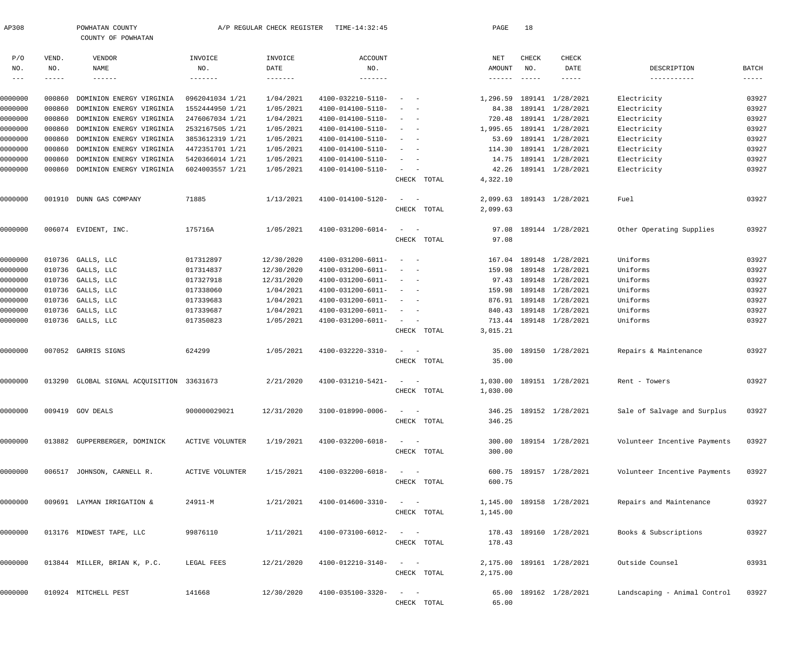| AP308      |        | POWHATAN COUNTY                           |                        | A/P REGULAR CHECK REGISTER | TIME-14:32:45     |                                                   | PAGE                       | 18            |                           |                              |               |
|------------|--------|-------------------------------------------|------------------------|----------------------------|-------------------|---------------------------------------------------|----------------------------|---------------|---------------------------|------------------------------|---------------|
| P/O        | VEND.  | COUNTY OF POWHATAN<br>VENDOR              | INVOICE                | INVOICE                    | <b>ACCOUNT</b>    |                                                   | NET                        | <b>CHECK</b>  | CHECK                     |                              |               |
| NO.        | NO.    | NAME                                      | NO.                    | DATE                       | NO.               |                                                   | AMOUNT                     | NO.           | DATE                      | DESCRIPTION                  | <b>BATCH</b>  |
| $--\,$ $-$ | -----  | $- - - - - - -$                           | -------                | $- - - - - - - -$          | $- - - - - - -$   |                                                   | $\cdots\cdots\cdots\cdots$ | $- - - - - -$ | -----                     | -----------                  | $- - - - - -$ |
| 0000000    | 000860 | DOMINION ENERGY VIRGINIA                  | 0962041034 1/21        | 1/04/2021                  | 4100-032210-5110- | $\sim$<br>$\sim$ $-$                              | 1,296.59                   |               | 189141 1/28/2021          | Electricity                  | 03927         |
| 0000000    | 000860 | DOMINION ENERGY VIRGINIA                  | 1552444950 1/21        | 1/05/2021                  | 4100-014100-5110- | $\sim$<br>$\sim$                                  | 84.38                      |               | 189141 1/28/2021          | Electricity                  | 03927         |
| 0000000    | 000860 | DOMINION ENERGY VIRGINIA                  | 2476067034 1/21        | 1/04/2021                  | 4100-014100-5110- | $\sim$<br>$\sim$                                  | 720.48                     |               | 189141 1/28/2021          | Electricity                  | 03927         |
| 0000000    | 000860 | DOMINION ENERGY VIRGINIA                  | 2532167505 1/21        | 1/05/2021                  | 4100-014100-5110- | $\sim$<br>$\sim$                                  | 1,995.65                   |               | 189141 1/28/2021          | Electricity                  | 03927         |
| 0000000    | 000860 | DOMINION ENERGY VIRGINIA                  | 3853612319 1/21        | 1/05/2021                  | 4100-014100-5110- | $\sim$<br>$\overline{\phantom{0}}$                | 53.69                      |               | 189141 1/28/2021          | Electricity                  | 03927         |
| 0000000    | 000860 | DOMINION ENERGY VIRGINIA                  | 4472351701 1/21        | 1/05/2021                  | 4100-014100-5110- | $\sim$<br>$\sim$                                  | 114.30                     |               | 189141 1/28/2021          | Electricity                  | 03927         |
| 0000000    | 000860 | DOMINION ENERGY VIRGINIA                  | 5420366014 1/21        | 1/05/2021                  | 4100-014100-5110- | $\sim$<br>$\overline{\phantom{0}}$                | 14.75                      |               | 189141 1/28/2021          | Electricity                  | 03927         |
| 0000000    | 000860 | DOMINION ENERGY VIRGINIA                  | 6024003557 1/21        | 1/05/2021                  | 4100-014100-5110- | $\sim$                                            | 42.26                      |               | 189141 1/28/2021          | Electricity                  | 03927         |
|            |        |                                           |                        |                            |                   | CHECK TOTAL                                       | 4,322.10                   |               |                           |                              |               |
|            |        |                                           | 71885                  | 1/13/2021                  | 4100-014100-5120- | $\sim$                                            |                            |               |                           | Fuel                         | 03927         |
| 0000000    |        | 001910 DUNN GAS COMPANY                   |                        |                            |                   | CHECK TOTAL                                       | 2,099.63<br>2,099.63       |               | 189143 1/28/2021          |                              |               |
|            |        |                                           |                        |                            |                   |                                                   |                            |               |                           |                              |               |
| 0000000    |        | 006074 EVIDENT, INC.                      | 175716A                | 1/05/2021                  | 4100-031200-6014- | $\sim$                                            | 97.08                      |               | 189144 1/28/2021          | Other Operating Supplies     | 03927         |
|            |        |                                           |                        |                            |                   | CHECK TOTAL                                       | 97.08                      |               |                           |                              |               |
| 0000000    | 010736 | GALLS, LLC                                | 017312897              | 12/30/2020                 | 4100-031200-6011- | $\sim$<br>$\sim$ $-$                              | 167.04                     |               | 189148 1/28/2021          | Uniforms                     | 03927         |
| 0000000    | 010736 | GALLS, LLC                                | 017314837              | 12/30/2020                 | 4100-031200-6011- | $\sim$<br>$\overline{\phantom{0}}$                | 159.98                     |               | 189148 1/28/2021          | Uniforms                     | 03927         |
| 0000000    | 010736 | GALLS, LLC                                | 017327918              | 12/31/2020                 | 4100-031200-6011- | $\sim$<br>$\overline{\phantom{0}}$                | 97.43                      |               | 189148 1/28/2021          | Uniforms                     | 03927         |
| 0000000    | 010736 | GALLS, LLC                                | 017338060              | 1/04/2021                  | 4100-031200-6011- | $\sim$<br>$\overline{\phantom{a}}$                | 159.98                     |               | 189148 1/28/2021          | Uniforms                     | 03927         |
| 0000000    | 010736 | GALLS, LLC                                | 017339683              | 1/04/2021                  | 4100-031200-6011- | $\sim$<br>$\sim$                                  | 876.91                     |               | 189148 1/28/2021          | Uniforms                     | 03927         |
| 0000000    | 010736 | GALLS, LLC                                | 017339687              | 1/04/2021                  | 4100-031200-6011- | $\sim$<br>$\sim$                                  | 840.43                     |               | 189148 1/28/2021          | Uniforms                     | 03927         |
| 0000000    |        | 010736 GALLS, LLC                         | 017350823              | 1/05/2021                  | 4100-031200-6011- | $\sim$ $  -$                                      | 713.44                     |               | 189148 1/28/2021          | Uniforms                     | 03927         |
|            |        |                                           |                        |                            |                   | CHECK TOTAL                                       | 3,015.21                   |               |                           |                              |               |
| 0000000    |        | 007052 GARRIS SIGNS                       | 624299                 | 1/05/2021                  | 4100-032220-3310- | $\sim$<br>$\overline{\phantom{a}}$                | 35.00                      |               | 189150 1/28/2021          | Repairs & Maintenance        | 03927         |
|            |        |                                           |                        |                            |                   | CHECK TOTAL                                       | 35.00                      |               |                           |                              |               |
| 0000000    |        | 013290 GLOBAL SIGNAL ACQUISITION 33631673 |                        | 2/21/2020                  | 4100-031210-5421- |                                                   |                            |               | 1,030.00 189151 1/28/2021 | Rent - Towers                | 03927         |
|            |        |                                           |                        |                            |                   | CHECK TOTAL                                       | 1,030.00                   |               |                           |                              |               |
| 0000000    |        | 009419 GOV DEALS                          | 900000029021           | 12/31/2020                 | 3100-018990-0006- |                                                   |                            |               | 346.25 189152 1/28/2021   | Sale of Salvage and Surplus  | 03927         |
|            |        |                                           |                        |                            |                   | CHECK TOTAL                                       | 346.25                     |               |                           |                              |               |
|            |        |                                           |                        |                            |                   |                                                   |                            |               |                           |                              |               |
| 0000000    |        | 013882 GUPPERBERGER, DOMINICK             | <b>ACTIVE VOLUNTER</b> | 1/19/2021                  | 4100-032200-6018- | $\frac{1}{2}$ and $\frac{1}{2}$ and $\frac{1}{2}$ |                            |               | 300.00 189154 1/28/2021   | Volunteer Incentive Payments | 03927         |
|            |        |                                           |                        |                            |                   | CHECK TOTAL                                       | 300.00                     |               |                           |                              |               |
| 0000000    |        | 006517 JOHNSON, CARNELL R.                | <b>ACTIVE VOLUNTER</b> | 1/15/2021                  | 4100-032200-6018- | $\frac{1}{2}$ and $\frac{1}{2}$ and $\frac{1}{2}$ |                            |               | 600.75 189157 1/28/2021   | Volunteer Incentive Payments | 03927         |
|            |        |                                           |                        |                            |                   | CHECK TOTAL                                       | 600.75                     |               |                           |                              |               |
| 0000000    |        | 009691 LAYMAN IRRIGATION &                | 24911-M                | 1/21/2021                  | 4100-014600-3310- | $\sim$                                            |                            |               | 1,145.00 189158 1/28/2021 | Repairs and Maintenance      | 03927         |
|            |        |                                           |                        |                            |                   | CHECK TOTAL                                       | 1,145.00                   |               |                           |                              |               |
| 0000000    |        | 013176 MIDWEST TAPE, LLC                  | 99876110               | 1/11/2021                  | 4100-073100-6012- | $\sim$                                            |                            |               | 178.43 189160 1/28/2021   | Books & Subscriptions        | 03927         |
|            |        |                                           |                        |                            |                   | CHECK TOTAL                                       | 178.43                     |               |                           |                              |               |
|            |        |                                           |                        |                            |                   |                                                   |                            |               |                           |                              |               |
| 0000000    |        | 013844 MILLER, BRIAN K, P.C.              | LEGAL FEES             | 12/21/2020                 | 4100-012210-3140- | $\sim$                                            |                            |               | 2,175.00 189161 1/28/2021 | Outside Counsel              | 03931         |
|            |        |                                           |                        |                            |                   | CHECK TOTAL                                       | 2,175.00                   |               |                           |                              |               |
| 0000000    |        | 010924 MITCHELL PEST                      | 141668                 | 12/30/2020                 | 4100-035100-3320- | $\sim$                                            |                            |               | 65.00 189162 1/28/2021    | Landscaping - Animal Control | 03927         |
|            |        |                                           |                        |                            |                   | CHECK TOTAL                                       | 65.00                      |               |                           |                              |               |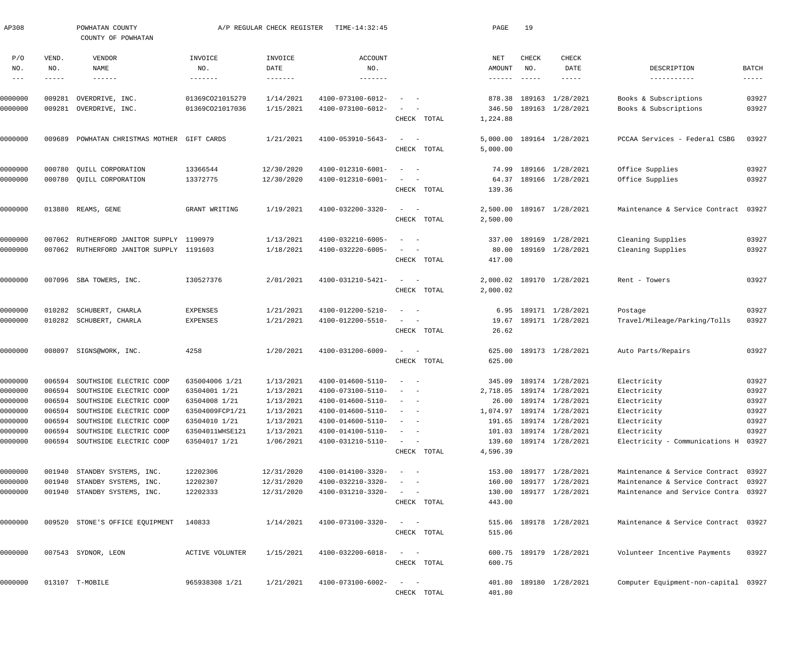| AP308               |                  | POWHATAN COUNTY<br>COUNTY OF POWHATAN    |                                    | A/P REGULAR CHECK REGISTER | TIME-14:32:45                          |                                                                   | PAGE                 | 19                        |                                      |                                                |                |
|---------------------|------------------|------------------------------------------|------------------------------------|----------------------------|----------------------------------------|-------------------------------------------------------------------|----------------------|---------------------------|--------------------------------------|------------------------------------------------|----------------|
| P/O<br>NO.          | VEND.<br>NO.     | VENDOR<br>NAME                           | INVOICE<br>NO.                     | INVOICE<br>DATE            | <b>ACCOUNT</b><br>NO.                  |                                                                   | NET<br>AMOUNT        | CHECK<br>NO.              | CHECK<br>DATE                        | DESCRIPTION                                    | <b>BATCH</b>   |
| $\qquad \qquad - -$ | -----            | $- - - - - - -$                          | -------                            | $- - - - - - - -$          | $- - - - - - -$                        |                                                                   | $- - - - - - -$      | $\qquad \qquad - - - - -$ | -----                                | -----------                                    | -----          |
| 0000000<br>0000000  | 009281<br>009281 | OVERDRIVE, INC.<br>OVERDRIVE, INC.       | 01369CO21015279<br>01369CO21017036 | 1/14/2021<br>1/15/2021     | 4100-073100-6012-<br>4100-073100-6012- |                                                                   | 878.38<br>346.50     |                           | 189163 1/28/2021<br>189163 1/28/2021 | Books & Subscriptions<br>Books & Subscriptions | 03927<br>03927 |
|                     |                  |                                          |                                    |                            |                                        | CHECK TOTAL                                                       | 1,224.88             |                           |                                      |                                                |                |
| 0000000             | 009689           | POWHATAN CHRISTMAS MOTHER                | GIFT CARDS                         | 1/21/2021                  | 4100-053910-5643-                      | $\sim$<br>$\sim$ $-$<br>CHECK TOTAL                               | 5,000.00<br>5,000.00 |                           | 189164 1/28/2021                     | PCCAA Services - Federal CSBG                  | 03927          |
| 0000000             | 000780           | QUILL CORPORATION                        | 13366544                           | 12/30/2020                 | 4100-012310-6001-                      | $\overline{\phantom{a}}$<br>$\sim$ $-$                            | 74.99                |                           | 189166 1/28/2021                     | Office Supplies                                | 03927          |
| 0000000             |                  | 000780 QUILL CORPORATION                 | 13372775                           | 12/30/2020                 | 4100-012310-6001-                      | $\overline{\phantom{a}}$                                          | 64.37                |                           | 189166 1/28/2021                     | Office Supplies                                | 03927          |
|                     |                  |                                          |                                    |                            |                                        | CHECK TOTAL                                                       | 139.36               |                           |                                      |                                                |                |
| 0000000             |                  | 013880 REAMS, GENE                       | GRANT WRITING                      | 1/19/2021                  | 4100-032200-3320-                      | $\sim$<br>$\sim$ $-$                                              | 2,500.00             |                           | 189167 1/28/2021                     | Maintenance & Service Contract                 | 03927          |
|                     |                  |                                          |                                    |                            |                                        | CHECK TOTAL                                                       | 2,500.00             |                           |                                      |                                                |                |
| 0000000             | 007062           | RUTHERFORD JANITOR SUPPLY 1190979        |                                    | 1/13/2021                  | 4100-032210-6005-                      | $\sim$ $-$                                                        | 337.00               |                           | 189169 1/28/2021                     | Cleaning Supplies                              | 03927          |
| 0000000             |                  | 007062 RUTHERFORD JANITOR SUPPLY 1191603 |                                    | 1/18/2021                  | 4100-032220-6005-                      | $\sim$                                                            | 80.00                |                           | 189169 1/28/2021                     | Cleaning Supplies                              | 03927          |
|                     |                  |                                          |                                    |                            |                                        | CHECK TOTAL                                                       | 417.00               |                           |                                      |                                                |                |
| 0000000             |                  | 007096 SBA TOWERS, INC.                  | I30527376                          | 2/01/2021                  | 4100-031210-5421-                      | $\sim$<br>$\sim$ $-$                                              | 2,000.02             |                           | 189170 1/28/2021                     | Rent - Towers                                  | 03927          |
|                     |                  |                                          |                                    |                            |                                        | CHECK TOTAL                                                       | 2,000.02             |                           |                                      |                                                |                |
| 0000000             | 010282           | SCHUBERT, CHARLA                         | <b>EXPENSES</b>                    | 1/21/2021                  | 4100-012200-5210-                      | $\sim$ $-$                                                        | 6.95                 |                           | 189171 1/28/2021                     | Postage                                        | 03927          |
| 0000000             |                  | 010282 SCHUBERT, CHARLA                  | <b>EXPENSES</b>                    | 1/21/2021                  | 4100-012200-5510-                      | $\overline{\phantom{a}}$                                          | 19.67                |                           | 189171 1/28/2021                     | Travel/Mileage/Parking/Tolls                   | 03927          |
|                     |                  |                                          |                                    |                            |                                        | CHECK TOTAL                                                       | 26.62                |                           |                                      |                                                |                |
| 0000000             |                  | 008097 SIGNS@WORK, INC.                  | 4258                               | 1/20/2021                  | 4100-031200-6009-                      | $\sim$<br>$\sim$ $-$                                              | 625.00               |                           | 189173 1/28/2021                     | Auto Parts/Repairs                             | 03927          |
|                     |                  |                                          |                                    |                            |                                        | CHECK TOTAL                                                       | 625.00               |                           |                                      |                                                |                |
| 0000000             | 006594           | SOUTHSIDE ELECTRIC COOP                  | 635004006 1/21                     | 1/13/2021                  | 4100-014600-5110-                      |                                                                   | 345.09               |                           | 189174 1/28/2021                     | Electricity                                    | 03927          |
| 0000000             | 006594           | SOUTHSIDE ELECTRIC COOP                  | 63504001 1/21                      | 1/13/2021                  | 4100-073100-5110-                      |                                                                   |                      |                           | 2,718.05 189174 1/28/2021            | Electricity                                    | 03927          |
| 0000000             |                  | 006594 SOUTHSIDE ELECTRIC COOP           | 63504008 1/21                      | 1/13/2021                  | $4100 - 014600 - 5110 - - -$           |                                                                   |                      |                           | 26.00 189174 1/28/2021               | Electricity                                    | 03927          |
| 0000000             |                  | 006594 SOUTHSIDE ELECTRIC COOP           | 63504009FCP1/21                    | 1/13/2021                  | $4100 - 014600 - 5110 - - -$           |                                                                   |                      |                           | 1,074.97 189174 1/28/2021            | Electricity                                    | 03927          |
| 0000000             | 006594           | SOUTHSIDE ELECTRIC COOP                  | 63504010 1/21                      | 1/13/2021                  | 4100-014600-5110-                      | $\alpha$ , and $\alpha$ , and $\alpha$                            |                      |                           | 191.65 189174 1/28/2021              | Electricity                                    | 03927          |
| 0000000             |                  | 006594 SOUTHSIDE ELECTRIC COOP           | 63504011WHSE121                    | 1/13/2021                  | 4100-014100-5110-                      | $\alpha = 1$ , $\alpha = 1$                                       |                      |                           | 101.03 189174 1/28/2021              | Electricity                                    | 03927          |
| 0000000             |                  | 006594 SOUTHSIDE ELECTRIC COOP           | 63504017 1/21                      | 1/06/2021                  | 4100-031210-5110-                      | $\alpha\rightarrow\alpha\gamma$ , $\alpha\rightarrow\alpha\gamma$ |                      |                           | 139.60 189174 1/28/2021              | Electricity - Communications H 03927           |                |
|                     |                  |                                          |                                    |                            |                                        | CHECK TOTAL                                                       | 4,596.39             |                           |                                      |                                                |                |
| 0000000             |                  | 001940 STANDBY SYSTEMS, INC.             | 12202306                           | 12/31/2020                 | 4100-014100-3320-                      |                                                                   |                      |                           | 153.00 189177 1/28/2021              | Maintenance & Service Contract 03927           |                |
| 0000000             |                  | 001940 STANDBY SYSTEMS, INC.             | 12202307                           | 12/31/2020                 | 4100-032210-3320-                      |                                                                   |                      |                           | 160.00 189177 1/28/2021              | Maintenance & Service Contract 03927           |                |
| 0000000             |                  | 001940 STANDBY SYSTEMS, INC.             | 12202333                           | 12/31/2020                 | 4100-031210-3320-                      | $\alpha_{\rm{max}}=1.00$ and $\alpha_{\rm{max}}=0.00$             |                      |                           | 130.00 189177 1/28/2021              | Maintenance and Service Contra 03927           |                |
|                     |                  |                                          |                                    |                            |                                        | CHECK TOTAL                                                       | 443.00               |                           |                                      |                                                |                |
| 0000000             |                  | 009520 STONE'S OFFICE EQUIPMENT          | 140833                             | 1/14/2021                  | 4100-073100-3320-                      | $\alpha = 1, \ldots, \alpha$                                      |                      |                           | 515.06 189178 1/28/2021              | Maintenance & Service Contract 03927           |                |
|                     |                  |                                          |                                    |                            |                                        | CHECK TOTAL                                                       | 515.06               |                           |                                      |                                                |                |
| 0000000             |                  | 007543 SYDNOR, LEON                      | ACTIVE VOLUNTER                    | 1/15/2021                  | 4100-032200-6018-                      | $\alpha = 1$ , $\alpha = 1$                                       |                      |                           | 600.75 189179 1/28/2021              | Volunteer Incentive Payments                   | 03927          |
|                     |                  |                                          |                                    |                            |                                        | CHECK TOTAL                                                       | 600.75               |                           |                                      |                                                |                |
|                     |                  |                                          |                                    |                            |                                        |                                                                   |                      |                           |                                      |                                                |                |
| 0000000             |                  | 013107 T-MOBILE                          | 965938308 1/21                     | 1/21/2021                  | 4100-073100-6002-                      | $\alpha = 1$ , $\alpha = 1$                                       |                      |                           | 401.80 189180 1/28/2021              | Computer Equipment-non-capital 03927           |                |
|                     |                  |                                          |                                    |                            |                                        | CHECK TOTAL                                                       | 401.80               |                           |                                      |                                                |                |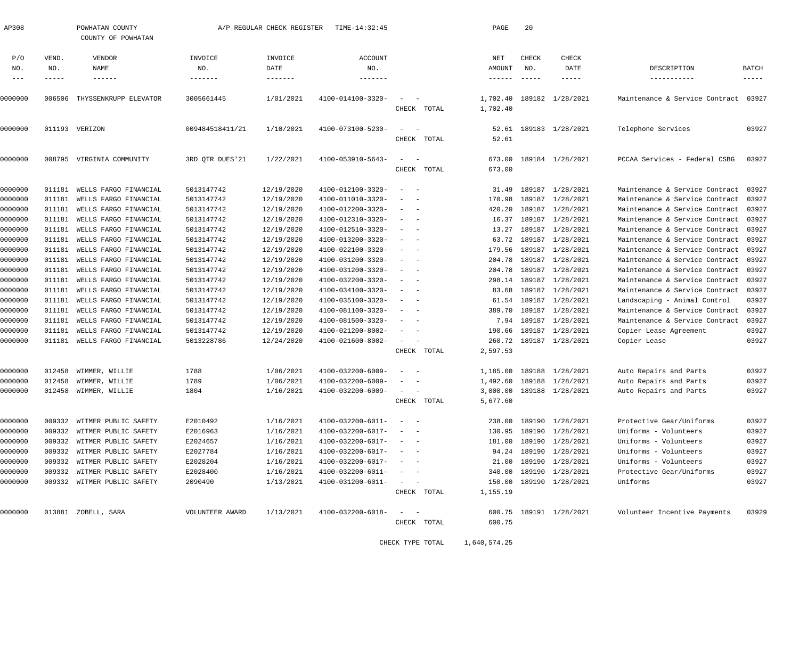| AP308        |              | POWHATAN COUNTY<br>COUNTY OF POWHATAN |                        | A/P REGULAR CHECK REGISTER | TIME-14:32:45     |                                                                                                                           |             | PAGE                 | 20                   |                           |                                      |                             |
|--------------|--------------|---------------------------------------|------------------------|----------------------------|-------------------|---------------------------------------------------------------------------------------------------------------------------|-------------|----------------------|----------------------|---------------------------|--------------------------------------|-----------------------------|
| P/O          | VEND.        | VENDOR                                | INVOICE                | INVOICE                    | <b>ACCOUNT</b>    |                                                                                                                           |             | NET                  | CHECK                | CHECK                     |                                      |                             |
| NO.<br>$---$ | NO.<br>----- | NAME<br>$- - - - - - -$               | NO.<br>$- - - - - - -$ | DATE<br>$- - - - - - -$    | NO.               |                                                                                                                           |             | AMOUNT<br>------     | NO.<br>$- - - - - -$ | DATE<br>-----             | DESCRIPTION<br>-----------           | <b>BATCH</b><br>$- - - - -$ |
| 0000000      | 006506       | THYSSENKRUPP ELEVATOR                 | 3005661445             | 1/01/2021                  | 4100-014100-3320- | $\sim$                                                                                                                    | CHECK TOTAL | 1,702.40<br>1,702.40 |                      | 189182 1/28/2021          | Maintenance & Service Contract 03927 |                             |
| 0000000      |              | 011193 VERIZON                        | 009484518411/21        | 1/10/2021                  | 4100-073100-5230- | $\sim$                                                                                                                    | CHECK TOTAL | 52.61<br>52.61       |                      | 189183 1/28/2021          | Telephone Services                   | 03927                       |
| 0000000      | 008795       | VIRGINIA COMMUNITY                    | 3RD QTR DUES'21        | 1/22/2021                  | 4100-053910-5643- | $\sim$                                                                                                                    | CHECK TOTAL | 673.00<br>673.00     |                      | 189184 1/28/2021          | PCCAA Services - Federal CSBG        | 03927                       |
| 0000000      | 011181       | WELLS FARGO FINANCIAL                 | 5013147742             | 12/19/2020                 | 4100-012100-3320- | $\overline{\phantom{a}}$                                                                                                  |             | 31.49                |                      | 189187 1/28/2021          | Maintenance & Service Contract       | 03927                       |
| 0000000      | 011181       | WELLS FARGO FINANCIAL                 | 5013147742             | 12/19/2020                 | 4100-011010-3320- | $\overline{\phantom{a}}$                                                                                                  |             | 170.98               | 189187               | 1/28/2021                 | Maintenance & Service Contract       | 03927                       |
| 0000000      | 011181       | WELLS FARGO FINANCIAL                 | 5013147742             | 12/19/2020                 | 4100-012200-3320- | $\overline{\phantom{a}}$                                                                                                  |             | 420.20               | 189187               | 1/28/2021                 | Maintenance & Service Contract       | 03927                       |
| 0000000      | 011181       | WELLS FARGO FINANCIAL                 | 5013147742             | 12/19/2020                 | 4100-012310-3320- | $\overline{\phantom{a}}$<br>$\overline{\phantom{a}}$                                                                      |             | 16.37                |                      | 189187 1/28/2021          | Maintenance & Service Contract       | 03927                       |
| 0000000      | 011181       | WELLS FARGO FINANCIAL                 | 5013147742             | 12/19/2020                 | 4100-012510-3320- | $\overline{\phantom{a}}$<br>$\overline{\phantom{a}}$                                                                      |             | 13.27                | 189187               | 1/28/2021                 | Maintenance & Service Contract       | 03927                       |
| 0000000      | 011181       | WELLS FARGO FINANCIAL                 | 5013147742             | 12/19/2020                 | 4100-013200-3320- |                                                                                                                           |             | 63.72                | 189187               | 1/28/2021                 | Maintenance & Service Contract       | 03927                       |
| 0000000      | 011181       | WELLS FARGO FINANCIAL                 | 5013147742             | 12/19/2020                 | 4100-022100-3320- | $\overline{\phantom{a}}$<br>$\overline{\phantom{a}}$                                                                      |             | 179.56               |                      | 189187 1/28/2021          | Maintenance & Service Contract       | 03927                       |
| 0000000      | 011181       | WELLS FARGO FINANCIAL                 | 5013147742             | 12/19/2020                 | 4100-031200-3320- | $\overline{\phantom{a}}$<br>$\overline{\phantom{a}}$                                                                      |             | 204.78               | 189187               | 1/28/2021                 | Maintenance & Service Contract       | 03927                       |
| 0000000      | 011181       | WELLS FARGO FINANCIAL                 | 5013147742             | 12/19/2020                 | 4100-031200-3320- | $\overline{\phantom{a}}$                                                                                                  |             | 204.78               | 189187               | 1/28/2021                 | Maintenance & Service Contract       | 03927                       |
| 0000000      | 011181       | WELLS FARGO FINANCIAL                 | 5013147742             | 12/19/2020                 | 4100-032200-3320- | $\overline{\phantom{a}}$                                                                                                  |             | 298.14               |                      | 189187 1/28/2021          | Maintenance & Service Contract       | 03927                       |
| 0000000      | 011181       | WELLS FARGO FINANCIAL                 | 5013147742             | 12/19/2020                 | 4100-034100-3320- | $\overline{\phantom{a}}$<br>$\overline{\phantom{a}}$                                                                      |             | 83.68                | 189187               | 1/28/2021                 | Maintenance & Service Contract       | 03927                       |
| 0000000      | 011181       | WELLS FARGO FINANCIAL                 | 5013147742             | 12/19/2020                 | 4100-035100-3320- | $\overline{\phantom{a}}$                                                                                                  |             | 61.54                | 189187               | 1/28/2021                 | Landscaping - Animal Control         | 03927                       |
| 0000000      | 011181       | WELLS FARGO FINANCIAL                 | 5013147742             | 12/19/2020                 | 4100-081100-3320- | $\overline{\phantom{a}}$                                                                                                  |             | 389.70               |                      | 189187 1/28/2021          | Maintenance & Service Contract       | 03927                       |
| 0000000      | 011181       | WELLS FARGO FINANCIAL                 | 5013147742             | 12/19/2020                 | 4100-081500-3320- | $\overline{\phantom{a}}$                                                                                                  |             |                      |                      | 7.94 189187 1/28/2021     | Maintenance & Service Contract       | 03927                       |
| 0000000      | 011181       | WELLS FARGO FINANCIAL                 | 5013147742             | 12/19/2020                 | 4100-021200-8002- | $\overline{\phantom{a}}$                                                                                                  |             | 190.66               | 189187               | 1/28/2021                 | Copier Lease Agreement               | 03927                       |
| 0000000      | 011181       | WELLS FARGO FINANCIAL                 | 5013228786             | 12/24/2020                 | 4100-021600-8002- | $\sim$                                                                                                                    |             |                      |                      | 260.72 189187 1/28/2021   | Copier Lease                         | 03927                       |
|              |              |                                       |                        |                            |                   |                                                                                                                           | CHECK TOTAL | 2,597.53             |                      |                           |                                      |                             |
| 0000000      | 012458       | WIMMER, WILLIE                        | 1788                   | 1/06/2021                  | 4100-032200-6009- | $\overline{\phantom{a}}$                                                                                                  |             | 1,185.00             |                      | 189188 1/28/2021          | Auto Repairs and Parts               | 03927                       |
| 0000000      | 012458       | WIMMER, WILLIE                        | 1789                   | 1/06/2021                  | 4100-032200-6009- | $\overline{\phantom{a}}$                                                                                                  |             | 1,492.60             |                      | 189188 1/28/2021          | Auto Repairs and Parts               | 03927                       |
| 0000000      | 012458       | WIMMER, WILLIE                        | 1804                   | 1/16/2021                  | 4100-032200-6009- | $\sim$                                                                                                                    |             |                      |                      | 3,000.00 189188 1/28/2021 | Auto Repairs and Parts               | 03927                       |
|              |              |                                       |                        |                            |                   | CHECK                                                                                                                     | TOTAL       | 5,677.60             |                      |                           |                                      |                             |
| 0000000      |              | 009332 WITMER PUBLIC SAFETY           | E2010492               | 1/16/2021                  | 4100-032200-6011- | $\hspace{0.1mm}-\hspace{0.1mm}$                                                                                           |             |                      |                      | 238.00 189190 1/28/2021   | Protective Gear/Uniforms             | 03927                       |
| 0000000      | 009332       | WITMER PUBLIC SAFETY                  | E2016963               | 1/16/2021                  | 4100-032200-6017- |                                                                                                                           |             | 130.95               |                      | 189190 1/28/2021          | Uniforms - Volunteers                | 03927                       |
| 0000000      |              | 009332 WITMER PUBLIC SAFETY           | E2024657               | 1/16/2021                  | 4100-032200-6017- | $\overline{\phantom{0}}$                                                                                                  |             | 181.00               |                      | 189190 1/28/2021          | Uniforms - Volunteers                | 03927                       |
| 0000000      | 009332       | WITMER PUBLIC SAFETY                  | E2027784               | 1/16/2021                  | 4100-032200-6017- |                                                                                                                           |             | 94.24                |                      | 189190 1/28/2021          | Uniforms - Volunteers                | 03927                       |
| 0000000      | 009332       | WITMER PUBLIC SAFETY                  | E2028204               | 1/16/2021                  | 4100-032200-6017- |                                                                                                                           |             | 21.00                |                      | 189190 1/28/2021          | Uniforms - Volunteers                | 03927                       |
| 0000000      | 009332       | WITMER PUBLIC SAFETY                  | E2028400               | 1/16/2021                  | 4100-032200-6011- | $\overline{\phantom{0}}$                                                                                                  |             | 340.00               |                      | 189190 1/28/2021          | Protective Gear/Uniforms             | 03927                       |
| 0000000      |              | 009332 WITMER PUBLIC SAFETY           | 2090490                | 1/13/2021                  | 4100-031200-6011- | $\frac{1}{2} \left( \frac{1}{2} \right) \left( \frac{1}{2} \right) \left( \frac{1}{2} \right) \left( \frac{1}{2} \right)$ | CHECK TOTAL | 150.00<br>1,155.19   |                      | 189190 1/28/2021          | Uniforms                             | 03927                       |
| 0000000      |              | 013881 ZOBELL, SARA                   | VOLUNTEER AWARD        | 1/13/2021                  | 4100-032200-6018- | $\sim$<br>$\hspace{0.1mm}$                                                                                                |             |                      |                      | 600.75 189191 1/28/2021   | Volunteer Incentive Payments         | 03929                       |
|              |              |                                       |                        |                            |                   |                                                                                                                           | CHECK TOTAL | 600.75               |                      |                           |                                      |                             |
|              |              |                                       |                        |                            |                   |                                                                                                                           |             |                      |                      |                           |                                      |                             |

CHECK TYPE TOTAL 1,640,574.25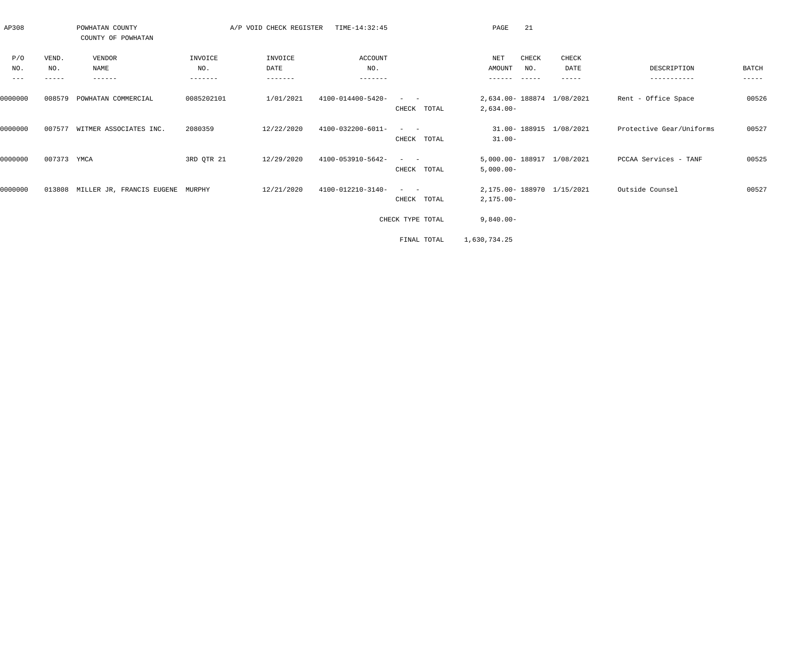| AP308         |              | POWHATAN COUNTY<br>COUNTY OF POWHATAN   |                | A/P VOID CHECK REGISTER | TIME-14:32:45     |                                                                                          | 21<br>PAGE                               |               |                          |             |
|---------------|--------------|-----------------------------------------|----------------|-------------------------|-------------------|------------------------------------------------------------------------------------------|------------------------------------------|---------------|--------------------------|-------------|
| P/O<br>NO.    | VEND.<br>NO. | VENDOR<br>NAME                          | INVOICE<br>NO. | INVOICE<br>DATE         | ACCOUNT<br>NO.    |                                                                                          | NET<br>CHECK<br><b>AMOUNT</b><br>NO.     | CHECK<br>DATE | DESCRIPTION              | BATCH       |
| $\frac{1}{2}$ | $- - - - -$  | ------                                  | -------        | $- - - - - - -$         | $- - - - - - -$   |                                                                                          | $- - - - - - -$<br>$- - - - - -$         | -----         | -----------              | $- - - - -$ |
| 0000000       | 008579       | POWHATAN COMMERCIAL                     | 0085202101     | 1/01/2021               | 4100-014400-5420- | $\begin{array}{cccccccccc} - & & & & - & & - & & \end{array}$<br>CHECK TOTAL             | 2,634.00-188874 1/08/2021<br>$2,634.00-$ |               | Rent - Office Space      | 00526       |
| 0000000       | 007577       | WITMER ASSOCIATES INC.                  | 2080359        | 12/22/2020              | 4100-032200-6011- | $\mathcal{L} = \{ \mathcal{L} \}$ , and $\mathcal{L} = \{ \mathcal{L} \}$<br>CHECK TOTAL | 31.00-188915 1/08/2021<br>$31.00 -$      |               | Protective Gear/Uniforms | 00527       |
| 0000000       | 007373 YMCA  |                                         | 3RD QTR 21     | 12/29/2020              | 4100-053910-5642- | $\sim$ 100 $\sim$ 100 $\sim$<br>CHECK TOTAL                                              | 5,000.00- 188917<br>$5,000.00-$          | 1/08/2021     | PCCAA Services - TANF    | 00525       |
| 0000000       |              | 013808 MILLER JR, FRANCIS EUGENE MURPHY |                | 12/21/2020              | 4100-012210-3140- | CHECK<br>TOTAL                                                                           | 2,175.00-188970 1/15/2021<br>2,175.00-   |               | Outside Counsel          | 00527       |
|               |              |                                         |                |                         |                   | CHECK TYPE TOTAL                                                                         | $9,840.00 -$                             |               |                          |             |
|               |              |                                         |                |                         |                   | FINAL TOTAL                                                                              | 1,630,734.25                             |               |                          |             |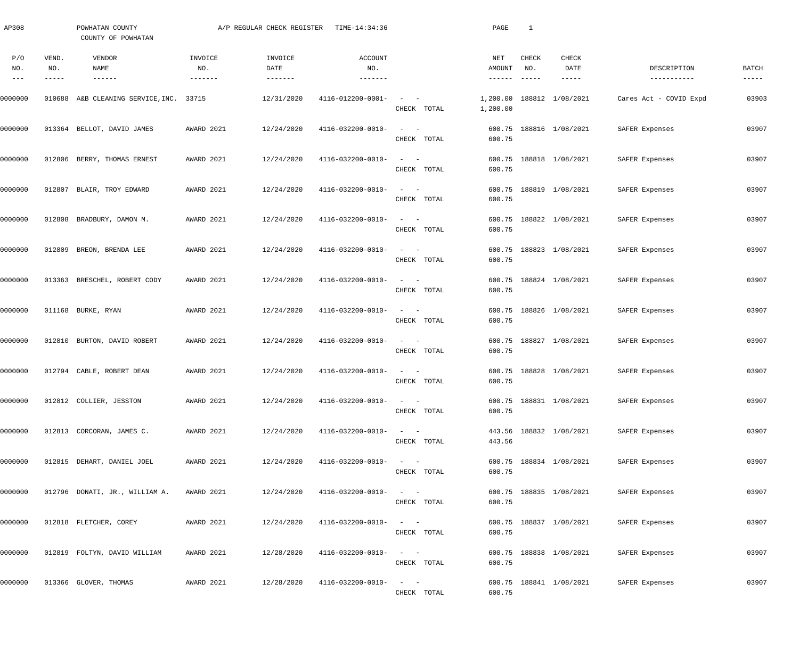| AP308                |                       | POWHATAN COUNTY<br>COUNTY OF POWHATAN   |                | A/P REGULAR CHECK REGISTER | TIME-14:34:36                |                                                                            | PAGE                               | $\mathbf{1}$                  |                                       |                             |                      |
|----------------------|-----------------------|-----------------------------------------|----------------|----------------------------|------------------------------|----------------------------------------------------------------------------|------------------------------------|-------------------------------|---------------------------------------|-----------------------------|----------------------|
| P/O<br>NO.<br>$-- -$ | VEND.<br>NO.<br>----- | VENDOR<br>NAME<br>$- - - - - - -$       | INVOICE<br>NO. | INVOICE<br>DATE            | ACCOUNT<br>NO.               |                                                                            | NET<br>AMOUNT<br>$- - - - - - - -$ | CHECK<br>NO.<br>$- - - - - -$ | <b>CHECK</b><br>DATE<br>$- - - - - -$ | DESCRIPTION<br>------------ | BATCH<br>$- - - - -$ |
| 0000000              |                       | 010688 A&B CLEANING SERVICE, INC. 33715 |                | 12/31/2020                 | 4116-012200-0001-            | $\qquad \qquad -$<br>CHECK TOTAL                                           | 1,200.00<br>1,200.00               |                               | 188812 1/08/2021                      | Cares Act - COVID Expd      | 03903                |
| 0000000              |                       | 013364 BELLOT, DAVID JAMES              | AWARD 2021     | 12/24/2020                 | 4116-032200-0010-            | $\frac{1}{2}$ and $\frac{1}{2}$ and $\frac{1}{2}$<br>CHECK TOTAL           | 600.75                             |                               | 600.75 188816 1/08/2021               | SAFER Expenses              | 03907                |
| 0000000              |                       | 012806 BERRY, THOMAS ERNEST             | AWARD 2021     | 12/24/2020                 | 4116-032200-0010-            | $\qquad \qquad -$<br>CHECK TOTAL                                           | 600.75                             |                               | 600.75 188818 1/08/2021               | SAFER Expenses              | 03907                |
| 0000000              |                       | 012807 BLAIR, TROY EDWARD               | AWARD 2021     | 12/24/2020                 | 4116-032200-0010-            | $\qquad \qquad -$<br>CHECK TOTAL                                           | 600.75                             |                               | 600.75 188819 1/08/2021               | SAFER Expenses              | 03907                |
| 0000000              |                       | 012808 BRADBURY, DAMON M.               | AWARD 2021     | 12/24/2020                 | 4116-032200-0010-            | $\qquad \qquad -$<br>CHECK TOTAL                                           | 600.75                             |                               | 600.75 188822 1/08/2021               | SAFER Expenses              | 03907                |
| 0000000              |                       | 012809 BREON, BRENDA LEE                | AWARD 2021     | 12/24/2020                 | 4116-032200-0010-            | $\frac{1}{2}$ and $\frac{1}{2}$ and $\frac{1}{2}$<br>CHECK TOTAL           | 600.75                             |                               | 600.75 188823 1/08/2021               | SAFER Expenses              | 03907                |
| 0000000              |                       | 013363 BRESCHEL, ROBERT CODY            | AWARD 2021     | 12/24/2020                 | 4116-032200-0010-            | $\frac{1}{2}$ and $\frac{1}{2}$ and $\frac{1}{2}$<br>CHECK TOTAL           | 600.75                             |                               | 600.75 188824 1/08/2021               | SAFER Expenses              | 03907                |
| 0000000              |                       | 011168 BURKE, RYAN                      | AWARD 2021     | 12/24/2020                 | 4116-032200-0010-            | $\frac{1}{2}$ and $\frac{1}{2}$ and $\frac{1}{2}$<br>CHECK TOTAL           | 600.75                             |                               | 600.75 188826 1/08/2021               | SAFER Expenses              | 03907                |
| 0000000              |                       | 012810 BURTON, DAVID ROBERT             | AWARD 2021     | 12/24/2020                 | 4116-032200-0010-            | $\frac{1}{2}$ and $\frac{1}{2}$ and $\frac{1}{2}$<br>CHECK TOTAL           | 600.75                             |                               | 600.75 188827 1/08/2021               | SAFER Expenses              | 03907                |
| 0000000              |                       | 012794 CABLE, ROBERT DEAN               | AWARD 2021     | 12/24/2020                 | 4116-032200-0010-            | $\qquad \qquad -$<br>CHECK TOTAL                                           | 600.75                             |                               | 600.75 188828 1/08/2021               | SAFER Expenses              | 03907                |
| 0000000              |                       | 012812 COLLIER, JESSTON                 | AWARD 2021     | 12/24/2020                 | $4116 - 032200 - 0010 - - -$ | CHECK TOTAL                                                                | 600.75                             |                               | 600.75 188831 1/08/2021               | SAFER Expenses              | 03907                |
| 0000000              |                       | 012813 CORCORAN, JAMES C.               | AWARD 2021     | 12/24/2020                 | 4116-032200-0010-            | $\alpha = 1, \ldots, \alpha$ .<br>CHECK TOTAL                              | 443.56                             |                               | 443.56 188832 1/08/2021               | SAFER Expenses              | 03907                |
| 0000000              |                       | 012815 DEHART, DANIEL JOEL              | AWARD 2021     | 12/24/2020                 | 4116-032200-0010-            | $\mathcal{L}_{\text{max}}$ , and $\mathcal{L}_{\text{max}}$<br>CHECK TOTAL | 600.75                             |                               | 600.75 188834 1/08/2021               | SAFER Expenses              | 03907                |
| 0000000              |                       | 012796 DONATI, JR., WILLIAM A.          | AWARD 2021     | 12/24/2020                 | 4116-032200-0010-            | $\alpha = 1, \ldots, \alpha$ .<br>CHECK TOTAL                              | 600.75                             |                               | 600.75 188835 1/08/2021               | SAFER Expenses              | 03907                |
| 0000000              |                       | 012818 FLETCHER, COREY                  | AWARD 2021     | 12/24/2020                 | 4116-032200-0010-            | $\alpha = 1, \ldots, \alpha$ .<br>CHECK TOTAL                              | 600.75                             |                               | 600.75 188837 1/08/2021               | SAFER Expenses              | 03907                |
| 0000000              |                       | 012819 FOLTYN, DAVID WILLIAM            | AWARD 2021     | 12/28/2020                 | 4116-032200-0010-            | $\alpha = 1, \ldots, \alpha$ .<br>CHECK TOTAL                              | 600.75                             |                               | 600.75 188838 1/08/2021               | SAFER Expenses              | 03907                |
| 0000000              |                       | 013366 GLOVER, THOMAS                   | AWARD 2021     | 12/28/2020                 | 4116-032200-0010-            | $\alpha = 1, \ldots, \alpha$<br>CHECK TOTAL                                | 600.75                             |                               | 600.75 188841 1/08/2021               | SAFER Expenses              | 03907                |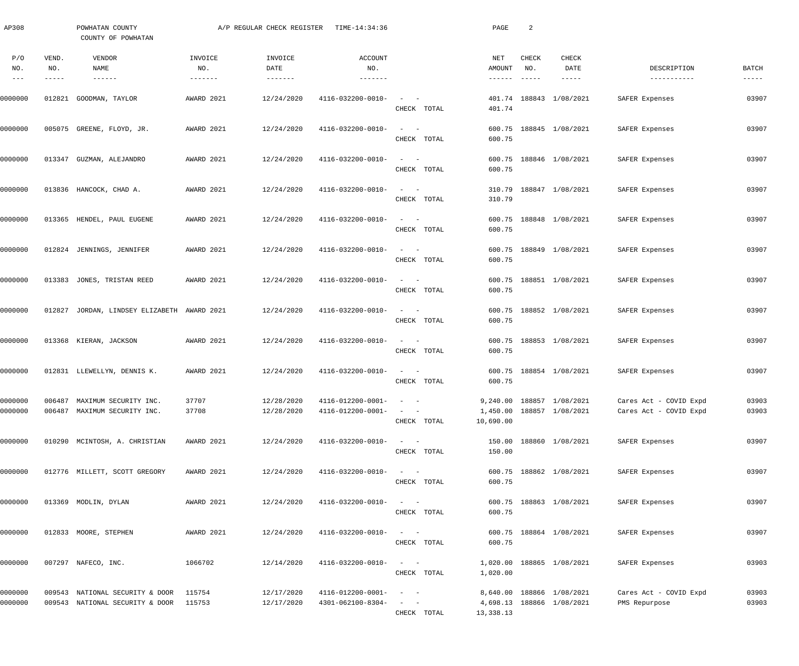| AP308                             |                       | POWHATAN COUNTY<br>COUNTY OF POWHATAN                              |                           | A/P REGULAR CHECK REGISTER             | TIME-14:34:36                                                |                                                                                                                                             | PAGE                             | $\overline{a}$         |                                                        |                                                  |                          |
|-----------------------------------|-----------------------|--------------------------------------------------------------------|---------------------------|----------------------------------------|--------------------------------------------------------------|---------------------------------------------------------------------------------------------------------------------------------------------|----------------------------------|------------------------|--------------------------------------------------------|--------------------------------------------------|--------------------------|
| P/O<br>NO.<br>$\qquad \qquad - -$ | VEND.<br>NO.<br>----- | VENDOR<br>NAME<br>$- - - - - - -$                                  | INVOICE<br>NO.<br>------- | INVOICE<br>DATE<br>$- - - - - - - - -$ | <b>ACCOUNT</b><br>NO.<br>-------                             |                                                                                                                                             | NET<br>AMOUNT<br>$- - - - - - -$ | CHECK<br>NO.<br>------ | CHECK<br>DATE<br>-----                                 | DESCRIPTION<br>-----------                       | <b>BATCH</b><br>$------$ |
| 0000000                           |                       | 012821 GOODMAN, TAYLOR                                             | AWARD 2021                | 12/24/2020                             | 4116-032200-0010-                                            | $\frac{1}{2} \left( \frac{1}{2} \right) \left( \frac{1}{2} \right) \left( \frac{1}{2} \right) \left( \frac{1}{2} \right)$<br>CHECK TOTAL    | 401.74                           |                        | 401.74 188843 1/08/2021                                | SAFER Expenses                                   | 03907                    |
| 0000000                           |                       | 005075 GREENE, FLOYD, JR.                                          | AWARD 2021                | 12/24/2020                             | 4116-032200-0010-                                            | $\qquad \qquad -$<br>CHECK TOTAL                                                                                                            | 600.75<br>600.75                 |                        | 188845 1/08/2021                                       | SAFER Expenses                                   | 03907                    |
| 0000000                           |                       | 013347 GUZMAN, ALEJANDRO                                           | AWARD 2021                | 12/24/2020                             | 4116-032200-0010-                                            | $\qquad \qquad -$<br>CHECK TOTAL                                                                                                            | 600.75<br>600.75                 |                        | 188846 1/08/2021                                       | SAFER Expenses                                   | 03907                    |
| 0000000                           |                       | 013836 HANCOCK, CHAD A.                                            | AWARD 2021                | 12/24/2020                             | 4116-032200-0010-                                            | $\qquad \qquad -$<br>CHECK TOTAL                                                                                                            | 310.79<br>310.79                 |                        | 188847 1/08/2021                                       | SAFER Expenses                                   | 03907                    |
| 0000000                           |                       | 013365 HENDEL, PAUL EUGENE                                         | AWARD 2021                | 12/24/2020                             | 4116-032200-0010-                                            | $\qquad \qquad -$<br>CHECK TOTAL                                                                                                            | 600.75<br>600.75                 |                        | 188848 1/08/2021                                       | SAFER Expenses                                   | 03907                    |
| 0000000                           |                       | 012824 JENNINGS, JENNIFER                                          | AWARD 2021                | 12/24/2020                             | 4116-032200-0010-                                            | $\qquad \qquad -$<br>CHECK TOTAL                                                                                                            | 600.75<br>600.75                 |                        | 188849 1/08/2021                                       | SAFER Expenses                                   | 03907                    |
| 0000000                           |                       | 013383 JONES, TRISTAN REED                                         | AWARD 2021                | 12/24/2020                             | 4116-032200-0010-                                            | $\qquad \qquad -$<br>CHECK TOTAL                                                                                                            | 600.75                           |                        | 600.75 188851 1/08/2021                                | SAFER Expenses                                   | 03907                    |
| 0000000                           |                       | 012827 JORDAN, LINDSEY ELIZABETH AWARD 2021                        |                           | 12/24/2020                             | 4116-032200-0010-                                            | $\qquad \qquad -$<br>CHECK TOTAL                                                                                                            | 600.75                           |                        | 600.75 188852 1/08/2021                                | SAFER Expenses                                   | 03907                    |
| 0000000                           |                       | 013368 KIERAN, JACKSON                                             | AWARD 2021                | 12/24/2020                             | 4116-032200-0010-                                            | $\frac{1}{2}$ and $\frac{1}{2}$ and $\frac{1}{2}$<br>CHECK TOTAL                                                                            | 600.75                           |                        | 600.75 188853 1/08/2021                                | SAFER Expenses                                   | 03907                    |
| 0000000                           |                       | 012831 LLEWELLYN, DENNIS K.                                        | AWARD 2021                | 12/24/2020                             | 4116-032200-0010-                                            | $\qquad \qquad -$<br>CHECK TOTAL                                                                                                            | 600.75                           |                        | 600.75 188854 1/08/2021                                | SAFER Expenses                                   | 03907                    |
| 0000000<br>0000000                |                       | 006487 MAXIMUM SECURITY INC.<br>006487 MAXIMUM SECURITY INC.       | 37707<br>37708            | 12/28/2020<br>12/28/2020               | $4116 - 012200 - 0001 - - -$<br>$4116 - 012200 - 0001 - - -$ | CHECK TOTAL                                                                                                                                 | 10,690.00                        |                        | 9,240.00 188857 1/08/2021<br>1,450.00 188857 1/08/2021 | Cares Act - COVID Expd<br>Cares Act - COVID Expd | 03903<br>03903           |
| 0000000                           |                       | 010290 MCINTOSH, A. CHRISTIAN                                      | AWARD 2021                | 12/24/2020                             | 4116-032200-0010-                                            | $\sim$ $ \sim$ $  -$<br>CHECK TOTAL                                                                                                         | 150.00                           |                        | 150.00 188860 1/08/2021                                | SAFER Expenses                                   | 03907                    |
| 0000000                           |                       | 012776 MILLETT, SCOTT GREGORY                                      | AWARD 2021                | 12/24/2020                             | 4116-032200-0010-                                            | $\alpha = 1, \ldots, \alpha$ .<br>CHECK TOTAL                                                                                               | 600.75                           |                        | 600.75 188862 1/08/2021                                | SAFER Expenses                                   | 03907                    |
| 0000000                           |                       | 013369 MODLIN, DYLAN                                               | AWARD 2021                | 12/24/2020                             | 4116-032200-0010-                                            | $\alpha = 1, \ldots, n-1$<br>CHECK TOTAL                                                                                                    | 600.75                           |                        | 600.75 188863 1/08/2021                                | SAFER Expenses                                   | 03907                    |
| 0000000                           |                       | 012833 MOORE, STEPHEN                                              | AWARD 2021                | 12/24/2020                             | 4116-032200-0010-                                            | $\alpha = 1, \ldots, n-1$<br>CHECK TOTAL                                                                                                    | 600.75                           |                        | 600.75 188864 1/08/2021                                | SAFER Expenses                                   | 03907                    |
| 0000000                           |                       | 007297 NAFECO, INC.                                                | 1066702                   | 12/14/2020                             | 4116-032200-0010-                                            | $\alpha = 1, \ldots, \alpha$ .<br>CHECK TOTAL                                                                                               | 1,020.00                         |                        | 1,020.00 188865 1/08/2021                              | SAFER Expenses                                   | 03903                    |
| 0000000<br>0000000                |                       | 009543 NATIONAL SECURITY & DOOR<br>009543 NATIONAL SECURITY & DOOR | 115754<br>115753          | 12/17/2020<br>12/17/2020               | 4116-012200-0001-<br>4301-062100-8304-                       | $\mathcal{L}_{\text{max}}$ , and $\mathcal{L}_{\text{max}}$<br>$\frac{1}{2}$ , $\frac{1}{2}$ , $\frac{1}{2}$ , $\frac{1}{2}$<br>CHECK TOTAL | 13,338.13                        |                        | 8,640.00 188866 1/08/2021<br>4,698.13 188866 1/08/2021 | Cares Act - COVID Expd<br>PMS Repurpose          | 03903<br>03903           |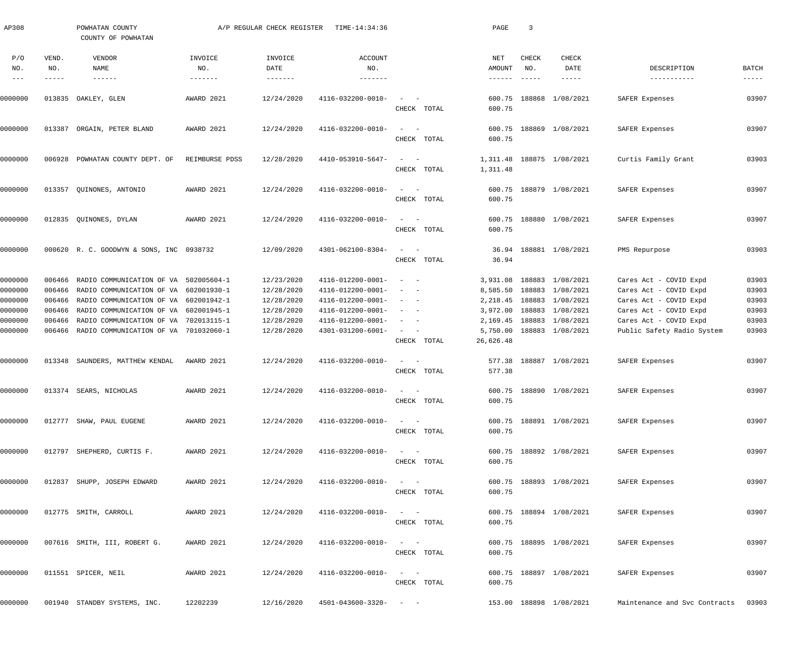| AP308                 |                               | POWHATAN COUNTY<br>COUNTY OF POWHATAN                                          |                | A/P REGULAR CHECK REGISTER | TIME-14:34:36                          |                                                                                                              |             | PAGE                               | $\overline{3}$                |                                |                                     |                               |
|-----------------------|-------------------------------|--------------------------------------------------------------------------------|----------------|----------------------------|----------------------------------------|--------------------------------------------------------------------------------------------------------------|-------------|------------------------------------|-------------------------------|--------------------------------|-------------------------------------|-------------------------------|
| P/O<br>NO.<br>$- - -$ | VEND.<br>NO.<br>$- - - - - -$ | VENDOR<br>NAME<br>$- - - - - - -$                                              | INVOICE<br>NO. | INVOICE<br>DATE            | <b>ACCOUNT</b><br>NO.<br>-------       |                                                                                                              |             | NET<br>AMOUNT<br>$- - - - - - - -$ | CHECK<br>NO.<br>$- - - - - -$ | CHECK<br>DATE<br>$- - - - - -$ | DESCRIPTION<br>-----------          | BATCH<br>$\cdots\cdots\cdots$ |
| 0000000               |                               | 013835 OAKLEY, GLEN                                                            | AWARD 2021     | 12/24/2020                 | 4116-032200-0010-                      | $\sim$<br>$\sim$ $-$                                                                                         | CHECK TOTAL | 600.75                             | 600.75 188868                 | 1/08/2021                      | SAFER Expenses                      | 03907                         |
| 0000000               | 013387                        | ORGAIN, PETER BLAND                                                            | AWARD 2021     | 12/24/2020                 | 4116-032200-0010-                      | $\frac{1}{2} \left( \frac{1}{2} \right) \left( \frac{1}{2} \right) = \frac{1}{2} \left( \frac{1}{2} \right)$ | CHECK TOTAL | 600.75                             |                               | 600.75 188869 1/08/2021        | SAFER Expenses                      | 03907                         |
| 0000000               |                               | 006928 POWHATAN COUNTY DEPT. OF                                                | REIMBURSE PDSS | 12/28/2020                 | 4410-053910-5647-                      | $\sim$<br>$\sim$ $-$                                                                                         | CHECK TOTAL | 1,311.48                           |                               | 1,311.48 188875 1/08/2021      | Curtis Family Grant                 | 03903                         |
| 0000000               |                               | 013357 QUINONES, ANTONIO                                                       | AWARD 2021     | 12/24/2020                 | 4116-032200-0010-                      | $\frac{1}{2} \left( \frac{1}{2} \right) \left( \frac{1}{2} \right) = \frac{1}{2} \left( \frac{1}{2} \right)$ | CHECK TOTAL | 600.75                             |                               | 600.75 188879 1/08/2021        | SAFER Expenses                      | 03907                         |
| 0000000               |                               | 012835 QUINONES, DYLAN                                                         | AWARD 2021     | 12/24/2020                 | 4116-032200-0010-                      | $\frac{1}{2} \left( \frac{1}{2} \right) \left( \frac{1}{2} \right) = \frac{1}{2} \left( \frac{1}{2} \right)$ | CHECK TOTAL | 600.75                             |                               | 600.75 188880 1/08/2021        | SAFER Expenses                      | 03907                         |
| 0000000               |                               | 000620 R. C. GOODWYN & SONS, INC 0938732                                       |                | 12/09/2020                 | 4301-062100-8304-                      | $\frac{1}{2} \left( \frac{1}{2} \right) \left( \frac{1}{2} \right) = \frac{1}{2} \left( \frac{1}{2} \right)$ | CHECK TOTAL | 36.94<br>36.94                     |                               | 188881 1/08/2021               | PMS Repurpose                       | 03903                         |
| 0000000<br>0000000    | 006466<br>006466              | RADIO COMMUNICATION OF VA 502005604-1<br>RADIO COMMUNICATION OF VA 602001930-1 |                | 12/23/2020<br>12/28/2020   | 4116-012200-0001-<br>4116-012200-0001- | $\overline{\phantom{a}}$<br>$\sim$ $-$                                                                       |             | 3,931.08<br>8,585.50               | 188883                        | 188883 1/08/2021<br>1/08/2021  | Cares Act - COVID Expd              | 03903<br>03903                |
|                       |                               |                                                                                |                |                            |                                        |                                                                                                              |             |                                    |                               |                                | Cares Act - COVID Expd              |                               |
| 0000000               | 006466                        | RADIO COMMUNICATION OF VA 602001942-1                                          |                | 12/28/2020                 | 4116-012200-0001-                      | $\sim$ 100 $\sim$ 100 $\sim$                                                                                 |             | 2,218.45                           | 188883                        | 1/08/2021                      | Cares Act - COVID Expd              | 03903                         |
| 0000000               | 006466                        | RADIO COMMUNICATION OF VA 602001945-1                                          |                | 12/28/2020                 | 4116-012200-0001-                      | $\sim$ 100 $\sim$ 100 $\sim$                                                                                 |             | 3,972.00                           |                               | 188883 1/08/2021               | Cares Act - COVID Expd              | 03903                         |
| 0000000               | 006466                        | RADIO COMMUNICATION OF VA 702013115-1                                          |                | 12/28/2020                 | 4116-012200-0001-                      |                                                                                                              |             | 2,169.45                           | 188883                        | 1/08/2021                      | Cares Act - COVID Expd              | 03903                         |
| 0000000               |                               | 006466 RADIO COMMUNICATION OF VA 701032060-1                                   |                | 12/28/2020                 | 4301-031200-6001-                      |                                                                                                              | CHECK TOTAL | 5,750.00<br>26,626.48              |                               | 188883 1/08/2021               | Public Safety Radio System          | 03903                         |
| 0000000               |                               | 013348 SAUNDERS, MATTHEW KENDAL                                                | AWARD 2021     | 12/24/2020                 | 4116-032200-0010-                      | $\frac{1}{2} \left( \frac{1}{2} \right) \left( \frac{1}{2} \right) = \frac{1}{2} \left( \frac{1}{2} \right)$ | CHECK TOTAL | 577.38                             |                               | 577.38 188887 1/08/2021        | SAFER Expenses                      | 03907                         |
| 0000000               |                               | 013374 SEARS, NICHOLAS                                                         | AWARD 2021     | 12/24/2020                 | 4116-032200-0010-                      | $\frac{1}{2}$ and $\frac{1}{2}$ and $\frac{1}{2}$                                                            | CHECK TOTAL | 600.75                             |                               | 600.75 188890 1/08/2021        | SAFER Expenses                      | 03907                         |
| 0000000               |                               | 012777 SHAW, PAUL EUGENE                                                       | AWARD 2021     | 12/24/2020                 | 4116-032200-0010-                      | $\frac{1}{2}$ and $\frac{1}{2}$ and $\frac{1}{2}$                                                            | CHECK TOTAL | 600.75                             |                               | 600.75 188891 1/08/2021        | SAFER Expenses                      | 03907                         |
| 0000000               |                               | 012797 SHEPHERD, CURTIS F.                                                     | AWARD 2021     | 12/24/2020                 | 4116-032200-0010-                      | $\frac{1}{2}$ and $\frac{1}{2}$ and $\frac{1}{2}$                                                            | CHECK TOTAL | 600.75                             |                               | 600.75 188892 1/08/2021        | SAFER Expenses                      | 03907                         |
| 0000000               |                               | 012837 SHUPP, JOSEPH EDWARD                                                    | AWARD 2021     | 12/24/2020                 | 4116-032200-0010-                      | $\frac{1}{2}$ and $\frac{1}{2}$ and $\frac{1}{2}$                                                            | CHECK TOTAL | 600.75                             |                               | 600.75 188893 1/08/2021        | SAFER Expenses                      | 03907                         |
| 0000000               |                               | 012775 SMITH, CARROLL                                                          | AWARD 2021     | 12/24/2020                 | 4116-032200-0010-                      | $\frac{1}{2}$ and $\frac{1}{2}$ and $\frac{1}{2}$                                                            | CHECK TOTAL | 600.75                             |                               | 600.75 188894 1/08/2021        | SAFER Expenses                      | 03907                         |
| 0000000               |                               | 007616 SMITH, III, ROBERT G.                                                   | AWARD 2021     | 12/24/2020                 | 4116-032200-0010-                      | $\frac{1}{2} \left( \frac{1}{2} \right) \left( \frac{1}{2} \right) = \frac{1}{2} \left( \frac{1}{2} \right)$ | CHECK TOTAL | 600.75                             |                               | 600.75 188895 1/08/2021        | SAFER Expenses                      | 03907                         |
| 0000000               |                               | 011551 SPICER, NEIL                                                            | AWARD 2021     | 12/24/2020                 | 4116-032200-0010-                      | $\frac{1}{2}$ and $\frac{1}{2}$ and $\frac{1}{2}$                                                            | CHECK TOTAL | 600.75                             |                               | 600.75 188897 1/08/2021        | SAFER Expenses                      | 03907                         |
| 0000000               |                               | 001940 STANDBY SYSTEMS, INC.                                                   | 12202239       | 12/16/2020                 | $4501 - 043600 - 3320 - - -$           |                                                                                                              |             |                                    |                               | 153.00 188898 1/08/2021        | Maintenance and Svc Contracts 03903 |                               |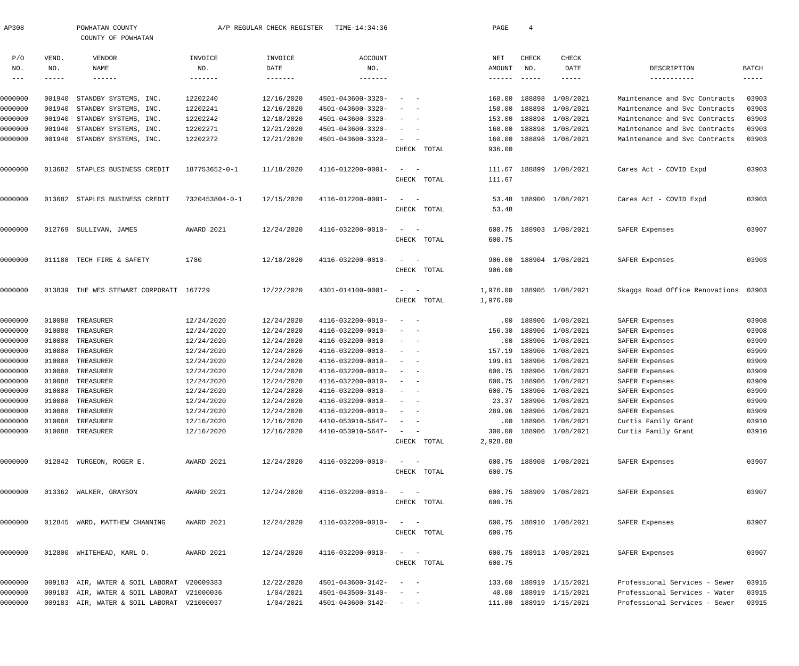| AP308      |        | POWHATAN COUNTY<br>COUNTY OF POWHATAN      |                   | A/P REGULAR CHECK REGISTER | TIME-14:34:36                |                                                               |             | PAGE             | $\overline{4}$            |                         |                                |               |
|------------|--------|--------------------------------------------|-------------------|----------------------------|------------------------------|---------------------------------------------------------------|-------------|------------------|---------------------------|-------------------------|--------------------------------|---------------|
| P/O        | VEND.  | <b>VENDOR</b>                              | INVOICE           | INVOICE                    | <b>ACCOUNT</b>               |                                                               |             | NET              | CHECK                     | CHECK                   |                                |               |
| NO.        | NO.    | NAME                                       | NO.               | DATE                       | NO.                          |                                                               |             | AMOUNT           | NO.                       | DATE                    | DESCRIPTION                    | <b>BATCH</b>  |
| $--\,$ $-$ | -----  | $- - - - - - -$                            | $- - - - - - - -$ | -------                    | $- - - - - - -$              |                                                               |             | ------           | $\qquad \qquad - - - - -$ | -----                   | -----------                    | $- - - - - -$ |
|            |        |                                            |                   |                            |                              |                                                               |             |                  |                           |                         |                                |               |
| 0000000    | 001940 | STANDBY SYSTEMS, INC.                      | 12202240          | 12/16/2020                 | 4501-043600-3320-            |                                                               |             | 160.00           | 188898                    | 1/08/2021               | Maintenance and Svc Contracts  | 03903         |
| 0000000    | 001940 | STANDBY SYSTEMS, INC.                      | 12202241          | 12/16/2020                 | 4501-043600-3320-            |                                                               |             | 150.00           | 188898                    | 1/08/2021               | Maintenance and Svc Contracts  | 03903         |
| 0000000    | 001940 | STANDBY SYSTEMS, INC.                      | 12202242          | 12/18/2020                 | 4501-043600-3320-            |                                                               |             | 153.00           | 188898                    | 1/08/2021               | Maintenance and Svc Contracts  | 03903         |
| 0000000    | 001940 | STANDBY SYSTEMS, INC.                      | 12202271          | 12/21/2020                 | 4501-043600-3320-            |                                                               |             | 160.00           | 188898                    | 1/08/2021               | Maintenance and Svc Contracts  | 03903         |
| 0000000    | 001940 | STANDBY SYSTEMS, INC.                      | 12202272          | 12/21/2020                 | 4501-043600-3320-            | $\overline{\phantom{a}}$                                      | CHECK TOTAL | 160.00<br>936.00 |                           | 188898 1/08/2021        | Maintenance and Svc Contracts  | 03903         |
|            |        |                                            |                   |                            |                              |                                                               |             |                  |                           |                         |                                |               |
| 0000000    | 013682 | STAPLES BUSINESS CREDIT                    | 187753652-0-1     | 11/18/2020                 | 4116-012200-0001-            | $\equiv$<br>$\overline{\phantom{a}}$                          |             | 111.67           |                           | 188899 1/08/2021        | Cares Act - COVID Expd         | 03903         |
|            |        |                                            |                   |                            |                              |                                                               | CHECK TOTAL | 111.67           |                           |                         |                                |               |
| 0000000    | 013682 | STAPLES BUSINESS CREDIT                    | 7320453804-0-1    | 12/15/2020                 | 4116-012200-0001-            | $\sim$<br>$\overline{\phantom{0}}$                            |             | 53.48            |                           | 188900 1/08/2021        | Cares Act - COVID Expd         | 03903         |
|            |        |                                            |                   |                            |                              |                                                               | CHECK TOTAL | 53.48            |                           |                         |                                |               |
| 0000000    | 012769 | SULLIVAN, JAMES                            | AWARD 2021        | 12/24/2020                 | 4116-032200-0010-            | $\sim$<br>$\sim$                                              |             | 600.75           |                           | 188903 1/08/2021        | SAFER Expenses                 | 03907         |
|            |        |                                            |                   |                            |                              |                                                               | CHECK TOTAL | 600.75           |                           |                         |                                |               |
| 0000000    | 011188 | TECH FIRE & SAFETY                         | 1780              | 12/18/2020                 | 4116-032200-0010-            | $\sim$<br>$\sim$                                              |             | 906.00           |                           | 188904 1/08/2021        | SAFER Expenses                 | 03903         |
|            |        |                                            |                   |                            |                              |                                                               | CHECK TOTAL | 906.00           |                           |                         |                                |               |
| 0000000    | 013839 | THE WES STEWART CORPORATI 167729           |                   | 12/22/2020                 | 4301-014100-0001-            | $\overline{\phantom{a}}$                                      |             | 1,976.00         |                           | 188905 1/08/2021        | Skaggs Road Office Renovations | 03903         |
|            |        |                                            |                   |                            |                              |                                                               | CHECK TOTAL | 1,976.00         |                           |                         |                                |               |
| 0000000    | 010088 | TREASURER                                  | 12/24/2020        | 12/24/2020                 | 4116-032200-0010-            | $\overline{\phantom{0}}$                                      |             | .00              |                           | 188906 1/08/2021        | SAFER Expenses                 | 03908         |
| 0000000    | 010088 | TREASURER                                  | 12/24/2020        | 12/24/2020                 | 4116-032200-0010-            |                                                               |             | 156.30           |                           | 188906 1/08/2021        | SAFER Expenses                 | 03908         |
| 0000000    | 010088 | TREASURER                                  | 12/24/2020        | 12/24/2020                 | 4116-032200-0010-            |                                                               |             | .00              |                           | 188906 1/08/2021        | SAFER Expenses                 | 03909         |
| 0000000    | 010088 | TREASURER                                  | 12/24/2020        | 12/24/2020                 | 4116-032200-0010-            |                                                               |             | 157.19           |                           | 188906 1/08/2021        | SAFER Expenses                 | 03909         |
| 0000000    | 010088 | TREASURER                                  | 12/24/2020        | 12/24/2020                 | 4116-032200-0010-            |                                                               |             | 199.01           |                           | 188906 1/08/2021        | SAFER Expenses                 | 03909         |
| 0000000    | 010088 | TREASURER                                  | 12/24/2020        | 12/24/2020                 | 4116-032200-0010-            |                                                               |             | 600.75           |                           | 188906 1/08/2021        | SAFER Expenses                 | 03909         |
| 0000000    | 010088 | TREASURER                                  | 12/24/2020        | 12/24/2020                 | 4116-032200-0010-            |                                                               |             | 600.75           |                           | 188906 1/08/2021        | SAFER Expenses                 | 03909         |
| 0000000    | 010088 | TREASURER                                  | 12/24/2020        | 12/24/2020                 | 4116-032200-0010-            |                                                               |             |                  |                           | 600.75 188906 1/08/2021 | SAFER Expenses                 | 03909         |
| 0000000    |        | 010088 TREASURER                           | 12/24/2020        | 12/24/2020                 | $4116 - 032200 - 0010 - - -$ |                                                               |             |                  |                           | 23.37 188906 1/08/2021  | SAFER Expenses                 | 03909         |
| 0000000    |        | 010088 TREASURER                           | 12/24/2020        | 12/24/2020                 | 4116-032200-0010-            | $\sim$ $ -$                                                   |             |                  |                           | 289.96 188906 1/08/2021 | SAFER Expenses                 | 03909         |
| 0000000    | 010088 | TREASURER                                  | 12/16/2020        | 12/16/2020                 | 4410-053910-5647-            |                                                               |             |                  |                           | .00 188906 1/08/2021    | Curtis Family Grant            | 03910         |
| 0000000    |        | 010088 TREASURER                           | 12/16/2020        | 12/16/2020                 | 4410-053910-5647-            | $\sim$ $ -$                                                   |             |                  |                           | 300.00 188906 1/08/2021 | Curtis Family Grant            | 03910         |
|            |        |                                            |                   |                            |                              |                                                               | CHECK TOTAL | 2,928.08         |                           |                         |                                |               |
| 0000000    |        | 012842 TURGEON, ROGER E.                   | AWARD 2021        | 12/24/2020                 | 4116-032200-0010-            | $\mathcal{L}_{\mathcal{A}}$ , and $\mathcal{L}_{\mathcal{A}}$ |             |                  |                           | 600.75 188908 1/08/2021 | SAFER Expenses                 | 03907         |
|            |        |                                            |                   |                            |                              |                                                               | CHECK TOTAL | 600.75           |                           |                         |                                |               |
| 0000000    |        | 013362 WALKER, GRAYSON                     | AWARD 2021        | 12/24/2020                 | 4116-032200-0010-            | $\mathcal{L}_{\text{max}}$ , and $\mathcal{L}_{\text{max}}$   |             |                  |                           | 600.75 188909 1/08/2021 | SAFER Expenses                 | 03907         |
|            |        |                                            |                   |                            |                              |                                                               | CHECK TOTAL | 600.75           |                           |                         |                                |               |
| 0000000    |        | 012845 WARD, MATTHEW CHANNING              | AWARD 2021        | 12/24/2020                 | 4116-032200-0010-            | $\mathcal{L}_{\text{max}}$ , and $\mathcal{L}_{\text{max}}$   |             |                  |                           | 600.75 188910 1/08/2021 | SAFER Expenses                 | 03907         |
|            |        |                                            |                   |                            |                              |                                                               | CHECK TOTAL | 600.75           |                           |                         |                                |               |
| 0000000    |        | 012800 WHITEHEAD, KARL O.                  | AWARD 2021        | 12/24/2020                 | 4116-032200-0010-            | $\sim$ $ -$                                                   |             |                  |                           | 600.75 188913 1/08/2021 | SAFER Expenses                 | 03907         |
|            |        |                                            |                   |                            |                              |                                                               | CHECK TOTAL | 600.75           |                           |                         |                                |               |
| 0000000    |        | 009183 AIR, WATER & SOIL LABORAT V20009383 |                   | 12/22/2020                 | 4501-043600-3142-            | $\sim$ $  -$                                                  |             |                  |                           | 133.60 188919 1/15/2021 | Professional Services - Sewer  | 03915         |
| 0000000    |        | 009183 AIR, WATER & SOIL LABORAT V21000036 |                   | 1/04/2021                  | 4501-043500-3140-            | $\sim$ $ -$                                                   |             |                  |                           | 40.00 188919 1/15/2021  | Professional Services - Water  | 03915         |
| 0000000    |        | 009183 AIR, WATER & SOIL LABORAT V21000037 |                   | 1/04/2021                  | $4501 - 043600 - 3142 - - -$ |                                                               |             |                  |                           | 111.80 188919 1/15/2021 | Professional Services - Sewer  | 03915         |
|            |        |                                            |                   |                            |                              |                                                               |             |                  |                           |                         |                                |               |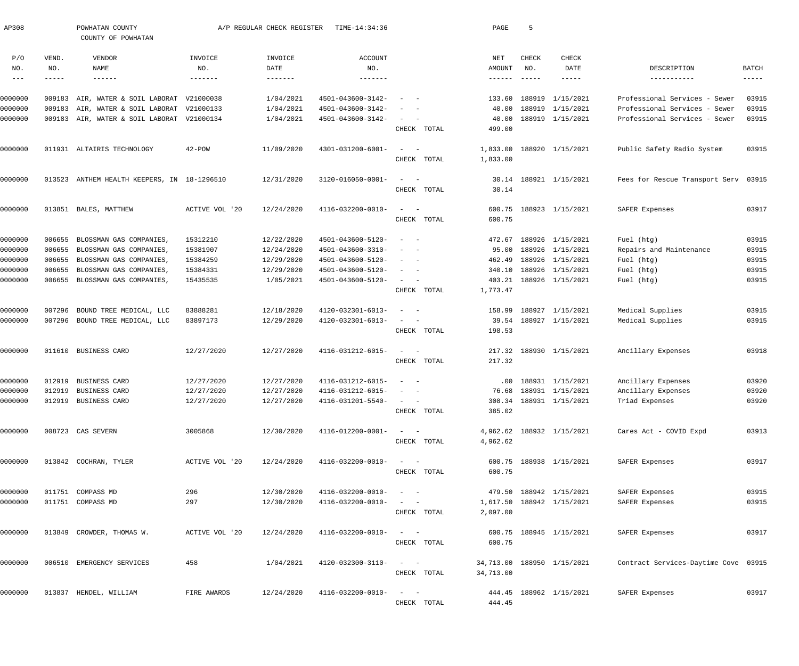| AP308              |        | POWHATAN COUNTY<br>COUNTY OF POWHATAN                     |                       | A/P REGULAR CHECK REGISTER | TIME-14:34:36                          |                                                   |             | PAGE            | -5                        |                                      |                                      |                |
|--------------------|--------|-----------------------------------------------------------|-----------------------|----------------------------|----------------------------------------|---------------------------------------------------|-------------|-----------------|---------------------------|--------------------------------------|--------------------------------------|----------------|
| P/O                | VEND.  | <b>VENDOR</b>                                             | INVOICE               | INVOICE                    | <b>ACCOUNT</b>                         |                                                   |             | NET             | CHECK                     | CHECK                                |                                      |                |
| NO.                | NO.    | NAME                                                      | NO.                   | DATE                       | NO.                                    |                                                   |             | AMOUNT          | NO.                       | DATE                                 | DESCRIPTION                          | BATCH          |
| $- - -$            |        | $- - - - - - -$                                           | $- - - - - - - -$     | $- - - - - - - -$          | $- - - - - - - -$                      |                                                   |             | ------          | $\qquad \qquad - - - - -$ | -----                                | -----------                          | $--- - - -$    |
| 0000000            |        | 009183 AIR, WATER & SOIL LABORAT                          | V21000038             | 1/04/2021                  | 4501-043600-3142-                      | $\overline{\phantom{a}}$                          |             | 133.60          |                           | 188919 1/15/2021                     | Professional Services - Sewer        | 03915          |
| 0000000            |        | 009183 AIR, WATER & SOIL LABORAT V21000133                |                       | 1/04/2021                  | 4501-043600-3142-                      |                                                   |             | 40.00           |                           | 188919 1/15/2021                     | Professional Services - Sewer        | 03915          |
| 0000000            |        | 009183 AIR, WATER & SOIL LABORAT V21000134                |                       | 1/04/2021                  | 4501-043600-3142-                      | $\sim$                                            |             | 40.00           |                           | 188919 1/15/2021                     | Professional Services - Sewer        | 03915          |
|                    |        |                                                           |                       |                            |                                        |                                                   | CHECK TOTAL | 499.00          |                           |                                      |                                      |                |
| 0000000            |        | 011931 ALTAIRIS TECHNOLOGY                                | $42 - POW$            | 11/09/2020                 | 4301-031200-6001-                      | $\sim$<br>$\overline{\phantom{0}}$                |             | 1,833.00        |                           | 188920 1/15/2021                     | Public Safety Radio System           | 03915          |
|                    |        |                                                           |                       |                            |                                        |                                                   | CHECK TOTAL | 1,833.00        |                           |                                      |                                      |                |
|                    |        |                                                           |                       |                            |                                        |                                                   |             |                 |                           |                                      |                                      |                |
| 0000000            |        | 013523 ANTHEM HEALTH KEEPERS, IN 18-1296510               |                       | 12/31/2020                 | 3120-016050-0001-                      | $\sim$<br>$\sim$ $-$                              | CHECK TOTAL | 30.14<br>30.14  |                           | 188921 1/15/2021                     | Fees for Rescue Transport Serv 03915 |                |
|                    |        |                                                           |                       |                            |                                        |                                                   |             |                 |                           |                                      |                                      |                |
| 0000000            |        | 013851 BALES, MATTHEW                                     | <b>ACTIVE VOL '20</b> | 12/24/2020                 | 4116-032200-0010-                      | $\equiv$<br>$\sim$ $-$                            |             | 600.75          |                           | 188923 1/15/2021                     | SAFER Expenses                       | 03917          |
|                    |        |                                                           |                       |                            |                                        |                                                   | CHECK TOTAL | 600.75          |                           |                                      |                                      |                |
| 0000000            | 006655 | BLOSSMAN GAS COMPANIES                                    | 15312210              | 12/22/2020                 | 4501-043600-5120-                      | $\overline{\phantom{a}}$<br>$\sim$                |             | 472.67          |                           | 188926 1/15/2021                     | Fuel (htg)                           | 03915          |
| 0000000            | 006655 | BLOSSMAN GAS COMPANIES,                                   | 15381907              | 12/24/2020                 | 4501-043600-3310-                      |                                                   |             | 95.00           |                           | 188926 1/15/2021                     | Repairs and Maintenance              | 03915          |
| 0000000            | 006655 | BLOSSMAN GAS COMPANIES,                                   | 15384259              | 12/29/2020                 | 4501-043600-5120-                      | $\overline{\phantom{a}}$                          |             | 462.49          |                           | 188926 1/15/2021                     | Fuel (htg)                           | 03915          |
| 0000000            | 006655 | BLOSSMAN GAS COMPANIES                                    | 15384331              | 12/29/2020                 | 4501-043600-5120-                      | $\sim$<br>$\sim$                                  |             | 340.10          |                           | 188926 1/15/2021                     | Fuel (htg)                           | 03915          |
| 0000000            | 006655 | BLOSSMAN GAS COMPANIES,                                   | 15435535              | 1/05/2021                  | 4501-043600-5120-                      | $\sim$                                            |             | 403.21          |                           | 188926 1/15/2021                     | Fuel (htg)                           | 03915          |
|                    |        |                                                           |                       |                            |                                        |                                                   | CHECK TOTAL | 1,773.47        |                           |                                      |                                      |                |
|                    |        |                                                           |                       |                            |                                        |                                                   |             |                 |                           |                                      |                                      |                |
| 0000000<br>0000000 | 007296 | BOUND TREE MEDICAL, LLC<br>007296 BOUND TREE MEDICAL, LLC | 83888281<br>83897173  | 12/18/2020<br>12/29/2020   | 4120-032301-6013-<br>4120-032301-6013- | $\overline{\phantom{a}}$<br>$\sim$<br>$\sim$      |             | 158.99<br>39.54 |                           | 188927 1/15/2021<br>188927 1/15/2021 | Medical Supplies<br>Medical Supplies | 03915<br>03915 |
|                    |        |                                                           |                       |                            |                                        |                                                   | CHECK TOTAL | 198.53          |                           |                                      |                                      |                |
|                    |        |                                                           |                       |                            |                                        |                                                   |             |                 |                           |                                      |                                      |                |
| 0000000            |        | 011610 BUSINESS CARD                                      | 12/27/2020            | 12/27/2020                 | 4116-031212-6015-                      | $\equiv$<br>$\sim$ $-$                            |             |                 |                           | 217.32 188930 1/15/2021              | Ancillary Expenses                   | 03918          |
|                    |        |                                                           |                       |                            |                                        |                                                   | CHECK TOTAL | 217.32          |                           |                                      |                                      |                |
| 0000000            | 012919 | BUSINESS CARD                                             | 12/27/2020            | 12/27/2020                 | 4116-031212-6015-                      |                                                   |             |                 |                           | .00 188931 1/15/2021                 | Ancillary Expenses                   | 03920          |
| 0000000            |        | 012919 BUSINESS CARD                                      | 12/27/2020            | 12/27/2020                 | $4116 - 031212 - 6015 -$               |                                                   |             |                 |                           | 76.68 188931 1/15/2021               | Ancillary Expenses                   | 03920          |
| 0000000            |        | 012919 BUSINESS CARD                                      | 12/27/2020            | 12/27/2020                 | 4116-031201-5540-                      | $\sim$ $ -$                                       |             |                 |                           | 308.34 188931 1/15/2021              | Triad Expenses                       | 03920          |
|                    |        |                                                           |                       |                            |                                        |                                                   | CHECK TOTAL | 385.02          |                           |                                      |                                      |                |
| 0000000            |        | 008723 CAS SEVERN                                         | 3005868               | 12/30/2020                 | 4116-012200-0001-                      | $\sim$ 100 $\sim$                                 |             |                 |                           | 4,962.62 188932 1/15/2021            | Cares Act - COVID Expd               | 03913          |
|                    |        |                                                           |                       |                            |                                        |                                                   | CHECK TOTAL | 4,962.62        |                           |                                      |                                      |                |
| 0000000            |        | 013842 COCHRAN, TYLER                                     | ACTIVE VOL '20        | 12/24/2020                 | 4116-032200-0010-                      | $\sim$ $ \sim$                                    |             |                 |                           | 600.75 188938 1/15/2021              | SAFER Expenses                       | 03917          |
|                    |        |                                                           |                       |                            |                                        |                                                   | CHECK TOTAL | 600.75          |                           |                                      |                                      |                |
|                    |        |                                                           |                       |                            |                                        |                                                   |             |                 |                           |                                      |                                      |                |
| 0000000            |        | 011751 COMPASS MD                                         | 296                   | 12/30/2020                 | 4116-032200-0010-                      | $\qquad \qquad -$                                 |             |                 |                           | 479.50 188942 1/15/2021              | SAFER Expenses                       | 03915          |
| 0000000            |        | 011751 COMPASS MD                                         | 297                   | 12/30/2020                 | 4116-032200-0010-                      | $\qquad \qquad -$                                 |             |                 |                           | 1,617.50 188942 1/15/2021            | SAFER Expenses                       | 03915          |
|                    |        |                                                           |                       |                            |                                        |                                                   | CHECK TOTAL | 2,097.00        |                           |                                      |                                      |                |
| 0000000            |        | 013849 CROWDER, THOMAS W.                                 | ACTIVE VOL '20        | 12/24/2020                 | 4116-032200-0010-                      | $\sim$ 100 $\sim$                                 |             |                 |                           | 600.75 188945 1/15/2021              | SAFER Expenses                       | 03917          |
|                    |        |                                                           |                       |                            |                                        |                                                   | CHECK TOTAL | 600.75          |                           |                                      |                                      |                |
|                    |        |                                                           |                       |                            |                                        |                                                   |             |                 |                           |                                      |                                      |                |
| 0000000            |        | 006510 EMERGENCY SERVICES                                 | 458                   | 1/04/2021                  | 4120-032300-3110-                      | $\sim$ $ \sim$                                    |             |                 |                           | 34,713.00 188950 1/15/2021           | Contract Services-Daytime Cove 03915 |                |
|                    |        |                                                           |                       |                            |                                        |                                                   | CHECK TOTAL | 34,713.00       |                           |                                      |                                      |                |
| 0000000            |        | 013837 HENDEL, WILLIAM                                    | FIRE AWARDS           | 12/24/2020                 | 4116-032200-0010-                      | $\frac{1}{2}$ and $\frac{1}{2}$ and $\frac{1}{2}$ |             |                 |                           | 444.45 188962 1/15/2021              | SAFER Expenses                       | 03917          |
|                    |        |                                                           |                       |                            |                                        |                                                   | CHECK TOTAL | 444.45          |                           |                                      |                                      |                |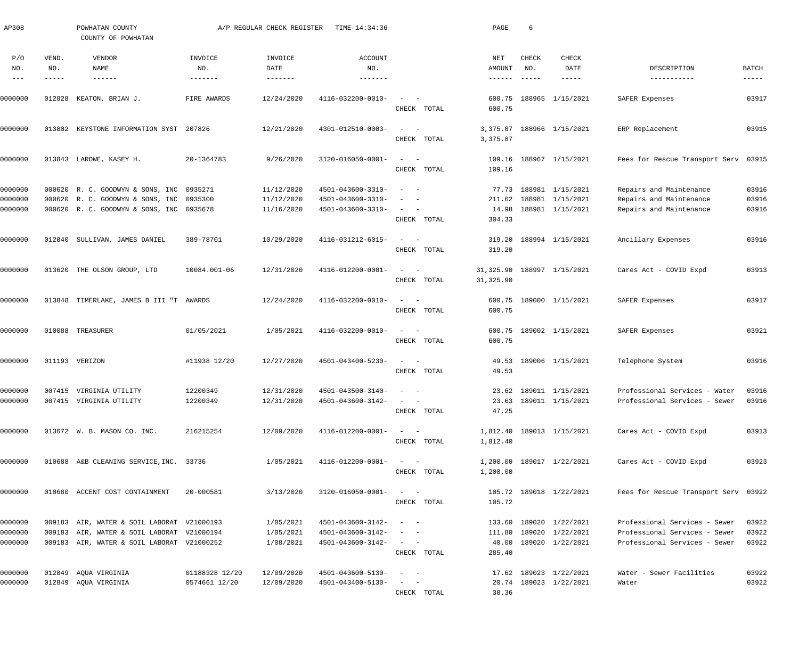| AP308                             |                       | POWHATAN COUNTY<br>COUNTY OF POWHATAN                                                    |                                   | A/P REGULAR CHECK REGISTER             | TIME-14:34:36                          |                                                                                                                            | PAGE                             | 6                             |                                                    |                                                                |                             |
|-----------------------------------|-----------------------|------------------------------------------------------------------------------------------|-----------------------------------|----------------------------------------|----------------------------------------|----------------------------------------------------------------------------------------------------------------------------|----------------------------------|-------------------------------|----------------------------------------------------|----------------------------------------------------------------|-----------------------------|
| P/O<br>NO.<br>$\qquad \qquad - -$ | VEND.<br>NO.<br>----- | VENDOR<br>NAME<br>$- - - - - -$                                                          | INVOICE<br>NO.<br>$- - - - - - -$ | INVOICE<br>DATE<br>$- - - - - - - - -$ | ACCOUNT<br>NO.<br>$- - - - - - -$      |                                                                                                                            | NET<br>AMOUNT<br>$- - - - - - -$ | CHECK<br>NO.<br>$- - - - - -$ | CHECK<br>DATE<br>$- - - - - -$                     | DESCRIPTION<br>------------                                    | <b>BATCH</b><br>$- - - - -$ |
| 0000000                           | 012828                | KEATON, BRIAN J.                                                                         | FIRE AWARDS                       | 12/24/2020                             | 4116-032200-0010-                      | $\sim$                                                                                                                     | 600.75                           |                               | 188965 1/15/2021                                   | SAFER Expenses                                                 | 03917                       |
|                                   |                       |                                                                                          |                                   |                                        |                                        | CHECK TOTAL                                                                                                                | 600.75                           |                               |                                                    |                                                                |                             |
| 0000000                           | 013802                | KEYSTONE INFORMATION SYST                                                                | 207826                            | 12/21/2020                             | 4301-012510-0003-                      | $\frac{1}{2}$ and $\frac{1}{2}$ and $\frac{1}{2}$<br>CHECK TOTAL                                                           | 3,375.87<br>3,375.87             |                               | 188966 1/15/2021                                   | ERP Replacement                                                | 03915                       |
| 0000000                           | 013843                | LAROWE, KASEY H.                                                                         | 20-1364783                        | 9/26/2020                              | 3120-016050-0001-                      | $\qquad \qquad -$<br>CHECK TOTAL                                                                                           | 109.16<br>109.16                 |                               | 188967 1/15/2021                                   | Fees for Rescue Transport Serv                                 | 03915                       |
| 0000000                           |                       | 000620 R. C. GOODWYN & SONS, INC 0935271                                                 |                                   | 11/12/2020                             | 4501-043600-3310-                      | $\sim$ $-$<br>$\overline{\phantom{a}}$                                                                                     |                                  |                               | 77.73 188981 1/15/2021                             | Repairs and Maintenance                                        | 03916                       |
| 0000000                           |                       | 000620 R. C. GOODWYN & SONS, INC 0935300                                                 |                                   | 11/12/2020                             | 4501-043600-3310-                      | $\overline{\phantom{a}}$<br>$\sim$                                                                                         | 211.62                           |                               | 188981 1/15/2021                                   | Repairs and Maintenance                                        | 03916                       |
| 0000000                           |                       | 000620 R. C. GOODWYN & SONS, INC 0935678                                                 |                                   | 11/16/2020                             | 4501-043600-3310-                      | $\frac{1}{2}$ and $\frac{1}{2}$ and $\frac{1}{2}$<br>CHECK TOTAL                                                           | 14.98<br>304.33                  |                               | 188981 1/15/2021                                   | Repairs and Maintenance                                        | 03916                       |
| 0000000                           | 012840                | SULLIVAN, JAMES DANIEL                                                                   | 389-78701                         | 10/29/2020                             | 4116-031212-6015-                      | $\frac{1}{2}$ and $\frac{1}{2}$ and $\frac{1}{2}$<br>CHECK TOTAL                                                           | 319.20<br>319.20                 |                               | 188994 1/15/2021                                   | Ancillary Expenses                                             | 03916                       |
| 0000000                           |                       | 013620 THE OLSON GROUP, LTD                                                              | 10084.001-06                      | 12/31/2020                             | 4116-012200-0001-                      | $\qquad \qquad -$                                                                                                          | 31,325.90                        |                               | 188997 1/15/2021                                   | Cares Act - COVID Expd                                         | 03913                       |
|                                   |                       |                                                                                          |                                   |                                        |                                        | CHECK TOTAL                                                                                                                | 31,325.90                        |                               |                                                    |                                                                |                             |
| 0000000                           |                       | 013848 TIMERLAKE, JAMES B III "T AWARDS                                                  |                                   | 12/24/2020                             | 4116-032200-0010-                      | $\frac{1}{2}$ and $\frac{1}{2}$ and $\frac{1}{2}$<br>CHECK TOTAL                                                           | 600.75                           |                               | 600.75 189000 1/15/2021                            | SAFER Expenses                                                 | 03917                       |
| 0000000                           |                       | 010088 TREASURER                                                                         | 01/05/2021                        | 1/05/2021                              | 4116-032200-0010-                      | $\qquad \qquad -$                                                                                                          |                                  |                               | 600.75 189002 1/15/2021                            | SAFER Expenses                                                 | 03921                       |
|                                   |                       |                                                                                          |                                   |                                        |                                        | CHECK TOTAL                                                                                                                | 600.75                           |                               |                                                    |                                                                |                             |
| 0000000                           |                       | 011193 VERIZON                                                                           | #11938 12/20                      | 12/27/2020                             | 4501-043400-5230-                      | $\sim$<br>$\sim$ $-$<br>CHECK TOTAL                                                                                        | 49.53<br>49.53                   |                               | 189006 1/15/2021                                   | Telephone System                                               | 03916                       |
| 0000000                           |                       | 007415 VIRGINIA UTILITY                                                                  | 12200349                          | 12/31/2020                             | 4501-043500-3140-                      | $\sim$<br>$\sim$ $-$                                                                                                       |                                  |                               | 23.62 189011 1/15/2021                             | Professional Services - Water                                  | 03916                       |
| 0000000                           |                       | 007415 VIRGINIA UTILITY                                                                  | 12200349                          | 12/31/2020                             | $4501 - 043600 - 3142 - - -$           | CHECK TOTAL                                                                                                                | 47.25                            |                               | 23.63 189011 1/15/2021                             | Professional Services - Sewer                                  | 03916                       |
| 0000000                           |                       | 013672 W. B. MASON CO. INC.                                                              | 216215254                         | 12/09/2020                             | 4116-012200-0001-                      | $\sim$ $  -$                                                                                                               |                                  |                               | 1,812.40 189013 1/15/2021                          | Cares Act - COVID Expd                                         | 03913                       |
|                                   |                       |                                                                                          |                                   |                                        |                                        | CHECK TOTAL                                                                                                                | 1,812.40                         |                               |                                                    |                                                                |                             |
| 0000000                           |                       | 010688 A&B CLEANING SERVICE, INC. 33736                                                  |                                   | 1/05/2021                              | 4116-012200-0001-                      | $\sigma_{\rm{max}}=0.5$<br>CHECK TOTAL                                                                                     | 1,200.00                         |                               | 1,200.00 189017 1/22/2021                          | Cares Act - COVID Expd                                         | 03923                       |
| 0000000                           |                       | 010680 ACCENT COST CONTAINMENT                                                           | 20-000581                         | 3/13/2020                              | 3120-016050-0001-                      | $\sigma_{\rm{max}}=0.5$<br>CHECK TOTAL                                                                                     | 105.72                           |                               | 105.72 189018 1/22/2021                            | Fees for Rescue Transport Serv 03922                           |                             |
|                                   |                       |                                                                                          |                                   |                                        |                                        |                                                                                                                            |                                  |                               |                                                    |                                                                |                             |
| 0000000<br>0000000                |                       | 009183 AIR, WATER & SOIL LABORAT V21000193                                               |                                   | 1/05/2021<br>1/05/2021                 | 4501-043600-3142-                      | $\mathcal{L}_{\text{max}}$ , and $\mathcal{L}_{\text{max}}$<br>$\mathcal{L}_{\text{max}}$ , and $\mathcal{L}_{\text{max}}$ |                                  |                               | 133.60 189020 1/22/2021<br>111.80 189020 1/22/2021 | Professional Services - Sewer<br>Professional Services - Sewer | 03922<br>03922              |
| 0000000                           |                       | 009183 AIR, WATER & SOIL LABORAT V21000194<br>009183 AIR, WATER & SOIL LABORAT V21000252 |                                   | 1/08/2021                              | 4501-043600-3142-<br>4501-043600-3142- | $\mathcal{L}_{\text{max}}$ , and $\mathcal{L}_{\text{max}}$                                                                |                                  |                               | 40.00 189020 1/22/2021                             | Professional Services - Sewer                                  | 03922                       |
|                                   |                       |                                                                                          |                                   |                                        |                                        | CHECK TOTAL                                                                                                                | 285.40                           |                               |                                                    |                                                                |                             |
| 0000000                           |                       | 012849 AQUA VIRGINIA                                                                     | 01188328 12/20                    | 12/09/2020                             | 4501-043600-5130-                      | $\sigma_{\rm{max}}=0.000$                                                                                                  |                                  |                               | 17.62 189023 1/22/2021                             | Water - Sewer Facilities                                       | 03922                       |
| 0000000                           |                       | 012849 AQUA VIRGINIA                                                                     | 0574661 12/20                     | 12/09/2020                             | 4501-043400-5130-                      | $\mathcal{L} = \{ \mathcal{L} \}$ , and $\mathcal{L} = \{ \mathcal{L} \}$                                                  |                                  |                               | 20.74 189023 1/22/2021                             | Water                                                          | 03922                       |
|                                   |                       |                                                                                          |                                   |                                        |                                        | CHECK TOTAL                                                                                                                | 38.36                            |                               |                                                    |                                                                |                             |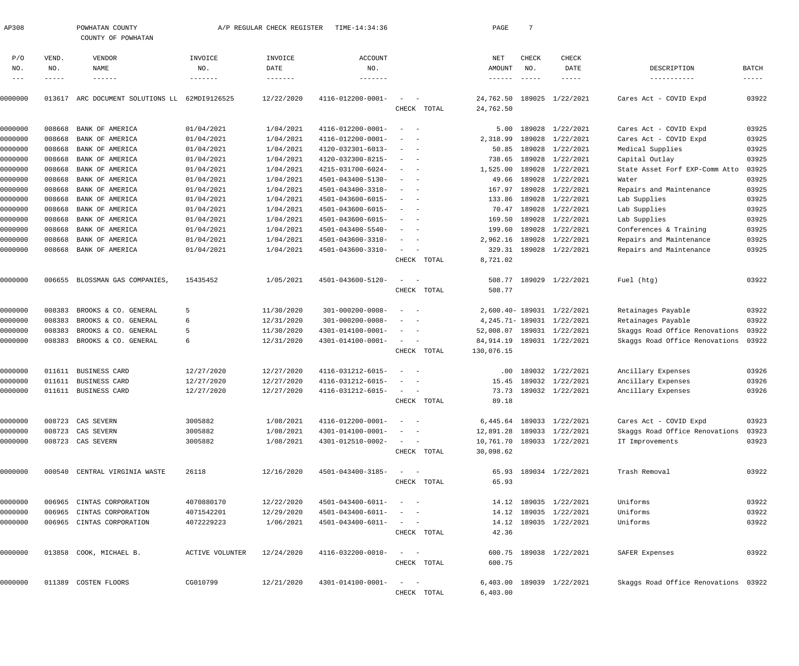| AP308        |              | POWHATAN COUNTY<br>COUNTY OF POWHATAN |                 | A/P REGULAR CHECK REGISTER | TIME-14:34:36           |                                                      |             | PAGE                    | 7                    |                               |                                      |                |
|--------------|--------------|---------------------------------------|-----------------|----------------------------|-------------------------|------------------------------------------------------|-------------|-------------------------|----------------------|-------------------------------|--------------------------------------|----------------|
| P/O          | VEND.        | <b>VENDOR</b>                         | INVOICE         | INVOICE                    | <b>ACCOUNT</b>          |                                                      |             | NET                     | CHECK                | <b>CHECK</b>                  |                                      |                |
| NO.<br>$---$ | NO.<br>----- | NAME<br>$- - - - - - -$               | NO.<br>-------- | DATE<br>$- - - - - - -$    | NO.<br>-------          |                                                      |             | AMOUNT<br>$- - - - - -$ | NO.<br>$\frac{1}{2}$ | DATE<br>$- - - - -$           | DESCRIPTION<br>-----------           | BATCH<br>----- |
|              |              |                                       |                 |                            |                         |                                                      |             |                         |                      |                               |                                      |                |
| 0000000      | 013617       | ARC DOCUMENT SOLUTIONS LL             | 62MDI9126525    | 12/22/2020                 | 4116-012200-0001-       | $\sim$                                               |             | 24,762.50               |                      | 189025 1/22/2021              | Cares Act - COVID Expd               | 03922          |
|              |              |                                       |                 |                            |                         | CHECK                                                | TOTAL       | 24,762.50               |                      |                               |                                      |                |
| 0000000      | 008668       | BANK OF AMERICA                       | 01/04/2021      | 1/04/2021                  | 4116-012200-0001-       | $\overline{\phantom{a}}$                             |             | 5.00                    | 189028               | 1/22/2021                     | Cares Act - COVID Expd               | 03925          |
| 0000000      | 008668       | BANK OF AMERICA                       | 01/04/2021      | 1/04/2021                  | 4116-012200-0001-       |                                                      |             | 2,318.99                | 189028               | 1/22/2021                     | Cares Act - COVID Expd               | 03925          |
| 0000000      | 008668       | BANK OF AMERICA                       | 01/04/2021      | 1/04/2021                  | 4120-032301-6013-       |                                                      |             | 50.85                   | 189028               | 1/22/2021                     | Medical Supplies                     | 03925          |
| 0000000      | 008668       | BANK OF AMERICA                       | 01/04/2021      | 1/04/2021                  | 4120-032300-8215-       | $\overline{\phantom{a}}$                             |             | 738.65                  | 189028               | 1/22/2021                     | Capital Outlay                       | 03925          |
| 0000000      | 008668       | BANK OF AMERICA                       | 01/04/2021      | 1/04/2021                  | 4215-031700-6024-       | $\sim$                                               |             | 1,525.00                | 189028               | 1/22/2021                     | State Asset Forf EXP-Comm Atto       | 03925          |
| 0000000      | 008668       | BANK OF AMERICA                       | 01/04/2021      | 1/04/2021                  | 4501-043400-5130-       |                                                      |             | 49.66                   | 189028               | 1/22/2021                     | Water                                | 03925          |
| 0000000      | 008668       | BANK OF AMERICA                       | 01/04/2021      | 1/04/2021                  | 4501-043400-3310-       | $\overline{\phantom{0}}$<br>$\overline{\phantom{a}}$ |             | 167.97                  | 189028               | 1/22/2021                     | Repairs and Maintenance              | 03925          |
| 0000000      | 008668       | BANK OF AMERICA                       | 01/04/2021      | 1/04/2021                  | 4501-043600-6015-       | $\sim$<br>$\overline{\phantom{a}}$                   |             | 133.86                  | 189028               | 1/22/2021                     | Lab Supplies                         | 03925          |
| 0000000      | 008668       | BANK OF AMERICA                       | 01/04/2021      | 1/04/2021                  | 4501-043600-6015-       |                                                      |             | 70.47                   | 189028               | 1/22/2021                     | Lab Supplies                         | 03925          |
| 0000000      | 008668       | BANK OF AMERICA                       | 01/04/2021      | 1/04/2021                  | 4501-043600-6015-       | $\overline{\phantom{a}}$                             |             | 169.50                  | 189028               | 1/22/2021                     | Lab Supplies                         | 03925          |
| 0000000      | 008668       | BANK OF AMERICA                       | 01/04/2021      | 1/04/2021                  | 4501-043400-5540-       |                                                      |             | 199.60                  | 189028               | 1/22/2021                     | Conferences & Training               | 03925          |
| 0000000      | 008668       | BANK OF AMERICA                       | 01/04/2021      | 1/04/2021                  | 4501-043600-3310-       | $\overline{\phantom{a}}$                             |             | 2,962.16                | 189028               | 1/22/2021                     | Repairs and Maintenance              | 03925          |
| 0000000      | 008668       | BANK OF AMERICA                       | 01/04/2021      | 1/04/2021                  | 4501-043600-3310-       | $\sim$                                               |             |                         |                      | 329.31 189028 1/22/2021       | Repairs and Maintenance              | 03925          |
|              |              |                                       |                 |                            |                         | CHECK                                                | TOTAL       | 8,721.02                |                      |                               |                                      |                |
| 0000000      |              | 006655 BLOSSMAN GAS COMPANIES,        | 15435452        | 1/05/2021                  | 4501-043600-5120-       | $\sim$                                               |             | 508.77                  |                      | 189029 1/22/2021              | Fuel (htg)                           | 03922          |
|              |              |                                       |                 |                            |                         |                                                      | CHECK TOTAL | 508.77                  |                      |                               |                                      |                |
| 0000000      | 008383       | BROOKS & CO. GENERAL                  | 5               | 11/30/2020                 | $301 - 000200 - 0008 -$ | $\overline{\phantom{a}}$                             |             |                         |                      | 2,600.40-189031 1/22/2021     | Retainages Payable                   | 03922          |
| 0000000      | 008383       | BROOKS & CO. GENERAL                  | 6               | 12/31/2020                 | $301 - 000200 - 0008 -$ |                                                      |             |                         |                      | 4, 245. 71 - 189031 1/22/2021 | Retainages Payable                   | 03922          |
| 0000000      | 008383       | BROOKS & CO. GENERAL                  | 5               | 11/30/2020                 | 4301-014100-0001-       | $\sim$                                               |             | 52,008.07               |                      | 189031 1/22/2021              | Skaggs Road Office Renovations       | 03922          |
| 0000000      | 008383       | BROOKS & CO. GENERAL                  | 6               | 12/31/2020                 | 4301-014100-0001-       | $\sim$                                               |             | 84,914.19               |                      | 189031 1/22/2021              | Skaggs Road Office Renovations       | 03922          |
|              |              |                                       |                 |                            |                         |                                                      | CHECK TOTAL | 130,076.15              |                      |                               |                                      |                |
|              |              |                                       |                 |                            |                         |                                                      |             |                         |                      |                               |                                      |                |
| 0000000      |              | 011611 BUSINESS CARD                  | 12/27/2020      | 12/27/2020                 | 4116-031212-6015-       | $\overline{\phantom{a}}$                             |             | .00                     |                      | 189032 1/22/2021              | Ancillary Expenses                   | 03926          |
| 0000000      |              | 011611 BUSINESS CARD                  | 12/27/2020      | 12/27/2020                 | 4116-031212-6015-       |                                                      |             | 15.45                   |                      | 189032 1/22/2021              | Ancillary Expenses                   | 03926          |
| 0000000      |              | 011611 BUSINESS CARD                  | 12/27/2020      | 12/27/2020                 | 4116-031212-6015-       |                                                      |             |                         |                      | 73.73 189032 1/22/2021        | Ancillary Expenses                   | 03926          |
|              |              |                                       |                 |                            |                         | CHECK                                                | TOTAL       | 89.18                   |                      |                               |                                      |                |
| 0000000      |              | 008723 CAS SEVERN                     | 3005882         | 1/08/2021                  | 4116-012200-0001-       | $\sim$                                               |             |                         |                      | 6,445.64 189033 1/22/2021     | Cares Act - COVID Expd               | 03923          |
| 0000000      |              | 008723 CAS SEVERN                     | 3005882         | 1/08/2021                  | 4301-014100-0001-       |                                                      |             | 12,891.28               |                      | 189033 1/22/2021              | Skaggs Road Office Renovations       | 03923          |
| 0000000      |              | 008723 CAS SEVERN                     | 3005882         | 1/08/2021                  | 4301-012510-0002-       | $\sim$ 100 $\mu$                                     |             |                         |                      | 10,761.70 189033 1/22/2021    | IT Improvements                      | 03923          |
|              |              |                                       |                 |                            |                         |                                                      | CHECK TOTAL | 30,098.62               |                      |                               |                                      |                |
| 0000000      |              | 000540 CENTRAL VIRGINIA WASTE         | 26118           | 12/16/2020                 | 4501-043400-3185-       | $\frac{1}{2}$ and $\frac{1}{2}$ and $\frac{1}{2}$    |             |                         |                      | 65.93 189034 1/22/2021        | Trash Removal                        | 03922          |
|              |              |                                       |                 |                            |                         |                                                      | CHECK TOTAL | 65.93                   |                      |                               |                                      |                |
|              |              |                                       |                 |                            |                         |                                                      |             |                         |                      |                               |                                      |                |
| 0000000      |              | 006965 CINTAS CORPORATION             | 4070880170      | 12/22/2020                 | 4501-043400-6011-       | $\frac{1}{2}$ and $\frac{1}{2}$ and $\frac{1}{2}$    |             |                         |                      | 14.12 189035 1/22/2021        | Uniforms                             | 03922          |
| 0000000      | 006965       | CINTAS CORPORATION                    | 4071542201      | 12/29/2020                 | 4501-043400-6011-       |                                                      |             |                         |                      | 14.12 189035 1/22/2021        | Uniforms                             | 03922          |
| 0000000      |              | 006965 CINTAS CORPORATION             | 4072229223      | 1/06/2021                  | 4501-043400-6011-       | $\frac{1}{2}$ and $\frac{1}{2}$ and $\frac{1}{2}$    | CHECK TOTAL | 42.36                   |                      | 14.12 189035 1/22/2021        | Uniforms                             | 03922          |
|              |              |                                       |                 |                            |                         |                                                      |             |                         |                      |                               |                                      |                |
| 0000000      |              | 013858 COOK, MICHAEL B.               | ACTIVE VOLUNTER | 12/24/2020                 | 4116-032200-0010-       | $\omega_{\rm{max}}$ and $\omega_{\rm{max}}$          |             |                         |                      | 600.75 189038 1/22/2021       | SAFER Expenses                       | 03922          |
|              |              |                                       |                 |                            |                         |                                                      | CHECK TOTAL | 600.75                  |                      |                               |                                      |                |
| 0000000      |              | 011389 COSTEN FLOORS                  | CG010799        | 12/21/2020                 | 4301-014100-0001-       | $\frac{1}{2}$ and $\frac{1}{2}$ and $\frac{1}{2}$    |             |                         |                      | 6,403.00 189039 1/22/2021     | Skaggs Road Office Renovations 03922 |                |
|              |              |                                       |                 |                            |                         |                                                      | CHECK TOTAL | 6,403.00                |                      |                               |                                      |                |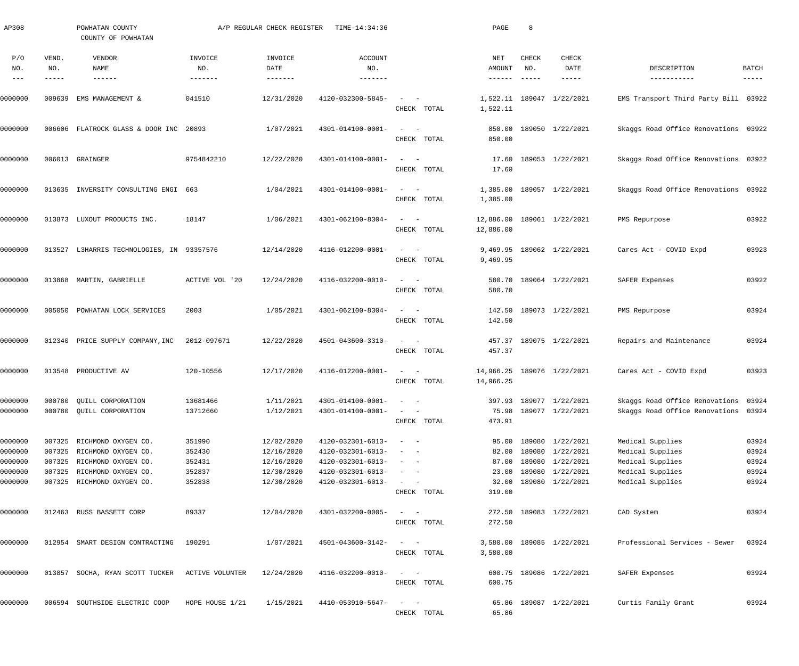| AP308                                               |                       | POWHATAN COUNTY<br>COUNTY OF POWHATAN                                                                                                              |                                                | A/P REGULAR CHECK REGISTER                                         | TIME-14:34:36                                                                                         |                                                                            | PAGE                     | 8                                                                                                                                                                                                                                                                                                                                                                                                            |                                                                                                                    |                                                                                                  |                                           |
|-----------------------------------------------------|-----------------------|----------------------------------------------------------------------------------------------------------------------------------------------------|------------------------------------------------|--------------------------------------------------------------------|-------------------------------------------------------------------------------------------------------|----------------------------------------------------------------------------|--------------------------|--------------------------------------------------------------------------------------------------------------------------------------------------------------------------------------------------------------------------------------------------------------------------------------------------------------------------------------------------------------------------------------------------------------|--------------------------------------------------------------------------------------------------------------------|--------------------------------------------------------------------------------------------------|-------------------------------------------|
| P/O<br>NO.<br>$\qquad \qquad -$                     | VEND.<br>NO.<br>----- | VENDOR<br>NAME<br>$- - - - - - -$                                                                                                                  | INVOICE<br>NO.                                 | INVOICE<br>DATE<br>$- - - - - - -$                                 | <b>ACCOUNT</b><br>NO.<br>-------                                                                      |                                                                            | NET<br>AMOUNT<br>------  | CHECK<br>NO.<br>$\frac{1}{2} \frac{1}{2} \frac{1}{2} \frac{1}{2} \frac{1}{2} \frac{1}{2} \frac{1}{2} \frac{1}{2} \frac{1}{2} \frac{1}{2} \frac{1}{2} \frac{1}{2} \frac{1}{2} \frac{1}{2} \frac{1}{2} \frac{1}{2} \frac{1}{2} \frac{1}{2} \frac{1}{2} \frac{1}{2} \frac{1}{2} \frac{1}{2} \frac{1}{2} \frac{1}{2} \frac{1}{2} \frac{1}{2} \frac{1}{2} \frac{1}{2} \frac{1}{2} \frac{1}{2} \frac{1}{2} \frac{$ | CHECK<br>DATE<br>-----                                                                                             | DESCRIPTION<br>-----------                                                                       | BATCH<br>-----                            |
| 0000000                                             | 009639                | EMS MANAGEMENT &                                                                                                                                   | 041510                                         | 12/31/2020                                                         | 4120-032300-5845-                                                                                     | CHECK TOTAL                                                                | 1,522.11                 |                                                                                                                                                                                                                                                                                                                                                                                                              | 1,522.11 189047 1/22/2021                                                                                          | EMS Transport Third Party Bill 03922                                                             |                                           |
| 0000000                                             | 006606                | FLATROCK GLASS & DOOR INC                                                                                                                          | 20893                                          | 1/07/2021                                                          | 4301-014100-0001-                                                                                     | CHECK TOTAL                                                                | 850.00<br>850.00         |                                                                                                                                                                                                                                                                                                                                                                                                              | 189050 1/22/2021                                                                                                   | Skaggs Road Office Renovations 03922                                                             |                                           |
| 0000000                                             |                       | 006013 GRAINGER                                                                                                                                    | 9754842210                                     | 12/22/2020                                                         | 4301-014100-0001-                                                                                     | CHECK TOTAL                                                                | 17.60<br>17.60           |                                                                                                                                                                                                                                                                                                                                                                                                              | 189053 1/22/2021                                                                                                   | Skaggs Road Office Renovations 03922                                                             |                                           |
| 0000000                                             | 013635                | INVERSITY CONSULTING ENGI 663                                                                                                                      |                                                | 1/04/2021                                                          | 4301-014100-0001-                                                                                     | $\sim$<br>CHECK TOTAL                                                      | 1,385.00                 |                                                                                                                                                                                                                                                                                                                                                                                                              | 1,385.00 189057 1/22/2021                                                                                          | Skaggs Road Office Renovations 03922                                                             |                                           |
| 0000000                                             |                       | 013873 LUXOUT PRODUCTS INC.                                                                                                                        | 18147                                          | 1/06/2021                                                          | 4301-062100-8304-                                                                                     | $\overline{\phantom{m}}$<br>CHECK TOTAL                                    | 12,886.00                |                                                                                                                                                                                                                                                                                                                                                                                                              | 12,886.00 189061 1/22/2021                                                                                         | PMS Repurpose                                                                                    | 03922                                     |
| 0000000                                             | 013527                | L3HARRIS TECHNOLOGIES, IN 93357576                                                                                                                 |                                                | 12/14/2020                                                         | 4116-012200-0001-                                                                                     | $\overline{\phantom{m}}$<br>CHECK TOTAL                                    | 9,469.95                 |                                                                                                                                                                                                                                                                                                                                                                                                              | 9,469.95 189062 1/22/2021                                                                                          | Cares Act - COVID Expd                                                                           | 03923                                     |
| 0000000                                             | 013868                | MARTIN, GABRIELLE                                                                                                                                  | ACTIVE VOL '20                                 | 12/24/2020                                                         | 4116-032200-0010-                                                                                     | $\qquad \qquad -$<br>CHECK TOTAL                                           | 580.70                   |                                                                                                                                                                                                                                                                                                                                                                                                              | 580.70 189064 1/22/2021                                                                                            | SAFER Expenses                                                                                   | 03922                                     |
| 0000000                                             | 005050                | POWHATAN LOCK SERVICES                                                                                                                             | 2003                                           | 1/05/2021                                                          | 4301-062100-8304-                                                                                     | $\sim$ $-$<br>CHECK TOTAL                                                  | 142.50<br>142.50         |                                                                                                                                                                                                                                                                                                                                                                                                              | 189073 1/22/2021                                                                                                   | PMS Repurpose                                                                                    | 03924                                     |
| 0000000                                             |                       | 012340 PRICE SUPPLY COMPANY, INC                                                                                                                   | 2012-097671                                    | 12/22/2020                                                         | 4501-043600-3310-                                                                                     | $\sim$ $-$<br>CHECK TOTAL                                                  | 457.37<br>457.37         |                                                                                                                                                                                                                                                                                                                                                                                                              | 189075 1/22/2021                                                                                                   | Repairs and Maintenance                                                                          | 03924                                     |
| 0000000                                             |                       | 013548 PRODUCTIVE AV                                                                                                                               | 120-10556                                      | 12/17/2020                                                         | 4116-012200-0001-                                                                                     | CHECK TOTAL                                                                | 14,966.25                |                                                                                                                                                                                                                                                                                                                                                                                                              | 14,966.25 189076 1/22/2021                                                                                         | Cares Act - COVID Expd                                                                           | 03923                                     |
| 0000000<br>0000000                                  |                       | 000780 QUILL CORPORATION<br>000780 QUILL CORPORATION                                                                                               | 13681466<br>13712660                           | 1/11/2021<br>1/12/2021                                             | $4301 - 014100 - 0001 - - -$<br>4301-014100-0001-                                                     | $\sim$ $ \sim$ $-$<br>CHECK TOTAL                                          | 473.91                   |                                                                                                                                                                                                                                                                                                                                                                                                              | 397.93 189077 1/22/2021<br>75.98 189077 1/22/2021                                                                  | Skaggs Road Office Renovations 03924<br>Skaggs Road Office Renovations 03924                     |                                           |
| 0000000<br>0000000<br>0000000<br>0000000<br>0000000 |                       | 007325 RICHMOND OXYGEN CO.<br>007325 RICHMOND OXYGEN CO.<br>007325 RICHMOND OXYGEN CO.<br>007325 RICHMOND OXYGEN CO.<br>007325 RICHMOND OXYGEN CO. | 351990<br>352430<br>352431<br>352837<br>352838 | 12/02/2020<br>12/16/2020<br>12/16/2020<br>12/30/2020<br>12/30/2020 | 4120-032301-6013-<br>4120-032301-6013-<br>4120-032301-6013-<br>4120-032301-6013-<br>4120-032301-6013- | $\sim$<br>$\frac{1}{2}$ and $\frac{1}{2}$ and $\frac{1}{2}$<br>CHECK TOTAL | 82.00<br>23.00<br>319.00 |                                                                                                                                                                                                                                                                                                                                                                                                              | 95.00 189080 1/22/2021<br>189080 1/22/2021<br>87.00 189080 1/22/2021<br>189080 1/22/2021<br>32.00 189080 1/22/2021 | Medical Supplies<br>Medical Supplies<br>Medical Supplies<br>Medical Supplies<br>Medical Supplies | 03924<br>03924<br>03924<br>03924<br>03924 |
| 0000000                                             |                       | 012463 RUSS BASSETT CORP                                                                                                                           | 89337                                          | 12/04/2020                                                         | 4301-032200-0005-                                                                                     | $\frac{1}{2}$ and $\frac{1}{2}$ and $\frac{1}{2}$<br>CHECK TOTAL           | 272.50                   |                                                                                                                                                                                                                                                                                                                                                                                                              | 272.50 189083 1/22/2021                                                                                            | CAD System                                                                                       | 03924                                     |
| 0000000                                             |                       | 012954 SMART DESIGN CONTRACTING                                                                                                                    | 190291                                         | 1/07/2021                                                          | 4501-043600-3142-                                                                                     | CHECK TOTAL                                                                | 3,580.00                 |                                                                                                                                                                                                                                                                                                                                                                                                              | 3,580.00 189085 1/22/2021                                                                                          | Professional Services - Sewer                                                                    | 03924                                     |
| 0000000                                             |                       | 013857 SOCHA, RYAN SCOTT TUCKER                                                                                                                    | ACTIVE VOLUNTER                                | 12/24/2020                                                         | 4116-032200-0010-                                                                                     | CHECK TOTAL                                                                | 600.75                   |                                                                                                                                                                                                                                                                                                                                                                                                              | 600.75 189086 1/22/2021                                                                                            | SAFER Expenses                                                                                   | 03924                                     |
| 0000000                                             |                       | 006594 SOUTHSIDE ELECTRIC COOP                                                                                                                     | HOPE HOUSE 1/21                                | 1/15/2021                                                          | 4410-053910-5647-                                                                                     | $\qquad \qquad -$<br>CHECK TOTAL                                           | 65.86                    |                                                                                                                                                                                                                                                                                                                                                                                                              | 65.86 189087 1/22/2021                                                                                             | Curtis Family Grant                                                                              | 03924                                     |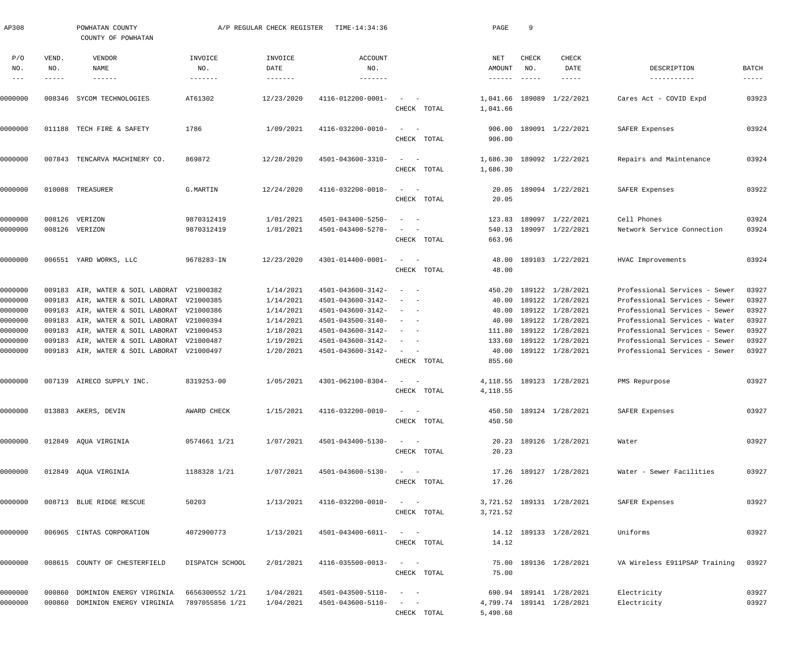| AP308                       |                       | POWHATAN COUNTY<br>COUNTY OF POWHATAN      |                                   | A/P REGULAR CHECK REGISTER         | TIME-14:34:36              |                                                                                                              | PAGE                             | 9                                                    |                               |                               |                      |
|-----------------------------|-----------------------|--------------------------------------------|-----------------------------------|------------------------------------|----------------------------|--------------------------------------------------------------------------------------------------------------|----------------------------------|------------------------------------------------------|-------------------------------|-------------------------------|----------------------|
| P/O<br>NO.<br>$\frac{1}{2}$ | VEND.<br>NO.<br>----- | VENDOR<br>NAME<br>$- - - - - - -$          | INVOICE<br>NO.<br>$- - - - - - -$ | INVOICE<br>DATE<br>$- - - - - - -$ | ACCOUNT<br>NO.<br>-------- |                                                                                                              | NET<br>AMOUNT<br>$- - - - - - -$ | CHECK<br>NO.<br>$\cdots \cdots \cdots \cdots \cdots$ | <b>CHECK</b><br>DATE<br>----- | DESCRIPTION<br>-----------    | BATCH<br>$- - - - -$ |
| 0000000                     |                       | 008346 SYCOM TECHNOLOGIES                  | AT61302                           | 12/23/2020                         | 4116-012200-0001-          | $\sim$ .<br>$\sim$ $-$<br>CHECK TOTAL                                                                        | 1,041.66<br>1,041.66             | 189089                                               | 1/22/2021                     | Cares Act - COVID Expd        | 03923                |
| 0000000                     |                       | 011188 TECH FIRE & SAFETY                  | 1786                              | 1/09/2021                          | 4116-032200-0010-          | $\sim$ .<br>$\overline{a}$<br>CHECK TOTAL                                                                    | 906.00<br>906.00                 |                                                      | 189091 1/22/2021              | SAFER Expenses                | 03924                |
| 0000000                     |                       | 007843 TENCARVA MACHINERY CO.              | 869872                            | 12/28/2020                         | 4501-043600-3310-          | $\sim$<br>$\overline{\phantom{a}}$<br>CHECK TOTAL                                                            | 1,686.30<br>1,686.30             |                                                      | 189092 1/22/2021              | Repairs and Maintenance       | 03924                |
| 0000000                     |                       | 010088 TREASURER                           | G.MARTIN                          | 12/24/2020                         | 4116-032200-0010-          | $\sim$<br>$\hspace{0.1mm}$<br>CHECK TOTAL                                                                    | 20.05<br>20.05                   |                                                      | 189094 1/22/2021              | SAFER Expenses                | 03922                |
| 0000000                     | 008126                | VERIZON                                    | 9870312419                        | 1/01/2021                          | 4501-043400-5250-          | $\overline{\phantom{a}}$                                                                                     | 123.83                           |                                                      | 189097 1/22/2021              | Cell Phones                   | 03924                |
| 0000000                     |                       | 008126 VERIZON                             | 9870312419                        | 1/01/2021                          | 4501-043400-5270-          | CHECK TOTAL                                                                                                  | 663.96                           |                                                      | 540.13 189097 1/22/2021       | Network Service Connection    | 03924                |
| 0000000                     |                       | 006551 YARD WORKS, LLC                     | 9678283-IN                        | 12/23/2020                         | 4301-014400-0001-          | $\sim$ .<br>$\sim$ $-$<br>CHECK TOTAL                                                                        | 48.00<br>48.00                   |                                                      | 189103 1/22/2021              | HVAC Improvements             | 03924                |
| 0000000                     | 009183                | AIR, WATER & SOIL LABORAT                  | V21000382                         | 1/14/2021                          | 4501-043600-3142-          | $\overline{\phantom{a}}$<br>$\sim$                                                                           | 450.20                           |                                                      | 189122 1/28/2021              | Professional Services - Sewer | 03927                |
| 0000000                     |                       | 009183 AIR, WATER & SOIL LABORAT V21000385 |                                   | 1/14/2021                          | 4501-043600-3142-          |                                                                                                              | 40.00                            |                                                      | 189122 1/28/2021              | Professional Services - Sewer | 03927                |
| 0000000                     | 009183                | AIR, WATER & SOIL LABORAT V21000386        |                                   | 1/14/2021                          | 4501-043600-3142-          | $\overline{\phantom{a}}$<br>$\overline{\phantom{a}}$                                                         | 40.00                            |                                                      | 189122 1/28/2021              | Professional Services - Sewer | 03927                |
| 0000000                     | 009183                | AIR, WATER & SOIL LABORAT                  | V21000394                         | 1/14/2021                          | 4501-043500-3140-          | $\overline{\phantom{a}}$<br>$\sim$                                                                           | 40.00                            |                                                      | 189122 1/28/2021              | Professional Services - Water | 03927                |
| 0000000                     | 009183                | AIR, WATER & SOIL LABORAT V21000453        |                                   | 1/18/2021                          | 4501-043600-3142-          | $\overline{\phantom{a}}$<br>$\overline{\phantom{a}}$                                                         | 111.80                           |                                                      | 189122 1/28/2021              | Professional Services - Sewer | 03927                |
| 0000000                     | 009183                | AIR, WATER & SOIL LABORAT V21000487        |                                   | 1/19/2021                          | 4501-043600-3142-          | $\overline{\phantom{a}}$<br>$\overline{\phantom{a}}$                                                         | 133.60                           |                                                      | 189122 1/28/2021              | Professional Services - Sewer | 03927                |
| 0000000                     |                       | 009183 AIR, WATER & SOIL LABORAT V21000497 |                                   | 1/20/2021                          | 4501-043600-3142-          | $\sim$ 100 $\mu$<br>$\hspace{0.1cm}$ $\hspace{0.1cm}$<br>CHECK TOTAL                                         | 40.00<br>855.60                  |                                                      | 189122 1/28/2021              | Professional Services - Sewer | 03927                |
| 0000000                     |                       | 007139 AIRECO SUPPLY INC.                  | 8319253-00                        | 1/05/2021                          | 4301-062100-8304-          | $\sim$<br>$\sim$<br>CHECK TOTAL                                                                              | 4,118.55                         |                                                      | 4, 118.55 189123 1/28/2021    | PMS Repurpose                 | 03927                |
| 0000000                     |                       | 013883 AKERS, DEVIN                        | AWARD CHECK                       | 1/15/2021                          | 4116-032200-0010-          | $\mathcal{L}_{\text{max}}$ and $\mathcal{L}_{\text{max}}$<br>CHECK TOTAL                                     | 450.50                           |                                                      | 450.50 189124 1/28/2021       | SAFER Expenses                | 03927                |
| 0000000                     |                       | 012849 AQUA VIRGINIA                       | 0574661 1/21                      | 1/07/2021                          | 4501-043400-5130-          | $\mathcal{L} = \{ \mathcal{L} \}$ , where $\mathcal{L} = \{ \mathcal{L} \}$<br>CHECK TOTAL                   | 20.23                            |                                                      | 20.23 189126 1/28/2021        | Water                         | 03927                |
| 0000000                     |                       | 012849 AQUA VIRGINIA                       | 1188328 1/21                      | 1/07/2021                          | 4501-043600-5130-          | $\mathcal{L}_{\text{max}}$ , and $\mathcal{L}_{\text{max}}$<br>CHECK TOTAL                                   | 17.26                            |                                                      | 17.26 189127 1/28/2021        | Water - Sewer Facilities      | 03927                |
| 0000000                     |                       | 008713 BLUE RIDGE RESCUE                   | 50203                             | 1/13/2021                          | 4116-032200-0010-          | $\frac{1}{2}$ , $\frac{1}{2}$ , $\frac{1}{2}$ , $\frac{1}{2}$<br>CHECK TOTAL                                 | 3,721.52                         |                                                      | 3,721.52 189131 1/28/2021     | SAFER Expenses                | 03927                |
| 0000000                     |                       | 006965 CINTAS CORPORATION                  | 4072900773                        | 1/13/2021                          | 4501-043400-6011-          | $\frac{1}{2}$ , $\frac{1}{2}$ , $\frac{1}{2}$ , $\frac{1}{2}$<br>CHECK TOTAL                                 | 14.12                            |                                                      | 14.12 189133 1/28/2021        | Uniforms                      | 03927                |
| 0000000                     |                       | 008615 COUNTY OF CHESTERFIELD              | DISPATCH SCHOOL                   | 2/01/2021                          | 4116-035500-0013-          | $\sim$ $ \sim$<br>CHECK TOTAL                                                                                | 75.00                            |                                                      | 75.00 189136 1/28/2021        | VA Wireless E911PSAP Training | 03927                |
| 0000000                     |                       | 000860 DOMINION ENERGY VIRGINIA            | 6656300552 1/21                   | 1/04/2021                          | 4501-043500-5110-          | $\frac{1}{2} \left( \frac{1}{2} \right) \left( \frac{1}{2} \right) = \frac{1}{2} \left( \frac{1}{2} \right)$ |                                  |                                                      | 690.94 189141 1/28/2021       | Electricity                   | 03927                |
| 0000000                     |                       | 000860 DOMINION ENERGY VIRGINIA            | 7897055856 1/21                   | 1/04/2021                          | 4501-043600-5110-          | $\frac{1}{2}$ , $\frac{1}{2}$ , $\frac{1}{2}$ , $\frac{1}{2}$                                                |                                  |                                                      | 4,799.74 189141 1/28/2021     | Electricity                   | 03927                |
|                             |                       |                                            |                                   |                                    |                            | CHECK TOTAL                                                                                                  | 5,490.68                         |                                                      |                               |                               |                      |